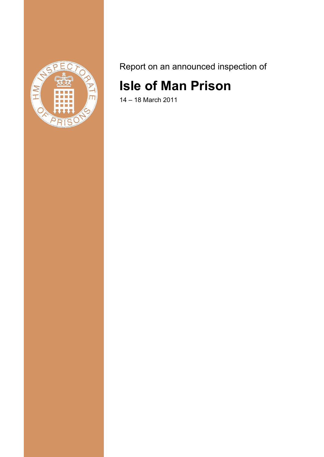

Report on an announced inspection of

# **Isle of Man Prison**

14 – 18 March 2011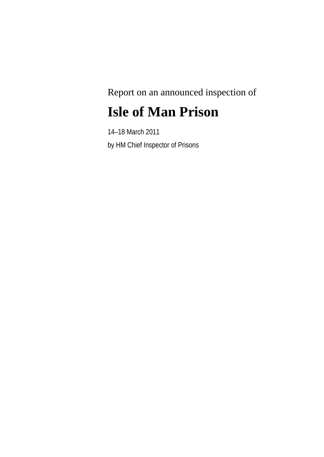Report on an announced inspection of

# **Isle of Man Prison**

14–18 March 2011 by HM Chief Inspector of Prisons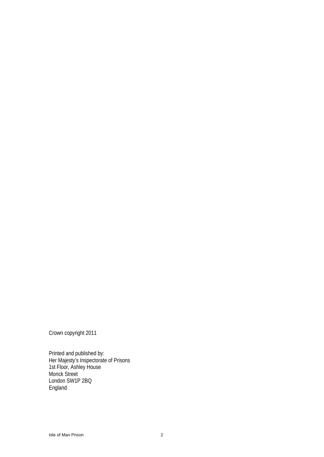Crown copyright 2011

Printed and published by: Her Majesty's Inspectorate of Prisons 1st Floor, Ashley House Monck Street London SW1P 2BQ England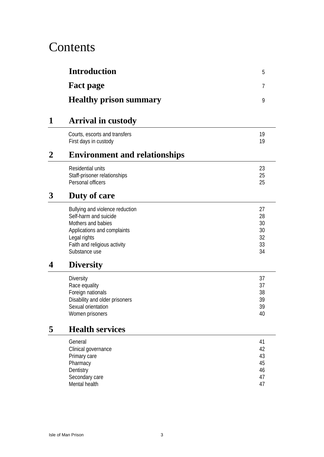# Contents

|   | <b>Introduction</b>                                                                                                                                                            | 5                                      |
|---|--------------------------------------------------------------------------------------------------------------------------------------------------------------------------------|----------------------------------------|
|   | <b>Fact page</b>                                                                                                                                                               | 7                                      |
|   | <b>Healthy prison summary</b>                                                                                                                                                  | 9                                      |
| 1 | <b>Arrival in custody</b>                                                                                                                                                      |                                        |
|   | Courts, escorts and transfers<br>First days in custody                                                                                                                         | 19<br>19                               |
| 2 | <b>Environment and relationships</b>                                                                                                                                           |                                        |
|   | Residential units<br>Staff-prisoner relationships<br>Personal officers                                                                                                         | 23<br>25<br>25                         |
| 3 | Duty of care                                                                                                                                                                   |                                        |
|   | Bullying and violence reduction<br>Self-harm and suicide<br>Mothers and babies<br>Applications and complaints<br>Legal rights<br>Faith and religious activity<br>Substance use | 27<br>28<br>30<br>30<br>32<br>33<br>34 |
| 4 | <b>Diversity</b>                                                                                                                                                               |                                        |
|   | <b>Diversity</b><br>Race equality<br>Foreign nationals<br>Disability and older prisoners<br>Sexual orientation<br>Women prisoners                                              | 37<br>37<br>38<br>39<br>39<br>40       |
| 5 | <b>Health services</b>                                                                                                                                                         |                                        |
|   | General<br>Clinical governance<br>Primary care<br>Pharmacy<br>Dentistry<br>Secondary care<br>Mental health                                                                     | 41<br>42<br>43<br>45<br>46<br>47<br>47 |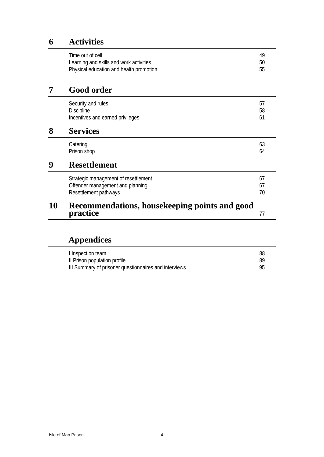# **6 Activities**

|                                                | 49 |  |
|------------------------------------------------|----|--|
|                                                | 50 |  |
|                                                | 55 |  |
|                                                |    |  |
|                                                | 57 |  |
|                                                | 58 |  |
|                                                | 61 |  |
| <b>Services</b>                                |    |  |
|                                                | 63 |  |
|                                                | 64 |  |
| <b>Resettlement</b>                            |    |  |
|                                                | 67 |  |
|                                                | 67 |  |
|                                                | 70 |  |
| Recommendations, house keeping points and good |    |  |
|                                                | 77 |  |
|                                                |    |  |

# **Appendices**

| I Inspection team                                     | 88 |
|-------------------------------------------------------|----|
| Il Prison population profile                          | 89 |
| III Summary of prisoner questionnaires and interviews | gҕ |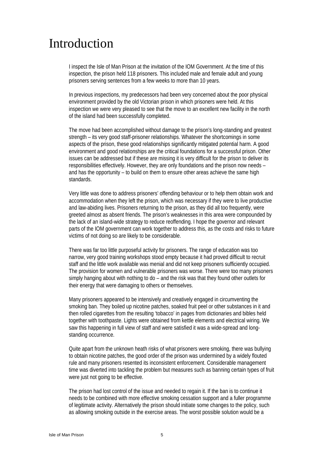# Introduction

I inspect the Isle of Man Prison at the invitation of the IOM Government. At the time of this inspection, the prison held 118 prisoners. This included male and female adult and young prisoners serving sentences from a few weeks to more than 10 years.

In previous inspections, my predecessors had been very concerned about the poor physical environment provided by the old Victorian prison in which prisoners were held. At this inspection we were very pleased to see that the move to an excellent new facility in the north of the island had been successfully completed.

The move had been accomplished without damage to the prison's long-standing and greatest strength – its very good staff-prisoner relationships. Whatever the shortcomings in some aspects of the prison, these good relationships significantly mitigated potential harm. A good environment and good relationships are the critical foundations for a successful prison. Other issues can be addressed but if these are missing it is very difficult for the prison to deliver its responsibilities effectively. However, they are only foundations and the prison now needs – and has the opportunity – to build on them to ensure other areas achieve the same high standards.

Very little was done to address prisoners' offending behaviour or to help them obtain work and accommodation when they left the prison, which was necessary if they were to live productive and law-abiding lives. Prisoners returning to the prison, as they did all too frequently, were greeted almost as absent friends. The prison's weaknesses in this area were compounded by the lack of an island-wide strategy to reduce reoffending. I hope the governor and relevant parts of the IOM government can work together to address this, as the costs and risks to future victims of not doing so are likely to be considerable.

There was far too little purposeful activity for prisoners. The range of education was too narrow, very good training workshops stood empty because it had proved difficult to recruit staff and the little work available was menial and did not keep prisoners sufficiently occupied. The provision for women and vulnerable prisoners was worse. There were too many prisoners simply hanging about with nothing to do – and the risk was that they found other outlets for their energy that were damaging to others or themselves.

Many prisoners appeared to be intensively and creatively engaged in circumventing the smoking ban. They boiled up nicotine patches, soaked fruit peel or other substances in it and then rolled cigarettes from the resulting 'tobacco' in pages from dictionaries and bibles held together with toothpaste. Lights were obtained from kettle elements and electrical wiring. We saw this happening in full view of staff and were satisfied it was a wide-spread and longstanding occurrence.

Quite apart from the unknown heath risks of what prisoners were smoking, there was bullying to obtain nicotine patches, the good order of the prison was undermined by a widely flouted rule and many prisoners resented its inconsistent enforcement. Considerable management time was diverted into tackling the problem but measures such as banning certain types of fruit were just not going to be effective.

The prison had lost control of the issue and needed to regain it. If the ban is to continue it needs to be combined with more effective smoking cessation support and a fuller programme of legitimate activity. Alternatively the prison should initiate some changes to the policy, such as allowing smoking outside in the exercise areas. The worst possible solution would be a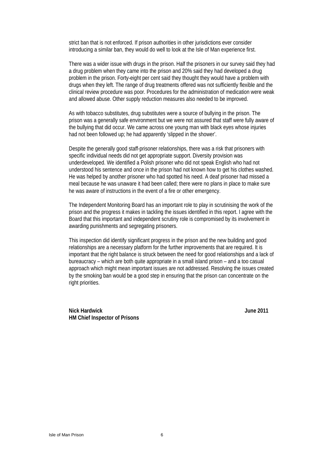strict ban that is not enforced. If prison authorities in other jurisdictions ever consider introducing a similar ban, they would do well to look at the Isle of Man experience first.

There was a wider issue with drugs in the prison. Half the prisoners in our survey said they had a drug problem when they came into the prison and 20% said they had developed a drug problem in the prison. Forty-eight per cent said they thought they would have a problem with drugs when they left. The range of drug treatments offered was not sufficiently flexible and the clinical review procedure was poor. Procedures for the administration of medication were weak and allowed abuse. Other supply reduction measures also needed to be improved.

As with tobacco substitutes, drug substitutes were a source of bullying in the prison. The prison was a generally safe environment but we were not assured that staff were fully aware of the bullying that did occur. We came across one young man with black eyes whose injuries had not been followed up; he had apparently 'slipped in the shower'.

Despite the generally good staff-prisoner relationships, there was a risk that prisoners with specific individual needs did not get appropriate support. Diversity provision was underdeveloped. We identified a Polish prisoner who did not speak English who had not understood his sentence and once in the prison had not known how to get his clothes washed. He was helped by another prisoner who had spotted his need. A deaf prisoner had missed a meal because he was unaware it had been called; there were no plans in place to make sure he was aware of instructions in the event of a fire or other emergency.

The Independent Monitoring Board has an important role to play in scrutinising the work of the prison and the progress it makes in tackling the issues identified in this report. I agree with the Board that this important and independent scrutiny role is compromised by its involvement in awarding punishments and segregating prisoners.

This inspection did identify significant progress in the prison and the new building and good relationships are a necessary platform for the further improvements that are required. It is important that the right balance is struck between the need for good relationships and a lack of bureaucracy – which are both quite appropriate in a small island prison – and a too casual approach which might mean important issues are not addressed. Resolving the issues created by the smoking ban would be a good step in ensuring that the prison can concentrate on the right priorities.

**Nick Hardwick June 2011 HM Chief Inspector of Prisons**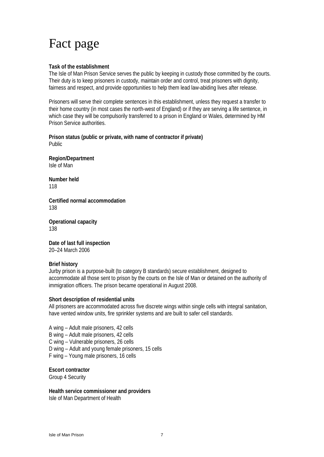# Fact page

#### **Task of the establishment**

The Isle of Man Prison Service serves the public by keeping in custody those committed by the courts. Their duty is to keep prisoners in custody, maintain order and control, treat prisoners with dignity, fairness and respect, and provide opportunities to help them lead law-abiding lives after release.

Prisoners will serve their complete sentences in this establishment, unless they request a transfer to their home country (in most cases the north-west of England) or if they are serving a life sentence, in which case they will be compulsorily transferred to a prison in England or Wales, determined by HM Prison Service authorities.

**Prison status (public or private, with name of contractor if private)**  Public

**Region/Department**  Isle of Man

**Number held**  118

**Certified normal accommodation**  138

**Operational capacity**  138

**Date of last full inspection**  20–24 March 2006

#### **Brief history**

Jurby prison is a purpose-built (to category B standards) secure establishment, designed to accommodate all those sent to prison by the courts on the Isle of Man or detained on the authority of immigration officers. The prison became operational in August 2008.

#### **Short description of residential units**

All prisoners are accommodated across five discrete wings within single cells with integral sanitation, have vented window units, fire sprinkler systems and are built to safer cell standards.

A wing – Adult male prisoners, 42 cells

B wing – Adult male prisoners, 42 cells

C wing – Vulnerable prisoners, 26 cells

D wing – Adult and young female prisoners, 15 cells

F wing – Young male prisoners, 16 cells

#### **Escort contractor**

Group 4 Security

#### **Health service commissioner and providers**

Isle of Man Department of Health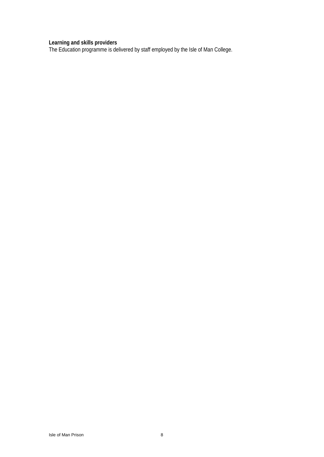#### **Learning and skills providers**

The Education programme is delivered by staff employed by the Isle of Man College.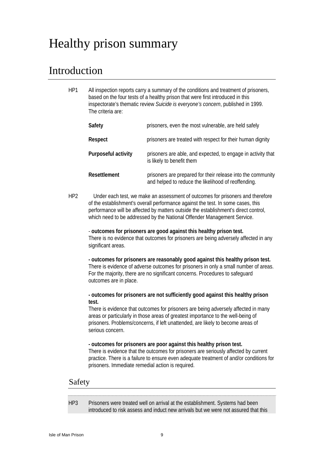# Healthy prison summary

## Introduction

| HP1 | All inspection reports carry a summary of the conditions and treatment of prisoners,<br>based on the four tests of a healthy prison that were first introduced in this<br>inspectorate's thematic review Suicide is everyone's concern, published in 1999.<br>The criteria are: |                                                                                                                    |
|-----|---------------------------------------------------------------------------------------------------------------------------------------------------------------------------------------------------------------------------------------------------------------------------------|--------------------------------------------------------------------------------------------------------------------|
|     | Safety                                                                                                                                                                                                                                                                          | prisoners, even the most vulnerable, are held safely                                                               |
|     | Respect                                                                                                                                                                                                                                                                         | prisoners are treated with respect for their human dignity                                                         |
|     | <b>Purposeful activity</b>                                                                                                                                                                                                                                                      | prisoners are able, and expected, to engage in activity that<br>is likely to benefit them.                         |
|     | Resettlement                                                                                                                                                                                                                                                                    | prisoners are prepared for their release into the community<br>and helped to reduce the likelihood of reoffending. |

HP2 Under each test, we make an assessment of outcomes for prisoners and therefore of the establishment's overall performance against the test. In some cases, this performance will be affected by matters outside the establishment's direct control, which need to be addressed by the National Offender Management Service.

- **outcomes for prisoners are good against this healthy prison test.**  There is no evidence that outcomes for prisoners are being adversely affected in any significant areas.

**- outcomes for prisoners are reasonably good against this healthy prison test.**  There is evidence of adverse outcomes for prisoners in only a small number of areas. For the majority, there are no significant concerns. Procedures to safeguard outcomes are in place.

**- outcomes for prisoners are not sufficiently good against this healthy prison test.** 

There is evidence that outcomes for prisoners are being adversely affected in many areas or particularly in those areas of greatest importance to the well-being of prisoners. Problems/concerns, if left unattended, are likely to become areas of serious concern.

#### **- outcomes for prisoners are poor against this healthy prison test.**

There is evidence that the outcomes for prisoners are seriously affected by current practice. There is a failure to ensure even adequate treatment of and/or conditions for prisoners. Immediate remedial action is required.

### Safety

HP3 Prisoners were treated well on arrival at the establishment. Systems had been introduced to risk assess and induct new arrivals but we were not assured that this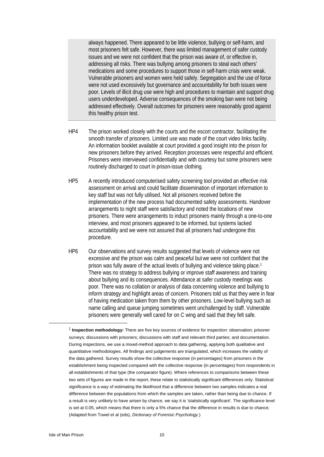always happened. There appeared to be little violence, bullying or self-harm, and most prisoners felt safe. However, there was limited management of safer custody issues and we were not confident that the prison was aware of, or effective in, addressing all risks. There was bullying among prisoners to steal each others' medications and some procedures to support those in self-harm crisis were weak. Vulnerable prisoners and women were held safely. Segregation and the use of force were not used excessively but governance and accountability for both issues were poor. Levels of illicit drug use were high and procedures to maintain and support drug users underdeveloped. Adverse consequences of the smoking ban were not being addressed effectively. Overall outcomes for prisoners were reasonably good against this healthy prison test.

- HP4 The prison worked closely with the courts and the escort contractor, facilitating the smooth transfer of prisoners. Limited use was made of the court video links facility. An information booklet available at court provided a good insight into the prison for new prisoners before they arrived. Reception processes were respectful and efficient. Prisoners were interviewed confidentially and with courtesy but some prisoners were routinely discharged to court in prison-issue clothing.
- HP5 A recently introduced computerised safety screening tool provided an effective risk assessment on arrival and could facilitate dissemination of important information to key staff but was not fully utilised. Not all prisoners received before the implementation of the new process had documented safety assessments. Handover arrangements to night staff were satisfactory and noted the locations of new prisoners. There were arrangements to induct prisoners mainly through a one-to-one interview, and most prisoners appeared to be informed, but systems lacked accountability and we were not assured that all prisoners had undergone this procedure.
- HP6 Our observations and survey results suggested that levels of violence were not excessive and the prison was calm and peaceful but we were not confident that the prison was fully aware of the actual levels of bullying and violence taking place.1 There was no strategy to address bullying or improve staff awareness and training about bullying and its consequences. Attendance at safer custody meetings was poor. There was no collation or analysis of data concerning violence and bullying to inform strategy and highlight areas of concern. Prisoners told us that they were in fear of having medication taken from them by other prisoners. Low-level bullying such as name calling and queue jumping sometimes went unchallenged by staff. Vulnerable prisoners were generally well cared for on C wing and said that they felt safe.

 $\overline{a}$ 

<sup>1</sup> **Inspection methodology:** There are five key sources of evidence for inspection: observation; prisoner surveys; discussions with prisoners; discussions with staff and relevant third parties; and documentation. During inspections, we use a mixed-method approach to data gathering, applying both qualitative and quantitative methodologies. All findings and judgements are triangulated, which increases the validity of the data gathered. Survey results show the collective response (in percentages) from prisoners in the establishment being inspected compared with the collective response (in percentages) from respondents in all establishments of that type (the comparator figure). Where references to comparisons between these two sets of figures are made in the report, these relate to statistically significant differences only. Statistical significance is a way of estimating the likelihood that a difference between two samples indicates a real difference between the populations from which the samples are taken, rather than being due to chance. If a result is very unlikely to have arisen by chance, we say it is 'statistically significant'. The significance level is set at 0.05, which means that there is only a 5% chance that the difference in results is due to chance. (Adapted from Towel et al (eds), *Dictionary of Forensic Psychology.*)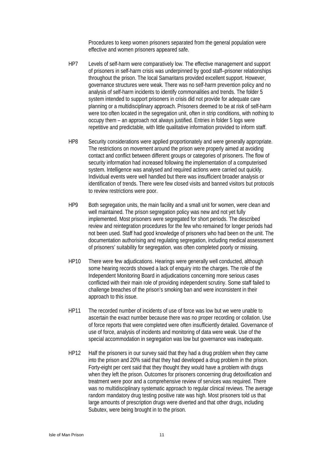Procedures to keep women prisoners separated from the general population were effective and women prisoners appeared safe.

- HP7 Levels of self-harm were comparatively low. The effective management and support of prisoners in self-harm crisis was underpinned by good staff–prisoner relationships throughout the prison. The local Samaritans provided excellent support. However, governance structures were weak. There was no self-harm prevention policy and no analysis of self-harm incidents to identify commonalities and trends. The folder 5 system intended to support prisoners in crisis did not provide for adequate care planning or a multidisciplinary approach. Prisoners deemed to be at risk of self-harm were too often located in the segregation unit, often in strip conditions, with nothing to occupy them – an approach not always justified. Entries in folder 5 logs were repetitive and predictable, with little qualitative information provided to inform staff.
- HP8 Security considerations were applied proportionately and were generally appropriate. The restrictions on movement around the prison were properly aimed at avoiding contact and conflict between different groups or categories of prisoners. The flow of security information had increased following the implementation of a computerised system. Intelligence was analysed and required actions were carried out quickly. Individual events were well handled but there was insufficient broader analysis or identification of trends. There were few closed visits and banned visitors but protocols to review restrictions were poor.
- HP9 Both segregation units, the main facility and a small unit for women, were clean and well maintained. The prison segregation policy was new and not yet fully implemented. Most prisoners were segregated for short periods. The described review and reintegration procedures for the few who remained for longer periods had not been used. Staff had good knowledge of prisoners who had been on the unit. The documentation authorising and regulating segregation, including medical assessment of prisoners' suitability for segregation, was often completed poorly or missing.
- HP10 There were few adjudications. Hearings were generally well conducted, although some hearing records showed a lack of enquiry into the charges. The role of the Independent Monitoring Board in adjudications concerning more serious cases conflicted with their main role of providing independent scrutiny. Some staff failed to challenge breaches of the prison's smoking ban and were inconsistent in their approach to this issue.
- HP11 The recorded number of incidents of use of force was low but we were unable to ascertain the exact number because there was no proper recording or collation. Use of force reports that were completed were often insufficiently detailed. Governance of use of force, analysis of incidents and monitoring of data were weak. Use of the special accommodation in segregation was low but governance was inadequate.
- HP12 Half the prisoners in our survey said that they had a drug problem when they came into the prison and 20% said that they had developed a drug problem in the prison. Forty-eight per cent said that they thought they would have a problem with drugs when they left the prison. Outcomes for prisoners concerning drug detoxification and treatment were poor and a comprehensive review of services was required. There was no multidisciplinary systematic approach to regular clinical reviews. The average random mandatory drug testing positive rate was high. Most prisoners told us that large amounts of prescription drugs were diverted and that other drugs, including Subutex, were being brought in to the prison.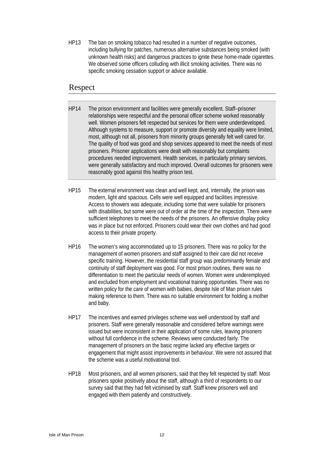HP13 The ban on smoking tobacco had resulted in a number of negative outcomes, including bullying for patches, numerous alternative substances being smoked (with unknown health risks) and dangerous practices to ignite these home-made cigarettes. We observed some officers colluding with illicit smoking activities. There was no specific smoking cessation support or advice available.

### Respect

- HP14 The prison environment and facilities were generally excellent. Staff–prisoner relationships were respectful and the personal officer scheme worked reasonably well. Women prisoners felt respected but services for them were underdeveloped. Although systems to measure, support or promote diversity and equality were limited, most, although not all, prisoners from minority groups generally felt well cared for. The quality of food was good and shop services appeared to meet the needs of most prisoners. Prisoner applications were dealt with reasonably but complaints procedures needed improvement. Health services, in particularly primary services, were generally satisfactory and much improved. Overall outcomes for prisoners were reasonably good against this healthy prison test.
- HP15 The external environment was clean and well kept, and, internally, the prison was modern, light and spacious. Cells were well equipped and facilities impressive. Access to showers was adequate, including some that were suitable for prisoners with disabilities, but some were out of order at the time of the inspection. There were sufficient telephones to meet the needs of the prisoners. An offensive display policy was in place but not enforced. Prisoners could wear their own clothes and had good access to their private property.
- HP16 The women's wing accommodated up to 15 prisoners. There was no policy for the management of women prisoners and staff assigned to their care did not receive specific training. However, the residential staff group was predominantly female and continuity of staff deployment was good. For most prison routines, there was no differentiation to meet the particular needs of women. Women were underemployed and excluded from employment and vocational training opportunities. There was no written policy for the care of women with babies, despite Isle of Man prison rules making reference to them. There was no suitable environment for holding a mother and baby.
- HP17 The incentives and earned privileges scheme was well understood by staff and prisoners. Staff were generally reasonable and considered before warnings were issued but were inconsistent in their application of some rules, leaving prisoners without full confidence in the scheme. Reviews were conducted fairly. The management of prisoners on the basic regime lacked any effective targets or engagement that might assist improvements in behaviour. We were not assured that the scheme was a useful motivational tool.
- HP18 Most prisoners, and all women prisoners, said that they felt respected by staff. Most prisoners spoke positively about the staff, although a third of respondents to our survey said that they had felt victimised by staff. Staff knew prisoners well and engaged with them patiently and constructively.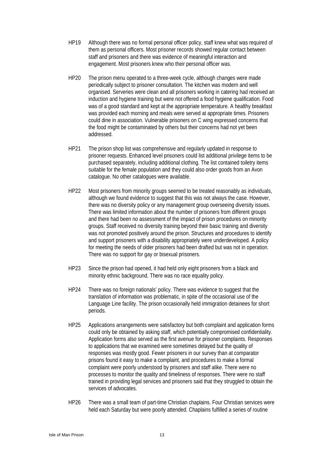- HP19 Although there was no formal personal officer policy, staff knew what was required of them as personal officers. Most prisoner records showed regular contact between staff and prisoners and there was evidence of meaningful interaction and engagement. Most prisoners knew who their personal officer was.
- HP20 The prison menu operated to a three-week cycle, although changes were made periodically subject to prisoner consultation. The kitchen was modern and well organised. Serveries were clean and all prisoners working in catering had received an induction and hygiene training but were not offered a food hygiene qualification. Food was of a good standard and kept at the appropriate temperature. A healthy breakfast was provided each morning and meals were served at appropriate times. Prisoners could dine in association. Vulnerable prisoners on C wing expressed concerns that the food might be contaminated by others but their concerns had not yet been addressed.
- HP21 The prison shop list was comprehensive and regularly updated in response to prisoner requests. Enhanced level prisoners could list additional privilege items to be purchased separately, including additional clothing. The list contained toiletry items suitable for the female population and they could also order goods from an Avon catalogue. No other catalogues were available.
- HP22 Most prisoners from minority groups seemed to be treated reasonably as individuals, although we found evidence to suggest that this was not always the case. However, there was no diversity policy or any management group overseeing diversity issues. There was limited information about the number of prisoners from different groups and there had been no assessment of the impact of prison procedures on minority groups. Staff received no diversity training beyond their basic training and diversity was not promoted positively around the prison. Structures and procedures to identify and support prisoners with a disability appropriately were underdeveloped. A policy for meeting the needs of older prisoners had been drafted but was not in operation. There was no support for gay or bisexual prisoners.
- HP23 Since the prison had opened, it had held only eight prisoners from a black and minority ethnic background. There was no race equality policy.
- HP24 There was no foreign nationals' policy. There was evidence to suggest that the translation of information was problematic, in spite of the occasional use of the Language Line facility. The prison occasionally held immigration detainees for short periods.
- HP25 Applications arrangements were satisfactory but both complaint and application forms could only be obtained by asking staff, which potentially compromised confidentiality. Application forms also served as the first avenue for prisoner complaints. Responses to applications that we examined were sometimes delayed but the quality of responses was mostly good. Fewer prisoners in our survey than at comparator prisons found it easy to make a complaint, and procedures to make a formal complaint were poorly understood by prisoners and staff alike. There were no processes to monitor the quality and timeliness of responses. There were no staff trained in providing legal services and prisoners said that they struggled to obtain the services of advocates.
- HP26 There was a small team of part-time Christian chaplains. Four Christian services were held each Saturday but were poorly attended. Chaplains fulfilled a series of routine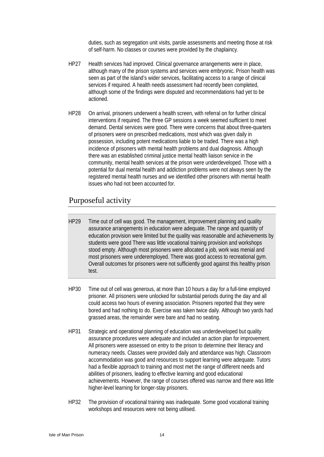duties, such as segregation unit visits, parole assessments and meeting those at risk of self-harm. No classes or courses were provided by the chaplaincy.

- HP27 Health services had improved. Clinical governance arrangements were in place, although many of the prison systems and services were embryonic. Prison health was seen as part of the island's wider services, facilitating access to a range of clinical services if required. A health needs assessment had recently been completed, although some of the findings were disputed and recommendations had yet to be actioned.
- HP28 On arrival, prisoners underwent a health screen, with referral on for further clinical interventions if required. The three GP sessions a week seemed sufficient to meet demand. Dental services were good. There were concerns that about three-quarters of prisoners were on prescribed medications, most which was given daily in possession, including potent medications liable to be traded. There was a high incidence of prisoners with mental health problems and dual diagnosis. Although there was an established criminal justice mental health liaison service in the community, mental health services at the prison were underdeveloped. Those with a potential for dual mental health and addiction problems were not always seen by the registered mental health nurses and we identified other prisoners with mental health issues who had not been accounted for.

### Purposeful activity

- HP29 Time out of cell was good. The management, improvement planning and quality assurance arrangements in education were adequate. The range and quantity of education provision were limited but the quality was reasonable and achievements by students were good There was little vocational training provision and workshops stood empty. Although most prisoners were allocated a job, work was menial and most prisoners were underemployed. There was good access to recreational gym. Overall outcomes for prisoners were not sufficiently good against this healthy prison test.
- HP30 Time out of cell was generous, at more than 10 hours a day for a full-time employed prisoner. All prisoners were unlocked for substantial periods during the day and all could access two hours of evening association. Prisoners reported that they were bored and had nothing to do. Exercise was taken twice daily. Although two yards had grassed areas, the remainder were bare and had no seating.
- HP31 Strategic and operational planning of education was underdeveloped but quality assurance procedures were adequate and included an action plan for improvement. All prisoners were assessed on entry to the prison to determine their literacy and numeracy needs. Classes were provided daily and attendance was high. Classroom accommodation was good and resources to support learning were adequate. Tutors had a flexible approach to training and most met the range of different needs and abilities of prisoners, leading to effective learning and good educational achievements. However, the range of courses offered was narrow and there was little higher-level learning for longer-stay prisoners.
- HP32 The provision of vocational training was inadequate. Some good vocational training workshops and resources were not being utilised.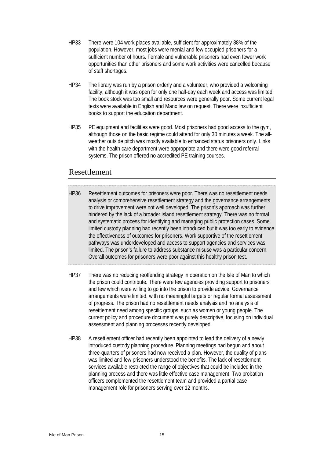- HP33 There were 104 work places available, sufficient for approximately 88% of the population. However, most jobs were menial and few occupied prisoners for a sufficient number of hours. Female and vulnerable prisoners had even fewer work opportunities than other prisoners and some work activities were cancelled because of staff shortages.
- HP34 The library was run by a prison orderly and a volunteer, who provided a welcoming facility, although it was open for only one half-day each week and access was limited. The book stock was too small and resources were generally poor. Some current legal texts were available in English and Manx law on request. There were insufficient books to support the education department.
- HP35 PE equipment and facilities were good. Most prisoners had good access to the gym, although those on the basic regime could attend for only 30 minutes a week. The allweather outside pitch was mostly available to enhanced status prisoners only. Links with the health care department were appropriate and there were good referral systems. The prison offered no accredited PE training courses.

### Resettlement

- HP36 Resettlement outcomes for prisoners were poor. There was no resettlement needs analysis or comprehensive resettlement strategy and the governance arrangements to drive improvement were not well developed. The prison's approach was further hindered by the lack of a broader island resettlement strategy. There was no formal and systematic process for identifying and managing public protection cases. Some limited custody planning had recently been introduced but it was too early to evidence the effectiveness of outcomes for prisoners. Work supportive of the resettlement pathways was underdeveloped and access to support agencies and services was limited. The prison's failure to address substance misuse was a particular concern. Overall outcomes for prisoners were poor against this healthy prison test.
- HP37 There was no reducing reoffending strategy in operation on the Isle of Man to which the prison could contribute. There were few agencies providing support to prisoners and few which were willing to go into the prison to provide advice. Governance arrangements were limited, with no meaningful targets or regular formal assessment of progress. The prison had no resettlement needs analysis and no analysis of resettlement need among specific groups, such as women or young people. The current policy and procedure document was purely descriptive, focusing on individual assessment and planning processes recently developed.
- HP38 A resettlement officer had recently been appointed to lead the delivery of a newly introduced custody planning procedure. Planning meetings had begun and about three-quarters of prisoners had now received a plan. However, the quality of plans was limited and few prisoners understood the benefits. The lack of resettlement services available restricted the range of objectives that could be included in the planning process and there was little effective case management. Two probation officers complemented the resettlement team and provided a partial case management role for prisoners serving over 12 months.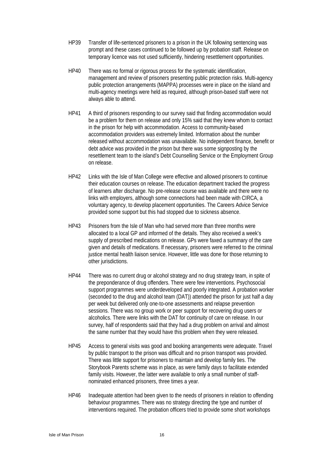- HP39 Transfer of life-sentenced prisoners to a prison in the UK following sentencing was prompt and these cases continued to be followed up by probation staff. Release on temporary licence was not used sufficiently, hindering resettlement opportunities.
- HP40 There was no formal or rigorous process for the systematic identification, management and review of prisoners presenting public protection risks. Multi-agency public protection arrangements (MAPPA) processes were in place on the island and multi-agency meetings were held as required, although prison-based staff were not always able to attend.
- HP41 A third of prisoners responding to our survey said that finding accommodation would be a problem for them on release and only 15% said that they knew whom to contact in the prison for help with accommodation. Access to community-based accommodation providers was extremely limited. Information about the number released without accommodation was unavailable. No independent finance, benefit or debt advice was provided in the prison but there was some signposting by the resettlement team to the island's Debt Counselling Service or the Employment Group on release.
- HP42 Links with the Isle of Man College were effective and allowed prisoners to continue their education courses on release. The education department tracked the progress of learners after discharge. No pre-release course was available and there were no links with employers, although some connections had been made with CIRCA, a voluntary agency, to develop placement opportunities. The Careers Advice Service provided some support but this had stopped due to sickness absence.
- HP43 Prisoners from the Isle of Man who had served more than three months were allocated to a local GP and informed of the details. They also received a week's supply of prescribed medications on release. GPs were faxed a summary of the care given and details of medications. If necessary, prisoners were referred to the criminal justice mental health liaison service. However, little was done for those returning to other jurisdictions.
- HP44 There was no current drug or alcohol strategy and no drug strategy team, in spite of the preponderance of drug offenders. There were few interventions. Psychosocial support programmes were underdeveloped and poorly integrated. A probation worker (seconded to the drug and alcohol team (DAT)) attended the prison for just half a day per week but delivered only one-to-one assessments and relapse prevention sessions. There was no group work or peer support for recovering drug users or alcoholics. There were links with the DAT for continuity of care on release. In our survey, half of respondents said that they had a drug problem on arrival and almost the same number that they would have this problem when they were released.
- HP45 Access to general visits was good and booking arrangements were adequate. Travel by public transport to the prison was difficult and no prison transport was provided. There was little support for prisoners to maintain and develop family ties. The Storybook Parents scheme was in place, as were family days to facilitate extended family visits. However, the latter were available to only a small number of staffnominated enhanced prisoners, three times a year.
- HP46 Inadequate attention had been given to the needs of prisoners in relation to offending behaviour programmes. There was no strategy directing the type and number of interventions required. The probation officers tried to provide some short workshops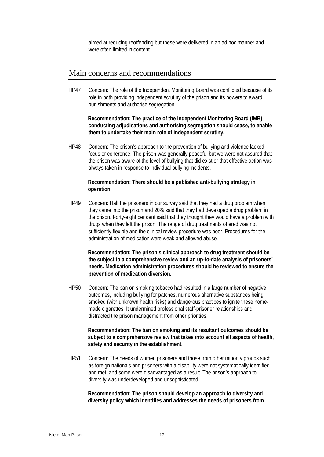aimed at reducing reoffending but these were delivered in an ad hoc manner and were often limited in content.

### Main concerns and recommendations

HP47 Concern: The role of the Independent Monitoring Board was conflicted because of its role in both providing independent scrutiny of the prison and its powers to award punishments and authorise segregation.

**Recommendation: The practice of the Independent Monitoring Board (IMB) conducting adjudications and authorising segregation should cease, to enable them to undertake their main role of independent scrutiny.**

HP48 Concern: The prison's approach to the prevention of bullying and violence lacked focus or coherence. The prison was generally peaceful but we were not assured that the prison was aware of the level of bullying that did exist or that effective action was always taken in response to individual bullying incidents.

#### **Recommendation: There should be a published anti-bullying strategy in operation.**

HP49 Concern: Half the prisoners in our survey said that they had a drug problem when they came into the prison and 20% said that they had developed a drug problem in the prison. Forty-eight per cent said that they thought they would have a problem with drugs when they left the prison. The range of drug treatments offered was not sufficiently flexible and the clinical review procedure was poor. Procedures for the administration of medication were weak and allowed abuse.

**Recommendation: The prison's clinical approach to drug treatment should be the subject to a comprehensive review and an up-to-date analysis of prisoners' needs. Medication administration procedures should be reviewed to ensure the prevention of medication diversion.**

HP50 Concern: The ban on smoking tobacco had resulted in a large number of negative outcomes, including bullying for patches, numerous alternative substances being smoked (with unknown health risks) and dangerous practices to ignite these homemade cigarettes. It undermined professional staff-prisoner relationships and distracted the prison management from other priorities.

**Recommendation: The ban on smoking and its resultant outcomes should be subject to a comprehensive review that takes into account all aspects of health, safety and security in the establishment.** 

HP51 Concern: The needs of women prisoners and those from other minority groups such as foreign nationals and prisoners with a disability were not systematically identified and met, and some were disadvantaged as a result. The prison's approach to diversity was underdeveloped and unsophisticated.

**Recommendation: The prison should develop an approach to diversity and diversity policy which identifies and addresses the needs of prisoners from**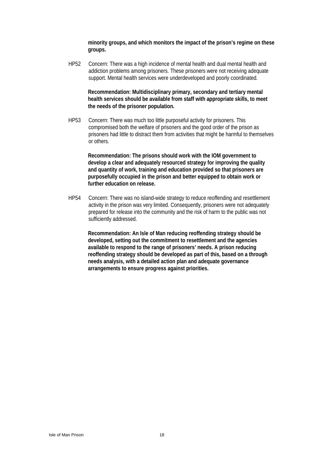**minority groups, and which monitors the impact of the prison's regime on these groups.** 

HP52 Concern: There was a high incidence of mental health and dual mental health and addiction problems among prisoners. These prisoners were not receiving adequate support. Mental health services were underdeveloped and poorly coordinated.

**Recommendation: Multidisciplinary primary, secondary and tertiary mental health services should be available from staff with appropriate skills, to meet the needs of the prisoner population.** 

HP53 Concern: There was much too little purposeful activity for prisoners. This compromised both the welfare of prisoners and the good order of the prison as prisoners had little to distract them from activities that might be harmful to themselves or others.

**Recommendation: The prisons should work with the IOM government to develop a clear and adequately resourced strategy for improving the quality and quantity of work, training and education provided so that prisoners are purposefully occupied in the prison and better equipped to obtain work or further education on release.** 

HP54 Concern: There was no island-wide strategy to reduce reoffending and resettlement activity in the prison was very limited. Consequently, prisoners were not adequately prepared for release into the community and the risk of harm to the public was not sufficiently addressed.

**Recommendation: An Isle of Man reducing reoffending strategy should be developed, setting out the commitment to resettlement and the agencies available to respond to the range of prisoners' needs. A prison reducing reoffending strategy should be developed as part of this, based on a through needs analysis, with a detailed action plan and adequate governance arrangements to ensure progress against priorities.**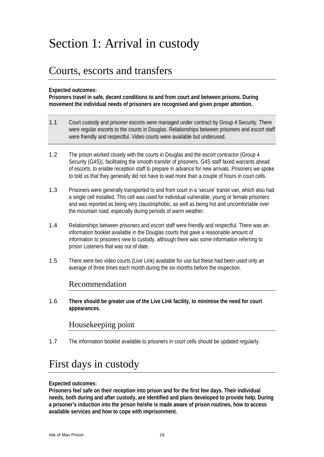# Section 1: Arrival in custody

# Courts, escorts and transfers

#### **Expected outcomes:**

**Prisoners travel in safe, decent conditions to and from court and between prisons. During movement the individual needs of prisoners are recognised and given proper attention.** 

- 1.1 Court custody and prisoner escorts were managed under contract by Group 4 Security. There were regular escorts to the courts in Douglas. Relationships between prisoners and escort staff were friendly and respectful. Video courts were available but underused.
- 1.2 The prison worked closely with the courts in Douglas and the escort contractor (Group 4 Security (G4S)), facilitating the smooth transfer of prisoners. G4S staff faxed warrants ahead of escorts, to enable reception staff to prepare in advance for new arrivals. Prisoners we spoke to told us that they generally did not have to wait more than a couple of hours in court cells.
- 1.3 Prisoners were generally transported to and from court in a 'secure' transit van, which also had a single cell installed. This cell was used for individual vulnerable, young or female prisoners and was reported as being very claustrophobic, as well as being hot and uncomfortable over the mountain road, especially during periods of warm weather.
- 1.4 Relationships between prisoners and escort staff were friendly and respectful. There was an information booklet available in the Douglas courts that gave a reasonable amount of information to prisoners new to custody, although there was some information referring to prison Listeners that was out of date.
- 1.5 There were two video courts (Live Link) available for use but these had been used only an average of three times each month during the six months before the inspection.

### Recommendation

1.6 **There should be greater use of the Live Link facility, to minimise the need for court appearances.** 

### Housekeeping point

1.7 The information booklet available to prisoners in court cells should be updated regularly.

# First days in custody

#### **Expected outcomes:**

**Prisoners feel safe on their reception into prison and for the first few days. Their individual needs, both during and after custody, are identified and plans developed to provide help. During a prisoner's induction into the prison he/she is made aware of prison routines, how to access available services and how to cope with imprisonment.**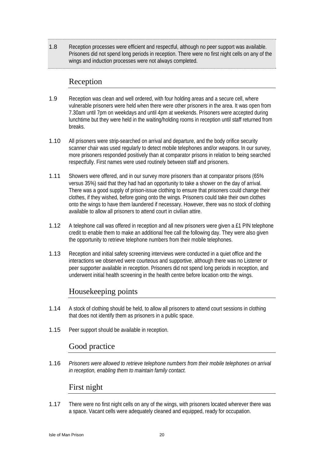1.8 Reception processes were efficient and respectful, although no peer support was available. Prisoners did not spend long periods in reception. There were no first night cells on any of the wings and induction processes were not always completed.

### Reception

- 1.9 Reception was clean and well ordered, with four holding areas and a secure cell, where vulnerable prisoners were held when there were other prisoners in the area. It was open from 7.30am until 7pm on weekdays and until 4pm at weekends. Prisoners were accepted during lunchtime but they were held in the waiting/holding rooms in reception until staff returned from breaks.
- 1.10 All prisoners were strip-searched on arrival and departure, and the body orifice security scanner chair was used regularly to detect mobile telephones and/or weapons. In our survey, more prisoners responded positively than at comparator prisons in relation to being searched respectfully. First names were used routinely between staff and prisoners.
- 1.11 Showers were offered, and in our survey more prisoners than at comparator prisons (65% versus 35%) said that they had had an opportunity to take a shower on the day of arrival. There was a good supply of prison-issue clothing to ensure that prisoners could change their clothes, if they wished, before going onto the wings. Prisoners could take their own clothes onto the wings to have them laundered if necessary. However, there was no stock of clothing available to allow all prisoners to attend court in civilian attire.
- 1.12 A telephone call was offered in reception and all new prisoners were given a £1 PIN telephone credit to enable them to make an additional free call the following day. They were also given the opportunity to retrieve telephone numbers from their mobile telephones.
- 1.13 Reception and initial safety screening interviews were conducted in a quiet office and the interactions we observed were courteous and supportive, although there was no Listener or peer supporter available in reception. Prisoners did not spend long periods in reception, and underwent initial health screening in the health centre before location onto the wings.

## Housekeeping points

- 1.14 A stock of clothing should be held, to allow all prisoners to attend court sessions in clothing that does not identify them as prisoners in a public space.
- 1.15 Peer support should be available in reception.

### Good practice

1.16 *Prisoners were allowed to retrieve telephone numbers from their mobile telephones on arrival in reception, enabling them to maintain family contact.* 

### First night

1.17 There were no first night cells on any of the wings, with prisoners located wherever there was a space. Vacant cells were adequately cleaned and equipped, ready for occupation.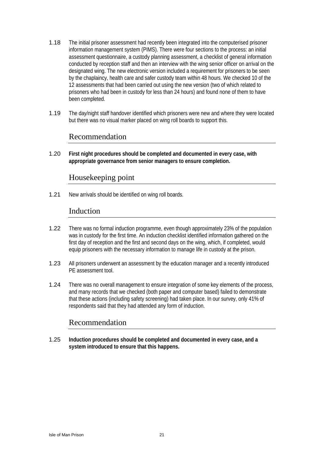- 1.18 The initial prisoner assessment had recently been integrated into the computerised prisoner information management system (PIMS). There were four sections to the process: an initial assessment questionnaire, a custody planning assessment, a checklist of general information conducted by reception staff and then an interview with the wing senior officer on arrival on the designated wing. The new electronic version included a requirement for prisoners to be seen by the chaplaincy, health care and safer custody team within 48 hours. We checked 10 of the 12 assessments that had been carried out using the new version (two of which related to prisoners who had been in custody for less than 24 hours) and found none of them to have been completed.
- 1.19 The day/night staff handover identified which prisoners were new and where they were located but there was no visual marker placed on wing roll boards to support this.

### Recommendation

1.20 **First night procedures should be completed and documented in every case, with appropriate governance from senior managers to ensure completion.** 

### Housekeeping point

1.21 New arrivals should be identified on wing roll boards.

### Induction

- 1.22 There was no formal induction programme, even though approximately 23% of the population was in custody for the first time. An induction checklist identified information gathered on the first day of reception and the first and second days on the wing, which, if completed, would equip prisoners with the necessary information to manage life in custody at the prison.
- 1.23 All prisoners underwent an assessment by the education manager and a recently introduced PE assessment tool.
- 1.24 There was no overall management to ensure integration of some key elements of the process, and many records that we checked (both paper and computer based) failed to demonstrate that these actions (including safety screening) had taken place. In our survey, only 41% of respondents said that they had attended any form of induction.

## Recommendation

1.25 **Induction procedures should be completed and documented in every case, and a system introduced to ensure that this happens.**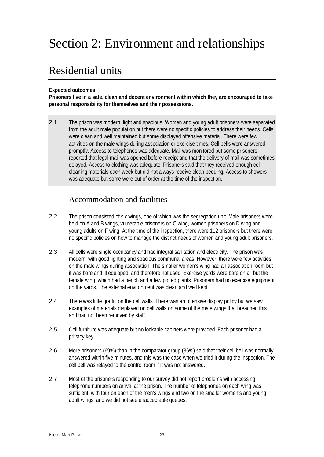# Section 2: Environment and relationships

# Residential units

**Expected outcomes:** 

**Prisoners live in a safe, clean and decent environment within which they are encouraged to take personal responsibility for themselves and their possessions.** 

2.1 The prison was modern, light and spacious. Women and young adult prisoners were separated from the adult male population but there were no specific policies to address their needs. Cells were clean and well maintained but some displayed offensive material. There were few activities on the male wings during association or exercise times. Cell bells were answered promptly. Access to telephones was adequate. Mail was monitored but some prisoners reported that legal mail was opened before receipt and that the delivery of mail was sometimes delayed. Access to clothing was adequate. Prisoners said that they received enough cell cleaning materials each week but did not always receive clean bedding. Access to showers was adequate but some were out of order at the time of the inspection.

## Accommodation and facilities

- 2.2 The prison consisted of six wings, one of which was the segregation unit. Male prisoners were held on A and B wings, vulnerable prisoners on C wing, women prisoners on D wing and young adults on F wing. At the time of the inspection, there were 112 prisoners but there were no specific policies on how to manage the distinct needs of women and young adult prisoners.
- 2.3 All cells were single occupancy and had integral sanitation and electricity. The prison was modern, with good lighting and spacious communal areas. However, there were few activities on the male wings during association. The smaller women's wing had an association room but it was bare and ill equipped, and therefore not used. Exercise yards were bare on all but the female wing, which had a bench and a few potted plants. Prisoners had no exercise equipment on the yards. The external environment was clean and well kept.
- 2.4 There was little graffiti on the cell walls. There was an offensive display policy but we saw examples of materials displayed on cell walls on some of the male wings that breached this and had not been removed by staff.
- 2.5 Cell furniture was adequate but no lockable cabinets were provided. Each prisoner had a privacy key.
- 2.6 More prisoners (69%) than in the comparator group (36%) said that their cell bell was normally answered within five minutes, and this was the case when we tried it during the inspection. The cell bell was relayed to the control room if it was not answered.
- 2.7 Most of the prisoners responding to our survey did not report problems with accessing telephone numbers on arrival at the prison. The number of telephones on each wing was sufficient, with four on each of the men's wings and two on the smaller women's and young adult wings, and we did not see unacceptable queues.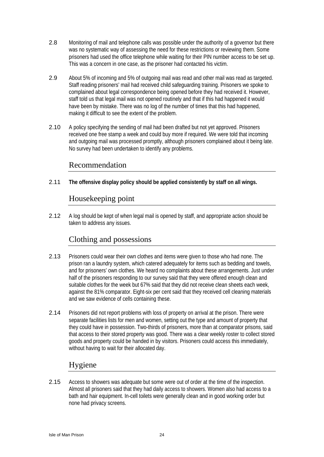- 2.8 Monitoring of mail and telephone calls was possible under the authority of a governor but there was no systematic way of assessing the need for these restrictions or reviewing them. Some prisoners had used the office telephone while waiting for their PIN number access to be set up. This was a concern in one case, as the prisoner had contacted his victim.
- 2.9 About 5% of incoming and 5% of outgoing mail was read and other mail was read as targeted. Staff reading prisoners' mail had received child safeguarding training. Prisoners we spoke to complained about legal correspondence being opened before they had received it. However, staff told us that legal mail was not opened routinely and that if this had happened it would have been by mistake. There was no log of the number of times that this had happened, making it difficult to see the extent of the problem.
- 2.10 A policy specifying the sending of mail had been drafted but not yet approved. Prisoners received one free stamp a week and could buy more if required. We were told that incoming and outgoing mail was processed promptly, although prisoners complained about it being late. No survey had been undertaken to identify any problems.

### Recommendation

2.11 **The offensive display policy should be applied consistently by staff on all wings.** 

## Housekeeping point

2.12 A log should be kept of when legal mail is opened by staff, and appropriate action should be taken to address any issues.

## Clothing and possessions

- 2.13 Prisoners could wear their own clothes and items were given to those who had none. The prison ran a laundry system, which catered adequately for items such as bedding and towels, and for prisoners' own clothes. We heard no complaints about these arrangements. Just under half of the prisoners responding to our survey said that they were offered enough clean and suitable clothes for the week but 67% said that they did not receive clean sheets each week, against the 81% comparator. Eight-six per cent said that they received cell cleaning materials and we saw evidence of cells containing these.
- 2.14 Prisoners did not report problems with loss of property on arrival at the prison. There were separate facilities lists for men and women, setting out the type and amount of property that they could have in possession. Two-thirds of prisoners, more than at comparator prisons, said that access to their stored property was good. There was a clear weekly roster to collect stored goods and property could be handed in by visitors. Prisoners could access this immediately, without having to wait for their allocated day.

## Hygiene

2.15 Access to showers was adequate but some were out of order at the time of the inspection. Almost all prisoners said that they had daily access to showers. Women also had access to a bath and hair equipment. In-cell toilets were generally clean and in good working order but none had privacy screens.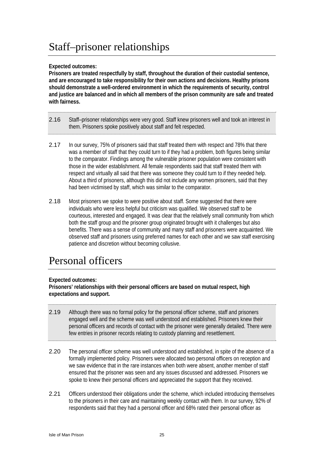### **Expected outcomes:**

**Prisoners are treated respectfully by staff, throughout the duration of their custodial sentence, and are encouraged to take responsibility for their own actions and decisions. Healthy prisons should demonstrate a well-ordered environment in which the requirements of security, control and justice are balanced and in which all members of the prison community are safe and treated with fairness.** 

- 2.16 Staff–prisoner relationships were very good. Staff knew prisoners well and took an interest in them. Prisoners spoke positively about staff and felt respected.
- 2.17 In our survey, 75% of prisoners said that staff treated them with respect and 78% that there was a member of staff that they could turn to if they had a problem, both figures being similar to the comparator. Findings among the vulnerable prisoner population were consistent with those in the wider establishment. All female respondents said that staff treated them with respect and virtually all said that there was someone they could turn to if they needed help. About a third of prisoners, although this did not include any women prisoners, said that they had been victimised by staff, which was similar to the comparator.
- 2.18 Most prisoners we spoke to were positive about staff. Some suggested that there were individuals who were less helpful but criticism was qualified. We observed staff to be courteous, interested and engaged. It was clear that the relatively small community from which both the staff group and the prisoner group originated brought with it challenges but also benefits. There was a sense of community and many staff and prisoners were acquainted. We observed staff and prisoners using preferred names for each other and we saw staff exercising patience and discretion without becoming collusive.

# Personal officers

### **Expected outcomes:**

**Prisoners' relationships with their personal officers are based on mutual respect, high expectations and support.** 

- 2.19 Although there was no formal policy for the personal officer scheme, staff and prisoners engaged well and the scheme was well understood and established. Prisoners knew their personal officers and records of contact with the prisoner were generally detailed. There were few entries in prisoner records relating to custody planning and resettlement.
- 2.20 The personal officer scheme was well understood and established, in spite of the absence of a formally implemented policy. Prisoners were allocated two personal officers on reception and we saw evidence that in the rare instances when both were absent, another member of staff ensured that the prisoner was seen and any issues discussed and addressed. Prisoners we spoke to knew their personal officers and appreciated the support that they received.
- 2.21 Officers understood their obligations under the scheme, which included introducing themselves to the prisoners in their care and maintaining weekly contact with them. In our survey, 92% of respondents said that they had a personal officer and 68% rated their personal officer as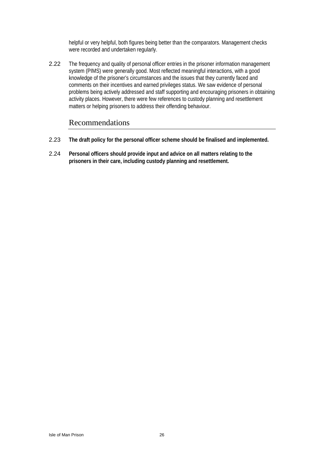helpful or very helpful, both figures being better than the comparators. Management checks were recorded and undertaken regularly.

2.22 The frequency and quality of personal officer entries in the prisoner information management system (PIMS) were generally good. Most reflected meaningful interactions, with a good knowledge of the prisoner's circumstances and the issues that they currently faced and comments on their incentives and earned privileges status. We saw evidence of personal problems being actively addressed and staff supporting and encouraging prisoners in obtaining activity places. However, there were few references to custody planning and resettlement matters or helping prisoners to address their offending behaviour.

### Recommendations

- 2.23 **The draft policy for the personal officer scheme should be finalised and implemented.**
- 2.24 **Personal officers should provide input and advice on all matters relating to the prisoners in their care, including custody planning and resettlement.**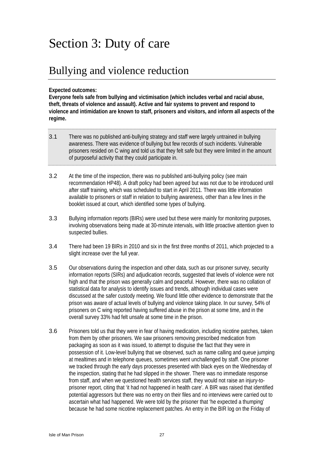# Section 3: Duty of care

# Bullying and violence reduction

#### **Expected outcomes:**

**Everyone feels safe from bullying and victimisation (which includes verbal and racial abuse, theft, threats of violence and assault). Active and fair systems to prevent and respond to violence and intimidation are known to staff, prisoners and visitors, and inform all aspects of the regime.** 

- 3.1 There was no published anti-bullying strategy and staff were largely untrained in bullying awareness. There was evidence of bullying but few records of such incidents. Vulnerable prisoners resided on C wing and told us that they felt safe but they were limited in the amount of purposeful activity that they could participate in.
- 3.2 At the time of the inspection, there was no published anti-bullying policy (see main recommendation HP48). A draft policy had been agreed but was not due to be introduced until after staff training, which was scheduled to start in April 2011. There was little information available to prisoners or staff in relation to bullying awareness, other than a few lines in the booklet issued at court, which identified some types of bullying.
- 3.3 Bullying information reports (BIRs) were used but these were mainly for monitoring purposes, involving observations being made at 30-minute intervals, with little proactive attention given to suspected bullies.
- 3.4 There had been 19 BIRs in 2010 and six in the first three months of 2011, which projected to a slight increase over the full year.
- 3.5 Our observations during the inspection and other data, such as our prisoner survey, security information reports (SIRs) and adjudication records, suggested that levels of violence were not high and that the prison was generally calm and peaceful. However, there was no collation of statistical data for analysis to identify issues and trends, although individual cases were discussed at the safer custody meeting. We found little other evidence to demonstrate that the prison was aware of actual levels of bullying and violence taking place. In our survey, 54% of prisoners on C wing reported having suffered abuse in the prison at some time, and in the overall survey 33% had felt unsafe at some time in the prison.
- 3.6 Prisoners told us that they were in fear of having medication, including nicotine patches, taken from them by other prisoners. We saw prisoners removing prescribed medication from packaging as soon as it was issued, to attempt to disguise the fact that they were in possession of it. Low-level bullying that we observed, such as name calling and queue jumping at mealtimes and in telephone queues, sometimes went unchallenged by staff. One prisoner we tracked through the early days processes presented with black eyes on the Wednesday of the inspection, stating that he had slipped in the shower. There was no immediate response from staff, and when we questioned health services staff, they would not raise an injury-toprisoner report, citing that 'it had not happened in health care'. A BIR was raised that identified potential aggressors but there was no entry on their files and no interviews were carried out to ascertain what had happened. We were told by the prisoner that 'he expected a thumping' because he had some nicotine replacement patches. An entry in the BIR log on the Friday of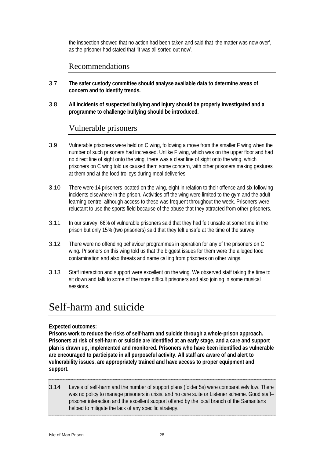the inspection showed that no action had been taken and said that 'the matter was now over', as the prisoner had stated that 'it was all sorted out now'.

### Recommendations

- 3.7 **The safer custody committee should analyse available data to determine areas of concern and to identify trends.**
- 3.8 **All incidents of suspected bullying and injury should be properly investigated and a programme to challenge bullying should be introduced.**

### Vulnerable prisoners

- 3.9 Vulnerable prisoners were held on C wing, following a move from the smaller F wing when the number of such prisoners had increased. Unlike F wing, which was on the upper floor and had no direct line of sight onto the wing, there was a clear line of sight onto the wing, which prisoners on C wing told us caused them some concern, with other prisoners making gestures at them and at the food trolleys during meal deliveries.
- 3.10 There were 14 prisoners located on the wing, eight in relation to their offence and six following incidents elsewhere in the prison. Activities off the wing were limited to the gym and the adult learning centre, although access to these was frequent throughout the week. Prisoners were reluctant to use the sports field because of the abuse that they attracted from other prisoners.
- 3.11 In our survey, 66% of vulnerable prisoners said that they had felt unsafe at some time in the prison but only 15% (two prisoners) said that they felt unsafe at the time of the survey.
- 3.12 There were no offending behaviour programmes in operation for any of the prisoners on C wing. Prisoners on this wing told us that the biggest issues for them were the alleged food contamination and also threats and name calling from prisoners on other wings.
- 3.13 Staff interaction and support were excellent on the wing. We observed staff taking the time to sit down and talk to some of the more difficult prisoners and also joining in some musical sessions.

# Self-harm and suicide

#### **Expected outcomes:**

**Prisons work to reduce the risks of self-harm and suicide through a whole-prison approach. Prisoners at risk of self-harm or suicide are identified at an early stage, and a care and support plan is drawn up, implemented and monitored. Prisoners who have been identified as vulnerable are encouraged to participate in all purposeful activity. All staff are aware of and alert to vulnerability issues, are appropriately trained and have access to proper equipment and support.** 

3.14 Levels of self-harm and the number of support plans (folder 5s) were comparatively low. There was no policy to manage prisoners in crisis, and no care suite or Listener scheme. Good staffprisoner interaction and the excellent support offered by the local branch of the Samaritans helped to mitigate the lack of any specific strategy.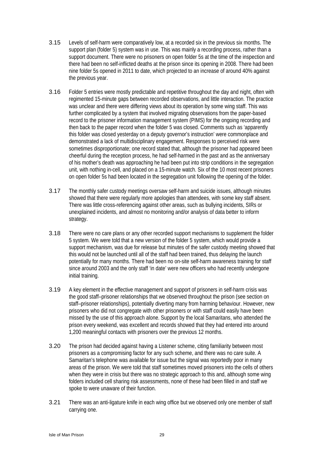- 3.15 Levels of self-harm were comparatively low, at a recorded six in the previous six months. The support plan (folder 5) system was in use. This was mainly a recording process, rather than a support document. There were no prisoners on open folder 5s at the time of the inspection and there had been no self-inflicted deaths at the prison since its opening in 2008. There had been nine folder 5s opened in 2011 to date, which projected to an increase of around 40% against the previous year.
- 3.16 Folder 5 entries were mostly predictable and repetitive throughout the day and night, often with regimented 15-minute gaps between recorded observations, and little interaction. The practice was unclear and there were differing views about its operation by some wing staff. This was further complicated by a system that involved migrating observations from the paper-based record to the prisoner information management system (PIMS) for the ongoing recording and then back to the paper record when the folder 5 was closed. Comments such as 'apparently this folder was closed yesterday on a deputy governor's instruction' were commonplace and demonstrated a lack of multidisciplinary engagement. Responses to perceived risk were sometimes disproportionate; one record stated that, although the prisoner had appeared been cheerful during the reception process, he had self-harmed in the past and as the anniversary of his mother's death was approaching he had been put into strip conditions in the segregation unit, with nothing in-cell, and placed on a 15-minute watch. Six of the 10 most recent prisoners on open folder 5s had been located in the segregation unit following the opening of the folder.
- 3.17 The monthly safer custody meetings oversaw self-harm and suicide issues, although minutes showed that there were regularly more apologies than attendees, with some key staff absent. There was little cross-referencing against other areas, such as bullying incidents, SIRs or unexplained incidents, and almost no monitoring and/or analysis of data better to inform strategy.
- 3.18 There were no care plans or any other recorded support mechanisms to supplement the folder 5 system. We were told that a new version of the folder 5 system, which would provide a support mechanism, was due for release but minutes of the safer custody meeting showed that this would not be launched until all of the staff had been trained, thus delaying the launch potentially for many months. There had been no on-site self-harm awareness training for staff since around 2003 and the only staff 'in date' were new officers who had recently undergone initial training.
- 3.19 A key element in the effective management and support of prisoners in self-harm crisis was the good staff–prisoner relationships that we observed throughout the prison (see section on staff–prisoner relationships), potentially diverting many from harming behaviour. However, new prisoners who did not congregate with other prisoners or with staff could easily have been missed by the use of this approach alone. Support by the local Samaritans, who attended the prison every weekend, was excellent and records showed that they had entered into around 1,200 meaningful contacts with prisoners over the previous 12 months.
- 3.20 The prison had decided against having a Listener scheme, citing familiarity between most prisoners as a compromising factor for any such scheme, and there was no care suite. A Samaritan's telephone was available for issue but the signal was reportedly poor in many areas of the prison. We were told that staff sometimes moved prisoners into the cells of others when they were in crisis but there was no strategic approach to this and, although some wing folders included cell sharing risk assessments, none of these had been filled in and staff we spoke to were unaware of their function.
- 3.21 There was an anti-ligature knife in each wing office but we observed only one member of staff carrying one.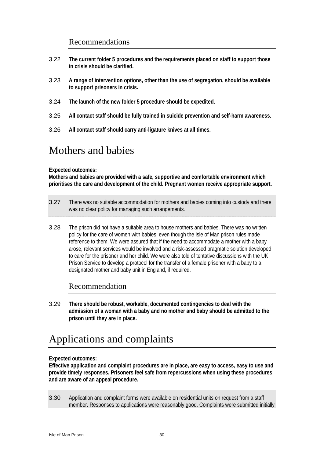### Recommendations

- 3.22 **The current folder 5 procedures and the requirements placed on staff to support those in crisis should be clarified.**
- 3.23 **A range of intervention options, other than the use of segregation, should be available to support prisoners in crisis.**
- 3.24 **The launch of the new folder 5 procedure should be expedited.**
- 3.25 **All contact staff should be fully trained in suicide prevention and self-harm awareness.**
- 3.26 **All contact staff should carry anti-ligature knives at all times.**

## Mothers and babies

#### **Expected outcomes:**

**Mothers and babies are provided with a safe, supportive and comfortable environment which prioritises the care and development of the child. Pregnant women receive appropriate support.** 

- 3.27 There was no suitable accommodation for mothers and babies coming into custody and there was no clear policy for managing such arrangements.
- 3.28 The prison did not have a suitable area to house mothers and babies. There was no written policy for the care of women with babies, even though the Isle of Man prison rules made reference to them. We were assured that if the need to accommodate a mother with a baby arose, relevant services would be involved and a risk-assessed pragmatic solution developed to care for the prisoner and her child. We were also told of tentative discussions with the UK Prison Service to develop a protocol for the transfer of a female prisoner with a baby to a designated mother and baby unit in England, if required.

### Recommendation

3.29 **There should be robust, workable, documented contingencies to deal with the admission of a woman with a baby and no mother and baby should be admitted to the prison until they are in place.** 

# Applications and complaints

#### **Expected outcomes:**

**Effective application and complaint procedures are in place, are easy to access, easy to use and provide timely responses. Prisoners feel safe from repercussions when using these procedures and are aware of an appeal procedure.** 

3.30 Application and complaint forms were available on residential units on request from a staff member. Responses to applications were reasonably good. Complaints were submitted initially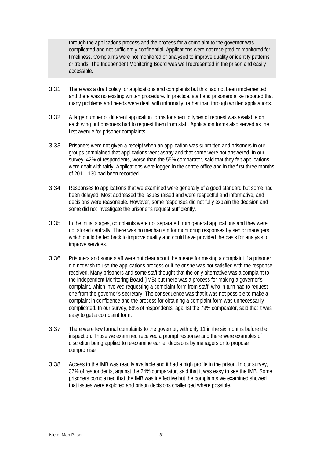through the applications process and the process for a complaint to the governor was complicated and not sufficiently confidential. Applications were not receipted or monitored for timeliness. Complaints were not monitored or analysed to improve quality or identify patterns or trends. The Independent Monitoring Board was well represented in the prison and easily accessible.

- 3.31 There was a draft policy for applications and complaints but this had not been implemented and there was no existing written procedure. In practice, staff and prisoners alike reported that many problems and needs were dealt with informally, rather than through written applications.
- 3.32 A large number of different application forms for specific types of request was available on each wing but prisoners had to request them from staff. Application forms also served as the first avenue for prisoner complaints.
- 3.33 Prisoners were not given a receipt when an application was submitted and prisoners in our groups complained that applications went astray and that some were not answered. In our survey, 42% of respondents, worse than the 55% comparator, said that they felt applications were dealt with fairly. Applications were logged in the centre office and in the first three months of 2011, 130 had been recorded.
- 3.34 Responses to applications that we examined were generally of a good standard but some had been delayed. Most addressed the issues raised and were respectful and informative, and decisions were reasonable. However, some responses did not fully explain the decision and some did not investigate the prisoner's request sufficiently.
- 3.35 In the initial stages, complaints were not separated from general applications and they were not stored centrally. There was no mechanism for monitoring responses by senior managers which could be fed back to improve quality and could have provided the basis for analysis to improve services.
- 3.36 Prisoners and some staff were not clear about the means for making a complaint if a prisoner did not wish to use the applications process or if he or she was not satisfied with the response received. Many prisoners and some staff thought that the only alternative was a complaint to the Independent Monitoring Board (IMB) but there was a process for making a governor's complaint, which involved requesting a complaint form from staff, who in turn had to request one from the governor's secretary. The consequence was that it was not possible to make a complaint in confidence and the process for obtaining a complaint form was unnecessarily complicated. In our survey, 69% of respondents, against the 79% comparator, said that it was easy to get a complaint form.
- 3.37 There were few formal complaints to the governor, with only 11 in the six months before the inspection. Those we examined received a prompt response and there were examples of discretion being applied to re-examine earlier decisions by managers or to propose compromise.
- 3.38 Access to the IMB was readily available and it had a high profile in the prison. In our survey, 37% of respondents, against the 24% comparator, said that it was easy to see the IMB. Some prisoners complained that the IMB was ineffective but the complaints we examined showed that issues were explored and prison decisions challenged where possible.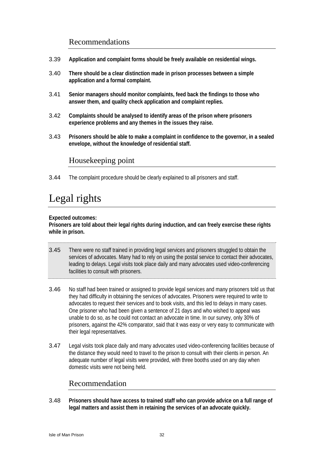### Recommendations

- 3.39 **Application and complaint forms should be freely available on residential wings.**
- 3.40 **There should be a clear distinction made in prison processes between a simple application and a formal complaint.**
- 3.41 **Senior managers should monitor complaints, feed back the findings to those who answer them, and quality check application and complaint replies.**
- 3.42 **Complaints should be analysed to identify areas of the prison where prisoners experience problems and any themes in the issues they raise.**
- 3.43 **Prisoners should be able to make a complaint in confidence to the governor, in a sealed envelope, without the knowledge of residential staff.**

### Housekeeping point

3.44 The complaint procedure should be clearly explained to all prisoners and staff.

# Legal rights

**Expected outcomes:** 

**Prisoners are told about their legal rights during induction, and can freely exercise these rights while in prison.** 

- 3.45 There were no staff trained in providing legal services and prisoners struggled to obtain the services of advocates. Many had to rely on using the postal service to contact their advocates, leading to delays. Legal visits took place daily and many advocates used video-conferencing facilities to consult with prisoners.
- 3.46 No staff had been trained or assigned to provide legal services and many prisoners told us that they had difficulty in obtaining the services of advocates. Prisoners were required to write to advocates to request their services and to book visits, and this led to delays in many cases. One prisoner who had been given a sentence of 21 days and who wished to appeal was unable to do so, as he could not contact an advocate in time. In our survey, only 30% of prisoners, against the 42% comparator, said that it was easy or very easy to communicate with their legal representatives.
- 3.47 Legal visits took place daily and many advocates used video-conferencing facilities because of the distance they would need to travel to the prison to consult with their clients in person. An adequate number of legal visits were provided, with three booths used on any day when domestic visits were not being held.

### Recommendation

3.48 **Prisoners should have access to trained staff who can provide advice on a full range of legal matters and assist them in retaining the services of an advocate quickly.**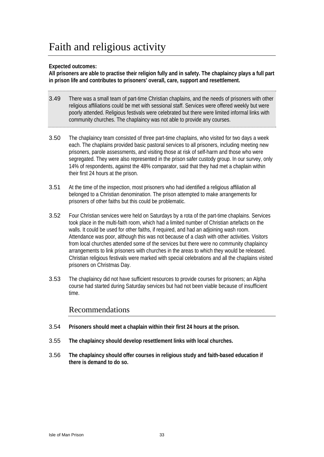# Faith and religious activity

### **Expected outcomes:**

**All prisoners are able to practise their religion fully and in safety. The chaplaincy plays a full part in prison life and contributes to prisoners' overall, care, support and resettlement.** 

- 3.49 There was a small team of part-time Christian chaplains, and the needs of prisoners with other religious affiliations could be met with sessional staff. Services were offered weekly but were poorly attended. Religious festivals were celebrated but there were limited informal links with community churches. The chaplaincy was not able to provide any courses.
- 3.50 The chaplaincy team consisted of three part-time chaplains, who visited for two days a week each. The chaplains provided basic pastoral services to all prisoners, including meeting new prisoners, parole assessments, and visiting those at risk of self-harm and those who were segregated. They were also represented in the prison safer custody group. In our survey, only 14% of respondents, against the 48% comparator, said that they had met a chaplain within their first 24 hours at the prison.
- 3.51 At the time of the inspection, most prisoners who had identified a religious affiliation all belonged to a Christian denomination. The prison attempted to make arrangements for prisoners of other faiths but this could be problematic.
- 3.52 Four Christian services were held on Saturdays by a rota of the part-time chaplains. Services took place in the multi-faith room, which had a limited number of Christian artefacts on the walls. It could be used for other faiths, if required, and had an adjoining wash room. Attendance was poor, although this was not because of a clash with other activities. Visitors from local churches attended some of the services but there were no community chaplaincy arrangements to link prisoners with churches in the areas to which they would be released. Christian religious festivals were marked with special celebrations and all the chaplains visited prisoners on Christmas Day.
- 3.53 The chaplaincy did not have sufficient resources to provide courses for prisoners; an Alpha course had started during Saturday services but had not been viable because of insufficient time.

### Recommendations

- 3.54 **Prisoners should meet a chaplain within their first 24 hours at the prison.**
- 3.55 **The chaplaincy should develop resettlement links with local churches.**
- 3.56 **The chaplaincy should offer courses in religious study and faith-based education if there is demand to do so.**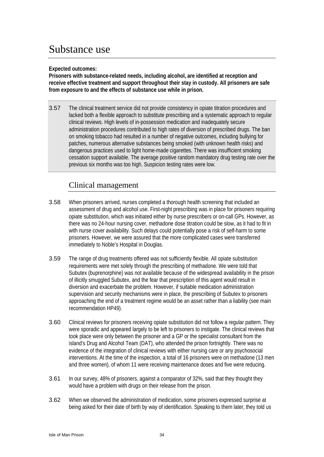# Substance use

#### **Expected outcomes:**

**Prisoners with substance-related needs, including alcohol, are identified at reception and receive effective treatment and support throughout their stay in custody. All prisoners are safe from exposure to and the effects of substance use while in prison.** 

3.57 The clinical treatment service did not provide consistency in opiate titration procedures and lacked both a flexible approach to substitute prescribing and a systematic approach to regular clinical reviews. High levels of in-possession medication and inadequately secure administration procedures contributed to high rates of diversion of prescribed drugs. The ban on smoking tobacco had resulted in a number of negative outcomes, including bullying for patches, numerous alternative substances being smoked (with unknown health risks) and dangerous practices used to light home-made cigarettes. There was insufficient smoking cessation support available. The average positive random mandatory drug testing rate over the previous six months was too high. Suspicion testing rates were low.

### Clinical management

- 3.58 When prisoners arrived, nurses completed a thorough health screening that included an assessment of drug and alcohol use. First-night prescribing was in place for prisoners requiring opiate substitution, which was initiated either by nurse prescribers or on-call GPs. However, as there was no 24-hour nursing cover, methadone dose titration could be slow, as it had to fit in with nurse cover availability. Such delays could potentially pose a risk of self-harm to some prisoners. However, we were assured that the more complicated cases were transferred immediately to Noble's Hospital in Douglas.
- 3.59 The range of drug treatments offered was not sufficiently flexible. All opiate substitution requirements were met solely through the prescribing of methadone. We were told that Subutex (buprenorphine) was not available because of the widespread availability in the prison of illicitly smuggled Subutex, and the fear that prescription of this agent would result in diversion and exacerbate the problem. However, if suitable medication administration supervision and security mechanisms were in place, the prescribing of Subutex to prisoners approaching the end of a treatment regime would be an asset rather than a liability (see main recommendation HP49).
- 3.60 Clinical reviews for prisoners receiving opiate substitution did not follow a regular pattern. They were sporadic and appeared largely to be left to prisoners to instigate. The clinical reviews that took place were only between the prisoner and a GP or the specialist consultant from the island's Drug and Alcohol Team (DAT), who attended the prison fortnightly. There was no evidence of the integration of clinical reviews with either nursing care or any psychosocial interventions. At the time of the inspection, a total of 16 prisoners were on methadone (13 men and three women), of whom 11 were receiving maintenance doses and five were reducing.
- 3.61 In our survey, 48% of prisoners, against a comparator of 32%, said that they thought they would have a problem with drugs on their release from the prison.
- 3.62 When we observed the administration of medication, some prisoners expressed surprise at being asked for their date of birth by way of identification. Speaking to them later, they told us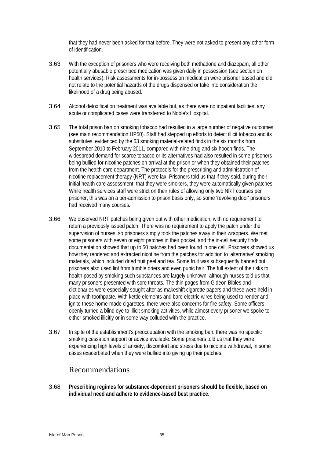that they had never been asked for that before. They were not asked to present any other form of identification.

- 3.63 With the exception of prisoners who were receiving both methadone and diazepam, all other potentially abusable prescribed medication was given daily in possession (see section on health services). Risk assessments for in-possession medication were prisoner based and did not relate to the potential hazards of the drugs dispensed or take into consideration the likelihood of a drug being abused.
- 3.64 Alcohol detoxification treatment was available but, as there were no inpatient facilities, any acute or complicated cases were transferred to Noble's Hospital.
- 3.65 The total prison ban on smoking tobacco had resulted in a large number of negative outcomes (see main recommendation HP50). Staff had stepped up efforts to detect illicit tobacco and its substitutes, evidenced by the 63 smoking material-related finds in the six months from September 2010 to February 2011, compared with nine drug and six hooch finds. The widespread demand for scarce tobacco or its alternatives had also resulted in some prisoners being bullied for nicotine patches on arrival at the prison or when they obtained their patches from the health care department. The protocols for the prescribing and administration of nicotine replacement therapy (NRT) were lax. Prisoners told us that if they said, during their initial health care assessment, that they were smokers, they were automatically given patches. While health services staff were strict on their rules of allowing only two NRT courses per prisoner, this was on a per-admission to prison basis only, so some 'revolving door' prisoners had received many courses.
- 3.66 We observed NRT patches being given out with other medication, with no requirement to return a previously issued patch. There was no requirement to apply the patch under the supervision of nurses, so prisoners simply took the patches away in their wrappers. We met some prisoners with seven or eight patches in their pocket, and the in-cell security finds documentation showed that up to 50 patches had been found in one cell. Prisoners showed us how they rendered and extracted nicotine from the patches for addition to 'alternative' smoking materials, which included dried fruit peel and tea. Some fruit was subsequently banned but prisoners also used lint from tumble driers and even pubic hair. The full extent of the risks to health posed by smoking such substances are largely unknown, although nurses told us that many prisoners presented with sore throats. The thin pages from Gideon Bibles and dictionaries were especially sought after as makeshift cigarette papers and these were held in place with toothpaste. With kettle elements and bare electric wires being used to render and ignite these home-made cigarettes, there were also concerns for fire safety. Some officers openly turned a blind eye to illicit smoking activities, while almost every prisoner we spoke to either smoked illicitly or in some way colluded with the practice.
- 3.67 In spite of the establishment's preoccupation with the smoking ban, there was no specific smoking cessation support or advice available. Some prisoners told us that they were experiencing high levels of anxiety, discomfort and stress due to nicotine withdrawal, in some cases exacerbated when they were bullied into giving up their patches.

## Recommendations

3.68 **Prescribing regimes for substance-dependent prisoners should be flexible, based on individual need and adhere to evidence-based best practice.**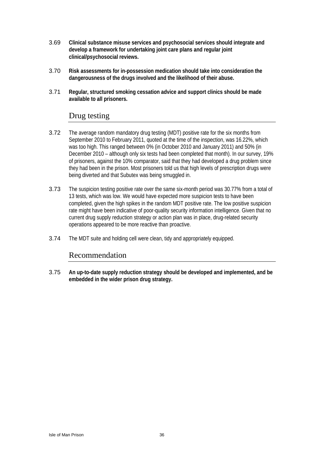- 3.69 **Clinical substance misuse services and psychosocial services should integrate and develop a framework for undertaking joint care plans and regular joint clinical/psychosocial reviews.**
- 3.70 **Risk assessments for in-possession medication should take into consideration the dangerousness of the drugs involved and the likelihood of their abuse.**
- 3.71 **Regular, structured smoking cessation advice and support clinics should be made available to all prisoners.**

#### Drug testing

- 3.72 The average random mandatory drug testing (MDT) positive rate for the six months from September 2010 to February 2011, quoted at the time of the inspection, was 16.22%, which was too high. This ranged between 0% (in October 2010 and January 2011) and 50% (in December 2010 – although only six tests had been completed that month). In our survey, 19% of prisoners, against the 10% comparator, said that they had developed a drug problem since they had been in the prison. Most prisoners told us that high levels of prescription drugs were being diverted and that Subutex was being smuggled in.
- 3.73 The suspicion testing positive rate over the same six-month period was 30.77% from a total of 13 tests, which was low. We would have expected more suspicion tests to have been completed, given the high spikes in the random MDT positive rate. The low positive suspicion rate might have been indicative of poor-quality security information intelligence. Given that no current drug supply reduction strategy or action plan was in place, drug-related security operations appeared to be more reactive than proactive.
- 3.74 The MDT suite and holding cell were clean, tidy and appropriately equipped.

## Recommendation

3.75 **An up-to-date supply reduction strategy should be developed and implemented, and be embedded in the wider prison drug strategy.**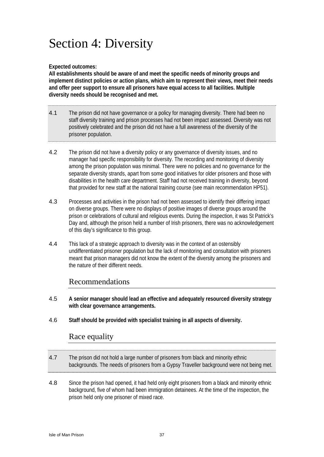# Section 4: Diversity

#### **Expected outcomes:**

**All establishments should be aware of and meet the specific needs of minority groups and implement distinct policies or action plans, which aim to represent their views, meet their needs and offer peer support to ensure all prisoners have equal access to all facilities. Multiple diversity needs should be recognised and met.** 

- 4.1 The prison did not have governance or a policy for managing diversity. There had been no staff diversity training and prison processes had not been impact assessed. Diversity was not positively celebrated and the prison did not have a full awareness of the diversity of the prisoner population.
- 4.2 The prison did not have a diversity policy or any governance of diversity issues, and no manager had specific responsibility for diversity. The recording and monitoring of diversity among the prison population was minimal. There were no policies and no governance for the separate diversity strands, apart from some good initiatives for older prisoners and those with disabilities in the health care department. Staff had not received training in diversity, beyond that provided for new staff at the national training course (see main recommendation HP51).
- 4.3 Processes and activities in the prison had not been assessed to identify their differing impact on diverse groups. There were no displays of positive images of diverse groups around the prison or celebrations of cultural and religious events. During the inspection, it was St Patrick's Day and, although the prison held a number of Irish prisoners, there was no acknowledgement of this day's significance to this group.
- 4.4 This lack of a strategic approach to diversity was in the context of an ostensibly undifferentiated prisoner population but the lack of monitoring and consultation with prisoners meant that prison managers did not know the extent of the diversity among the prisoners and the nature of their different needs.

## Recommendations

- 4.5 **A senior manager should lead an effective and adequately resourced diversity strategy with clear governance arrangements.**
- 4.6 **Staff should be provided with specialist training in all aspects of diversity.**

## Race equality

| 4.7 | The prison did not hold a large number of prisoners from black and minority ethnic<br>backgrounds. The needs of prisoners from a Gypsy Traveller background were not being met. |
|-----|---------------------------------------------------------------------------------------------------------------------------------------------------------------------------------|
|     |                                                                                                                                                                                 |

4.8 Since the prison had opened, it had held only eight prisoners from a black and minority ethnic background, five of whom had been immigration detainees. At the time of the inspection, the prison held only one prisoner of mixed race.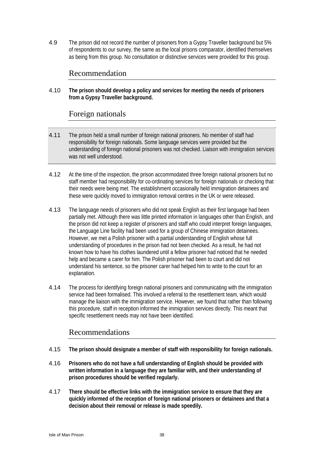4.9 The prison did not record the number of prisoners from a Gypsy Traveller background but 5% of respondents to our survey, the same as the local prisons comparator, identified themselves as being from this group. No consultation or distinctive services were provided for this group.

## Recommendation

4.10 **The prison should develop a policy and services for meeting the needs of prisoners from a Gypsy Traveller background.** 

#### Foreign nationals

- 4.11 The prison held a small number of foreign national prisoners. No member of staff had responsibility for foreign nationals. Some language services were provided but the understanding of foreign national prisoners was not checked. Liaison with immigration services was not well understood.
- 4.12 At the time of the inspection, the prison accommodated three foreign national prisoners but no staff member had responsibility for co-ordinating services for foreign nationals or checking that their needs were being met. The establishment occasionally held immigration detainees and these were quickly moved to immigration removal centres in the UK or were released.
- 4.13 The language needs of prisoners who did not speak English as their first language had been partially met. Although there was little printed information in languages other than English, and the prison did not keep a register of prisoners and staff who could interpret foreign languages, the Language Line facility had been used for a group of Chinese immigration detainees. However, we met a Polish prisoner with a partial understanding of English whose full understanding of procedures in the prison had not been checked. As a result, he had not known how to have his clothes laundered until a fellow prisoner had noticed that he needed help and became a carer for him. The Polish prisoner had been to court and did not understand his sentence, so the prisoner carer had helped him to write to the court for an explanation.
- 4.14 The process for identifying foreign national prisoners and communicating with the immigration service had been formalised. This involved a referral to the resettlement team, which would manage the liaison with the immigration service. However, we found that rather than following this procedure, staff in reception informed the immigration services directly. This meant that specific resettlement needs may not have been identified.

- 4.15 **The prison should designate a member of staff with responsibility for foreign nationals.**
- 4.16 **Prisoners who do not have a full understanding of English should be provided with written information in a language they are familiar with, and their understanding of prison procedures should be verified regularly.**
- 4.17 **There should be effective links with the immigration service to ensure that they are quickly informed of the reception of foreign national prisoners or detainees and that a decision about their removal or release is made speedily.**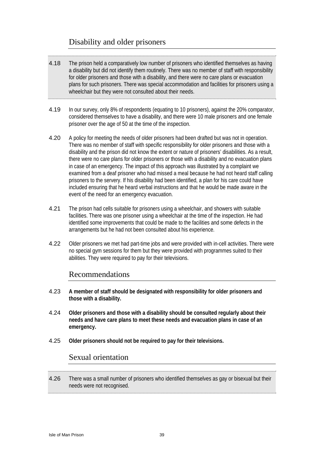## Disability and older prisoners

- 4.18 The prison held a comparatively low number of prisoners who identified themselves as having a disability but did not identify them routinely. There was no member of staff with responsibility for older prisoners and those with a disability, and there were no care plans or evacuation plans for such prisoners. There was special accommodation and facilities for prisoners using a wheelchair but they were not consulted about their needs.
- 4.19 In our survey, only 8% of respondents (equating to 10 prisoners), against the 20% comparator, considered themselves to have a disability, and there were 10 male prisoners and one female prisoner over the age of 50 at the time of the inspection.
- 4.20 A policy for meeting the needs of older prisoners had been drafted but was not in operation. There was no member of staff with specific responsibility for older prisoners and those with a disability and the prison did not know the extent or nature of prisoners' disabilities. As a result, there were no care plans for older prisoners or those with a disability and no evacuation plans in case of an emergency. The impact of this approach was illustrated by a complaint we examined from a deaf prisoner who had missed a meal because he had not heard staff calling prisoners to the servery. If his disability had been identified, a plan for his care could have included ensuring that he heard verbal instructions and that he would be made aware in the event of the need for an emergency evacuation.
- 4.21 The prison had cells suitable for prisoners using a wheelchair, and showers with suitable facilities. There was one prisoner using a wheelchair at the time of the inspection. He had identified some improvements that could be made to the facilities and some defects in the arrangements but he had not been consulted about his experience.
- 4.22 Older prisoners we met had part-time jobs and were provided with in-cell activities. There were no special gym sessions for them but they were provided with programmes suited to their abilities. They were required to pay for their televisions.

## Recommendations

- 4.23 **A member of staff should be designated with responsibility for older prisoners and those with a disability.**
- 4.24 **Older prisoners and those with a disability should be consulted regularly about their needs and have care plans to meet these needs and evacuation plans in case of an emergency.**
- 4.25 **Older prisoners should not be required to pay for their televisions.**

#### Sexual orientation

4.26 There was a small number of prisoners who identified themselves as gay or bisexual but their needs were not recognised.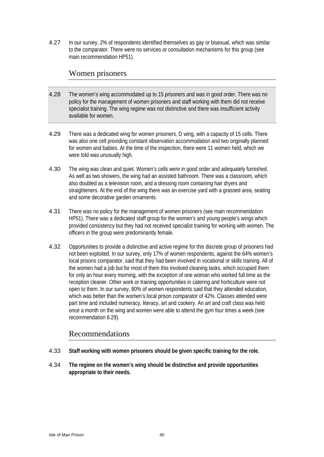4.27 In our survey, 2% of respondents identified themselves as gay or bisexual, which was similar to the comparator. There were no services or consultation mechanisms for this group (see main recommendation HP51).

#### Women prisoners

- 4.28 The women's wing accommodated up to 15 prisoners and was in good order. There was no policy for the management of women prisoners and staff working with them did not receive specialist training. The wing regime was not distinctive and there was insufficient activity available for women.
- 4.29 There was a dedicated wing for women prisoners, D wing, with a capacity of 15 cells. There was also one cell providing constant observation accommodation and two originally planned for women and babies. At the time of the inspection, there were 11 women held, which we were told was unusually high.
- 4.30 The wing was clean and quiet. Women's cells were in good order and adequately furnished. As well as two showers, the wing had an assisted bathroom. There was a classroom, which also doubled as a television room, and a dressing room containing hair dryers and straighteners. At the end of the wing there was an exercise yard with a grassed area, seating and some decorative garden ornaments.
- 4.31 There was no policy for the management of women prisoners (see main recommendation HP51). There was a dedicated staff group for the women's and young people's wings which provided consistency but they had not received specialist training for working with women. The officers in the group were predominantly female.
- 4.32 Opportunities to provide a distinctive and active regime for this discrete group of prisoners had not been exploited. In our survey, only 17% of women respondents, against the 64% women's local prisons comparator, said that they had been involved in vocational or skills training. All of the women had a job but for most of them this involved cleaning tasks, which occupied them for only an hour every morning, with the exception of one woman who worked full time as the reception cleaner. Other work or training opportunities in catering and horticulture were not open to them. In our survey, 80% of women respondents said that they attended education, which was better than the women's local prison comparator of 42%. Classes attended were part time and included numeracy, literacy, art and cookery. An art and craft class was held once a month on the wing and women were able to attend the gym four times a week (see recommendation 6.29).

- 4.33 **Staff working with women prisoners should be given specific training for the role.**
- 4.34 **The regime on the women's wing should be distinctive and provide opportunities appropriate to their needs.**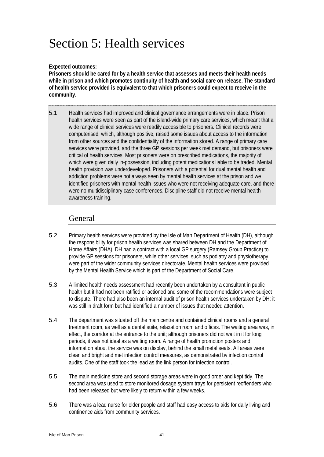# Section 5: Health services

#### **Expected outcomes:**

**Prisoners should be cared for by a health service that assesses and meets their health needs while in prison and which promotes continuity of health and social care on release. The standard of health service provided is equivalent to that which prisoners could expect to receive in the community.** 

5.1 Health services had improved and clinical governance arrangements were in place. Prison health services were seen as part of the island-wide primary care services, which meant that a wide range of clinical services were readily accessible to prisoners. Clinical records were computerised, which, although positive, raised some issues about access to the information from other sources and the confidentiality of the information stored. A range of primary care services were provided, and the three GP sessions per week met demand, but prisoners were critical of health services. Most prisoners were on prescribed medications, the majority of which were given daily in-possession, including potent medications liable to be traded. Mental health provision was underdeveloped. Prisoners with a potential for dual mental health and addiction problems were not always seen by mental health services at the prison and we identified prisoners with mental health issues who were not receiving adequate care, and there were no multidisciplinary case conferences. Discipline staff did not receive mental health awareness training.

## General

- 5.2 Primary health services were provided by the Isle of Man Department of Health (DH), although the responsibility for prison health services was shared between DH and the Department of Home Affairs (DHA). DH had a contract with a local GP surgery (Ramsey Group Practice) to provide GP sessions for prisoners, while other services, such as podiatry and physiotherapy, were part of the wider community services directorate. Mental health services were provided by the Mental Health Service which is part of the Department of Social Care.
- 5.3 A limited health needs assessment had recently been undertaken by a consultant in public health but it had not been ratified or actioned and some of the recommendations were subject to dispute. There had also been an internal audit of prison health services undertaken by DH; it was still in draft form but had identified a number of issues that needed attention.
- 5.4 The department was situated off the main centre and contained clinical rooms and a general treatment room, as well as a dental suite, relaxation room and offices. The waiting area was, in effect, the corridor at the entrance to the unit; although prisoners did not wait in it for long periods, it was not ideal as a waiting room. A range of health promotion posters and information about the service was on display, behind the small metal seats. All areas were clean and bright and met infection control measures, as demonstrated by infection control audits. One of the staff took the lead as the link person for infection control.
- 5.5 The main medicine store and second storage areas were in good order and kept tidy. The second area was used to store monitored dosage system trays for persistent reoffenders who had been released but were likely to return within a few weeks.
- 5.6 There was a lead nurse for older people and staff had easy access to aids for daily living and continence aids from community services.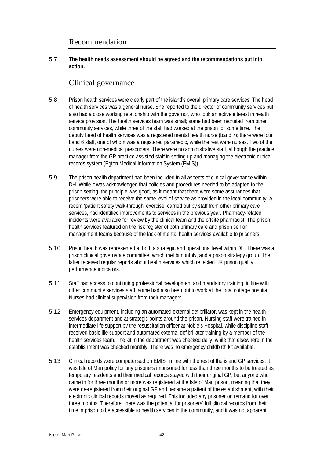#### Recommendation

5.7 **The health needs assessment should be agreed and the recommendations put into action.** 

#### Clinical governance

- 5.8 Prison health services were clearly part of the island's overall primary care services. The head of health services was a general nurse. She reported to the director of community services but also had a close working relationship with the governor, who took an active interest in health service provision. The health services team was small; some had been recruited from other community services, while three of the staff had worked at the prison for some time. The deputy head of health services was a registered mental health nurse (band 7); there were four band 6 staff, one of whom was a registered paramedic, while the rest were nurses. Two of the nurses were non-medical prescribers. There were no administrative staff, although the practice manager from the GP practice assisted staff in setting up and managing the electronic clinical records system (Egton Medical Information System (EMIS)).
- 5.9 The prison health department had been included in all aspects of clinical governance within DH. While it was acknowledged that policies and procedures needed to be adapted to the prison setting, the principle was good, as it meant that there were some assurances that prisoners were able to receive the same level of service as provided in the local community. A recent 'patient safety walk-through' exercise, carried out by staff from other primary care services, had identified improvements to services in the previous year. Pharmacy-related incidents were available for review by the clinical team and the offsite pharmacist. The prison health services featured on the risk register of both primary care and prison senior management teams because of the lack of mental health services available to prisoners.
- 5.10 Prison health was represented at both a strategic and operational level within DH. There was a prison clinical governance committee, which met bimonthly, and a prison strategy group. The latter received regular reports about health services which reflected UK prison quality performance indicators.
- 5.11 Staff had access to continuing professional development and mandatory training, in line with other community services staff; some had also been out to work at the local cottage hospital. Nurses had clinical supervision from their managers.
- 5.12 Emergency equipment, including an automated external defibrillator, was kept in the health services department and at strategic points around the prison. Nursing staff were trained in intermediate life support by the resuscitation officer at Noble's Hospital, while discipline staff received basic life support and automated external defibrillator training by a member of the health services team. The kit in the department was checked daily, while that elsewhere in the establishment was checked monthly. There was no emergency childbirth kit available.
- 5.13 Clinical records were computerised on EMIS, in line with the rest of the island GP services. It was Isle of Man policy for any prisoners imprisoned for less than three months to be treated as temporary residents and their medical records stayed with their original GP, but anyone who came in for three months or more was registered at the Isle of Man prison, meaning that they were de-registered from their original GP and became a patient of the establishment, with their electronic clinical records moved as required. This included any prisoner on remand for over three months. Therefore, there was the potential for prisoners' full clinical records from their time in prison to be accessible to health services in the community, and it was not apparent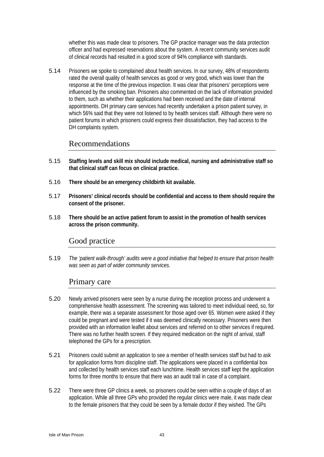whether this was made clear to prisoners. The GP practice manager was the data protection officer and had expressed reservations about the system. A recent community services audit of clinical records had resulted in a good score of 94% compliance with standards.

5.14 Prisoners we spoke to complained about health services. In our survey, 48% of respondents rated the overall quality of health services as good or very good, which was lower than the response at the time of the previous inspection. It was clear that prisoners' perceptions were influenced by the smoking ban. Prisoners also commented on the lack of information provided to them, such as whether their applications had been received and the date of internal appointments. DH primary care services had recently undertaken a prison patient survey, in which 56% said that they were not listened to by health services staff. Although there were no patient forums in which prisoners could express their dissatisfaction, they had access to the DH complaints system.

#### Recommendations

- 5.15 **Staffing levels and skill mix should include medical, nursing and administrative staff so that clinical staff can focus on clinical practice.**
- 5.16 **There should be an emergency childbirth kit available.**
- 5.17 **Prisoners' clinical records should be confidential and access to them should require the consent of the prisoner.**
- 5.18 **There should be an active patient forum to assist in the promotion of health services across the prison community.**

## Good practice

5.19 *The 'patient walk-through' audits were a good initiative that helped to ensure that prison health was seen as part of wider community services.* 

## Primary care

- 5.20 Newly arrived prisoners were seen by a nurse during the reception process and underwent a comprehensive health assessment. The screening was tailored to meet individual need, so, for example, there was a separate assessment for those aged over 65. Women were asked if they could be pregnant and were tested if it was deemed clinically necessary. Prisoners were then provided with an information leaflet about services and referred on to other services if required. There was no further health screen. If they required medication on the night of arrival, staff telephoned the GPs for a prescription.
- 5.21 Prisoners could submit an application to see a member of health services staff but had to ask for application forms from discipline staff. The applications were placed in a confidential box and collected by health services staff each lunchtime. Health services staff kept the application forms for three months to ensure that there was an audit trail in case of a complaint.
- 5.22 There were three GP clinics a week, so prisoners could be seen within a couple of days of an application. While all three GPs who provided the regular clinics were male, it was made clear to the female prisoners that they could be seen by a female doctor if they wished. The GPs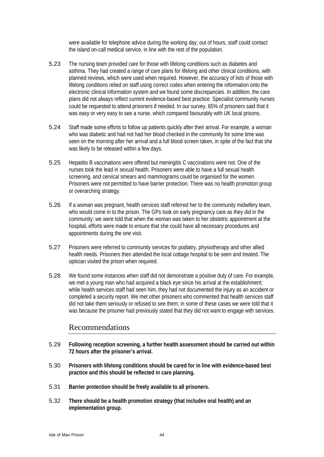were available for telephone advice during the working day; out of hours, staff could contact the island on-call medical service, in line with the rest of the population.

- 5.23 The nursing team provided care for those with lifelong conditions such as diabetes and asthma. They had created a range of care plans for lifelong and other clinical conditions, with planned reviews, which were used when required. However, the accuracy of lists of those with lifelong conditions relied on staff using correct codes when entering the information onto the electronic clinical information system and we found some discrepancies. In addition, the care plans did not always reflect current evidence-based best practice. Specialist community nurses could be requested to attend prisoners if needed. In our survey, 65% of prisoners said that it was easy or very easy to see a nurse, which compared favourably with UK local prisons.
- 5.24 Staff made some efforts to follow up patients quickly after their arrival. For example, a woman who was diabetic and had not had her blood checked in the community for some time was seen on the morning after her arrival and a full blood screen taken, in spite of the fact that she was likely to be released within a few days.
- 5.25 Hepatitis B vaccinations were offered but meningitis C vaccinations were not. One of the nurses took the lead in sexual health. Prisoners were able to have a full sexual health screening, and cervical smears and mammograms could be organised for the women. Prisoners were not permitted to have barrier protection. There was no health promotion group or overarching strategy.
- 5.26 If a woman was pregnant, health services staff referred her to the community midwifery team, who would come in to the prison. The GPs took on early pregnancy care as they did in the community; we were told that when the woman was taken to her obstetric appointment at the hospital, efforts were made to ensure that she could have all necessary procedures and appointments during the one visit.
- 5.27 Prisoners were referred to community services for podiatry, physiotherapy and other allied health needs. Prisoners then attended the local cottage hospital to be seen and treated. The optician visited the prison when required.
- 5.28 We found some instances when staff did not demonstrate a positive duty of care. For example, we met a young man who had acquired a black eye since his arrival at the establishment; while health services staff had seen him, they had not documented the injury as an accident or completed a security report. We met other prisoners who commented that health services staff did not take them seriously or refused to see them; in some of these cases we were told that it was because the prisoner had previously stated that they did not want to engage with services.

- 5.29 **Following reception screening, a further health assessment should be carried out within 72 hours after the prisoner's arrival.**
- 5.30 **Prisoners with lifelong conditions should be cared for in line with evidence-based best practice and this should be reflected in care planning.**
- 5.31 **Barrier protection should be freely available to all prisoners.**
- 5.32 **There should be a health promotion strategy (that includes oral health) and an implementation group.**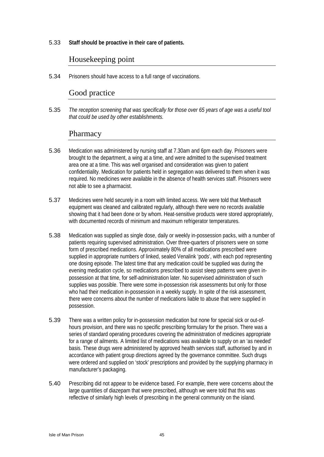5.33 **Staff should be proactive in their care of patients.** 

#### Housekeeping point

5.34 Prisoners should have access to a full range of vaccinations.

## Good practice

5.35 *The reception screening that was specifically for those over 65 years of age was a useful tool that could be used by other establishments.* 

#### Pharmacy

- 5.36 Medication was administered by nursing staff at 7.30am and 6pm each day. Prisoners were brought to the department, a wing at a time, and were admitted to the supervised treatment area one at a time. This was well organised and consideration was given to patient confidentiality. Medication for patients held in segregation was delivered to them when it was required. No medicines were available in the absence of health services staff. Prisoners were not able to see a pharmacist.
- 5.37 Medicines were held securely in a room with limited access. We were told that Methasoft equipment was cleaned and calibrated regularly, although there were no records available showing that it had been done or by whom. Heat-sensitive products were stored appropriately, with documented records of minimum and maximum refrigerator temperatures.
- 5.38 Medication was supplied as single dose, daily or weekly in-possession packs, with a number of patients requiring supervised administration. Over three-quarters of prisoners were on some form of prescribed medications. Approximately 80% of all medications prescribed were supplied in appropriate numbers of linked, sealed Venalink 'pods', with each pod representing one dosing episode. The latest time that any medication could be supplied was during the evening medication cycle, so medications prescribed to assist sleep patterns were given inpossession at that time, for self-administration later. No supervised administration of such supplies was possible. There were some in-possession risk assessments but only for those who had their medication in-possession in a weekly supply. In spite of the risk assessment, there were concerns about the number of medications liable to abuse that were supplied in possession.
- 5.39 There was a written policy for in-possession medication but none for special sick or out-ofhours provision, and there was no specific prescribing formulary for the prison. There was a series of standard operating procedures covering the administration of medicines appropriate for a range of ailments. A limited list of medications was available to supply on an 'as needed' basis. These drugs were administered by approved health services staff, authorised by and in accordance with patient group directions agreed by the governance committee. Such drugs were ordered and supplied on 'stock' prescriptions and provided by the supplying pharmacy in manufacturer's packaging.
- 5.40 Prescribing did not appear to be evidence based. For example, there were concerns about the large quantities of diazepam that were prescribed, although we were told that this was reflective of similarly high levels of prescribing in the general community on the island.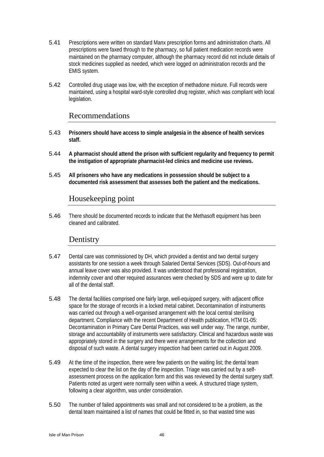- 5.41 Prescriptions were written on standard Manx prescription forms and administration charts. All prescriptions were faxed through to the pharmacy, so full patient medication records were maintained on the pharmacy computer, although the pharmacy record did not include details of stock medicines supplied as needed, which were logged on administration records and the EMIS system.
- 5.42 Controlled drug usage was low, with the exception of methadone mixture. Full records were maintained, using a hospital ward-style controlled drug register, which was compliant with local legislation.

#### Recommendations

- 5.43 **Prisoners should have access to simple analgesia in the absence of health services staff.**
- 5.44 **A pharmacist should attend the prison with sufficient regularity and frequency to permit the instigation of appropriate pharmacist-led clinics and medicine use reviews.**
- 5.45 **All prisoners who have any medications in possession should be subject to a documented risk assessment that assesses both the patient and the medications.**

## Housekeeping point

5.46 There should be documented records to indicate that the Methasoft equipment has been cleaned and calibrated.

#### **Dentistry**

- 5.47 Dental care was commissioned by DH, which provided a dentist and two dental surgery assistants for one session a week through Salaried Dental Services (SDS). Out-of-hours and annual leave cover was also provided. It was understood that professional registration, indemnity cover and other required assurances were checked by SDS and were up to date for all of the dental staff.
- 5.48 The dental facilities comprised one fairly large, well-equipped surgery, with adjacent office space for the storage of records in a locked metal cabinet. Decontamination of instruments was carried out through a well-organised arrangement with the local central sterilising department. Compliance with the recent Department of Health publication, HTM 01-05: Decontamination in Primary Care Dental Practices, was well under way. The range, number, storage and accountability of instruments were satisfactory. Clinical and hazardous waste was appropriately stored in the surgery and there were arrangements for the collection and disposal of such waste. A dental surgery inspection had been carried out in August 2009.
- 5.49 At the time of the inspection, there were few patients on the waiting list; the dental team expected to clear the list on the day of the inspection. Triage was carried out by a selfassessment process on the application form and this was reviewed by the dental surgery staff. Patients noted as urgent were normally seen within a week. A structured triage system, following a clear algorithm, was under consideration.
- 5.50 The number of failed appointments was small and not considered to be a problem, as the dental team maintained a list of names that could be fitted in, so that wasted time was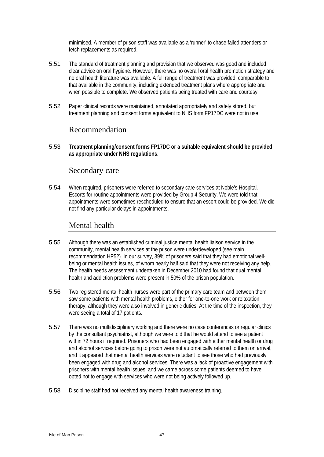minimised. A member of prison staff was available as a 'runner' to chase failed attenders or fetch replacements as required.

- 5.51 The standard of treatment planning and provision that we observed was good and included clear advice on oral hygiene. However, there was no overall oral health promotion strategy and no oral health literature was available. A full range of treatment was provided, comparable to that available in the community, including extended treatment plans where appropriate and when possible to complete. We observed patients being treated with care and courtesy.
- 5.52 Paper clinical records were maintained, annotated appropriately and safely stored, but treatment planning and consent forms equivalent to NHS form FP17DC were not in use.

#### Recommendation

5.53 **Treatment planning/consent forms FP17DC or a suitable equivalent should be provided as appropriate under NHS regulations.** 

#### Secondary care

5.54 When required, prisoners were referred to secondary care services at Noble's Hospital. Escorts for routine appointments were provided by Group 4 Security. We were told that appointments were sometimes rescheduled to ensure that an escort could be provided. We did not find any particular delays in appointments.

## Mental health

- 5.55 Although there was an established criminal justice mental health liaison service in the community, mental health services at the prison were underdeveloped (see main recommendation HP52). In our survey, 39% of prisoners said that they had emotional wellbeing or mental health issues, of whom nearly half said that they were not receiving any help. The health needs assessment undertaken in December 2010 had found that dual mental health and addiction problems were present in 50% of the prison population.
- 5.56 Two registered mental health nurses were part of the primary care team and between them saw some patients with mental health problems, either for one-to-one work or relaxation therapy, although they were also involved in generic duties. At the time of the inspection, they were seeing a total of 17 patients.
- 5.57 There was no multidisciplinary working and there were no case conferences or regular clinics by the consultant psychiatrist, although we were told that he would attend to see a patient within 72 hours if required. Prisoners who had been engaged with either mental health or drug and alcohol services before going to prison were not automatically referred to them on arrival, and it appeared that mental health services were reluctant to see those who had previously been engaged with drug and alcohol services. There was a lack of proactive engagement with prisoners with mental health issues, and we came across some patients deemed to have opted not to engage with services who were not being actively followed up.
- 5.58 Discipline staff had not received any mental health awareness training.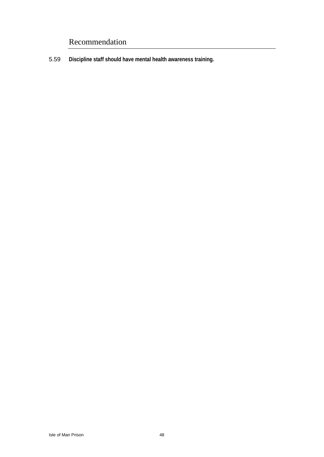## Recommendation

5.59 **Discipline staff should have mental health awareness training.**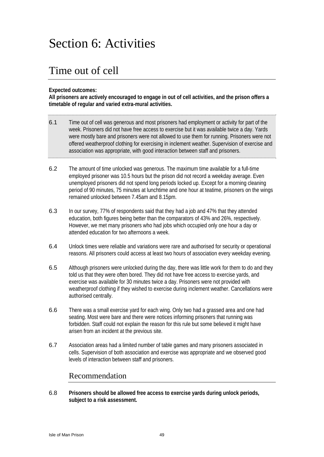# Section 6: Activities

## Time out of cell

#### **Expected outcomes:**

**All prisoners are actively encouraged to engage in out of cell activities, and the prison offers a timetable of regular and varied extra-mural activities.** 

- 6.1 Time out of cell was generous and most prisoners had employment or activity for part of the week. Prisoners did not have free access to exercise but it was available twice a day. Yards were mostly bare and prisoners were not allowed to use them for running. Prisoners were not offered weatherproof clothing for exercising in inclement weather. Supervision of exercise and association was appropriate, with good interaction between staff and prisoners.
- 6.2 The amount of time unlocked was generous. The maximum time available for a full-time employed prisoner was 10.5 hours but the prison did not record a weekday average. Even unemployed prisoners did not spend long periods locked up. Except for a morning cleaning period of 90 minutes, 75 minutes at lunchtime and one hour at teatime, prisoners on the wings remained unlocked between 7.45am and 8.15pm.
- 6.3 In our survey, 77% of respondents said that they had a job and 47% that they attended education, both figures being better than the comparators of 43% and 26%, respectively. However, we met many prisoners who had jobs which occupied only one hour a day or attended education for two afternoons a week.
- 6.4 Unlock times were reliable and variations were rare and authorised for security or operational reasons. All prisoners could access at least two hours of association every weekday evening.
- 6.5 Although prisoners were unlocked during the day, there was little work for them to do and they told us that they were often bored. They did not have free access to exercise yards, and exercise was available for 30 minutes twice a day. Prisoners were not provided with weatherproof clothing if they wished to exercise during inclement weather. Cancellations were authorised centrally.
- 6.6 There was a small exercise yard for each wing. Only two had a grassed area and one had seating. Most were bare and there were notices informing prisoners that running was forbidden. Staff could not explain the reason for this rule but some believed it might have arisen from an incident at the previous site.
- 6.7 Association areas had a limited number of table games and many prisoners associated in cells. Supervision of both association and exercise was appropriate and we observed good levels of interaction between staff and prisoners.

#### Recommendation

6.8 **Prisoners should be allowed free access to exercise yards during unlock periods, subject to a risk assessment.**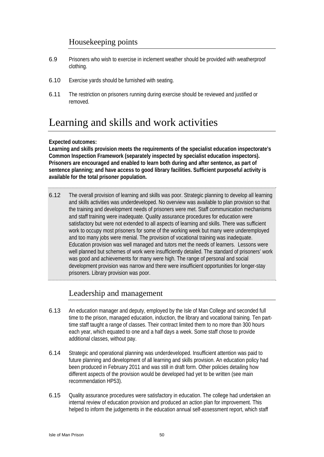## Housekeeping points

- 6.9 Prisoners who wish to exercise in inclement weather should be provided with weatherproof clothing.
- 6.10 Exercise yards should be furnished with seating.
- 6.11 The restriction on prisoners running during exercise should be reviewed and justified or removed.

## Learning and skills and work activities

#### **Expected outcomes:**

**Learning and skills provision meets the requirements of the specialist education inspectorate's Common Inspection Framework (separately inspected by specialist education inspectors). Prisoners are encouraged and enabled to learn both during and after sentence, as part of sentence planning; and have access to good library facilities. Sufficient purposeful activity is available for the total prisoner population.** 

6.12 The overall provision of learning and skills was poor. Strategic planning to develop all learning and skills activities was underdeveloped. No overview was available to plan provision so that the training and development needs of prisoners were met. Staff communication mechanisms and staff training were inadequate. Quality assurance procedures for education were satisfactory but were not extended to all aspects of learning and skills. There was sufficient work to occupy most prisoners for some of the working week but many were underemployed and too many jobs were menial. The provision of vocational training was inadequate. Education provision was well managed and tutors met the needs of learners. Lessons were well planned but schemes of work were insufficiently detailed. The standard of prisoners' work was good and achievements for many were high. The range of personal and social development provision was narrow and there were insufficient opportunities for longer-stay prisoners. Library provision was poor.

## Leadership and management

- 6.13 An education manager and deputy, employed by the Isle of Man College and seconded full time to the prison, managed education, induction, the library and vocational training. Ten parttime staff taught a range of classes. Their contract limited them to no more than 300 hours each year, which equated to one and a half days a week. Some staff chose to provide additional classes, without pay.
- 6.14 Strategic and operational planning was underdeveloped. Insufficient attention was paid to future planning and development of all learning and skills provision. An education policy had been produced in February 2011 and was still in draft form. Other policies detailing how different aspects of the provision would be developed had yet to be written (see main recommendation HP53).
- 6.15 Quality assurance procedures were satisfactory in education. The college had undertaken an internal review of education provision and produced an action plan for improvement. This helped to inform the judgements in the education annual self-assessment report, which staff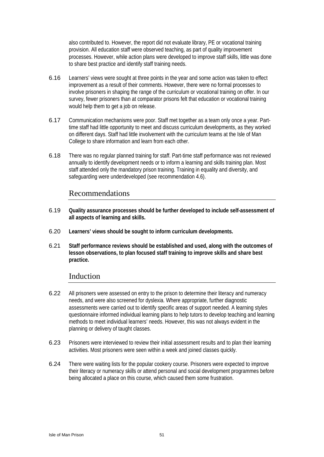also contributed to. However, the report did not evaluate library, PE or vocational training provision. All education staff were observed teaching, as part of quality improvement processes. However, while action plans were developed to improve staff skills, little was done to share best practice and identify staff training needs.

- 6.16 Learners' views were sought at three points in the year and some action was taken to effect improvement as a result of their comments. However, there were no formal processes to involve prisoners in shaping the range of the curriculum or vocational training on offer. In our survey, fewer prisoners than at comparator prisons felt that education or vocational training would help them to get a job on release.
- 6.17 Communication mechanisms were poor. Staff met together as a team only once a year. Parttime staff had little opportunity to meet and discuss curriculum developments, as they worked on different days. Staff had little involvement with the curriculum teams at the Isle of Man College to share information and learn from each other.
- 6.18 There was no regular planned training for staff. Part-time staff performance was not reviewed annually to identify development needs or to inform a learning and skills training plan. Most staff attended only the mandatory prison training. Training in equality and diversity, and safeguarding were underdeveloped (see recommendation 4.6).

#### Recommendations

- 6.19 **Quality assurance processes should be further developed to include self-assessment of all aspects of learning and skills.**
- 6.20 **Learners' views should be sought to inform curriculum developments.**
- 6.21 **Staff performance reviews should be established and used, along with the outcomes of lesson observations, to plan focused staff training to improve skills and share best practice.**

## Induction

- 6.22 All prisoners were assessed on entry to the prison to determine their literacy and numeracy needs, and were also screened for dyslexia. Where appropriate, further diagnostic assessments were carried out to identify specific areas of support needed. A learning styles questionnaire informed individual learning plans to help tutors to develop teaching and learning methods to meet individual learners' needs. However, this was not always evident in the planning or delivery of taught classes.
- 6.23 Prisoners were interviewed to review their initial assessment results and to plan their learning activities. Most prisoners were seen within a week and joined classes quickly.
- 6.24 There were waiting lists for the popular cookery course. Prisoners were expected to improve their literacy or numeracy skills or attend personal and social development programmes before being allocated a place on this course, which caused them some frustration.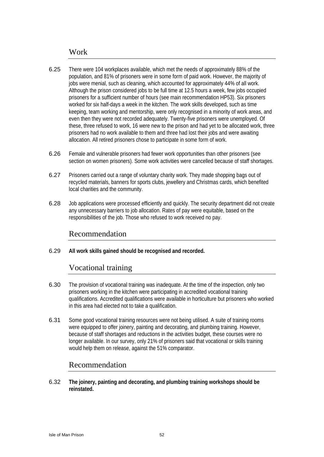#### Work

- 6.25 There were 104 workplaces available, which met the needs of approximately 88% of the population, and 81% of prisoners were in some form of paid work. However, the majority of jobs were menial, such as cleaning, which accounted for approximately 44% of all work. Although the prison considered jobs to be full time at 12.5 hours a week, few jobs occupied prisoners for a sufficient number of hours (see main recommendation HP53). Six prisoners worked for six half-days a week in the kitchen. The work skills developed, such as time keeping, team working and mentorship, were only recognised in a minority of work areas, and even then they were not recorded adequately. Twenty-five prisoners were unemployed. Of these, three refused to work, 16 were new to the prison and had yet to be allocated work, three prisoners had no work available to them and three had lost their jobs and were awaiting allocation. All retired prisoners chose to participate in some form of work.
- 6.26 Female and vulnerable prisoners had fewer work opportunities than other prisoners (see section on women prisoners). Some work activities were cancelled because of staff shortages.
- 6.27 Prisoners carried out a range of voluntary charity work. They made shopping bags out of recycled materials, banners for sports clubs, jewellery and Christmas cards, which benefited local charities and the community.
- 6.28 Job applications were processed efficiently and quickly. The security department did not create any unnecessary barriers to job allocation. Rates of pay were equitable, based on the responsibilities of the job. Those who refused to work received no pay.

#### Recommendation

6.29 **All work skills gained should be recognised and recorded.** 

#### Vocational training

- 6.30 The provision of vocational training was inadequate. At the time of the inspection, only two prisoners working in the kitchen were participating in accredited vocational training qualifications. Accredited qualifications were available in horticulture but prisoners who worked in this area had elected not to take a qualification.
- 6.31 Some good vocational training resources were not being utilised. A suite of training rooms were equipped to offer joinery, painting and decorating, and plumbing training. However, because of staff shortages and reductions in the activities budget, these courses were no longer available. In our survey, only 21% of prisoners said that vocational or skills training would help them on release, against the 51% comparator.

#### Recommendation

6.32 **The joinery, painting and decorating, and plumbing training workshops should be reinstated.**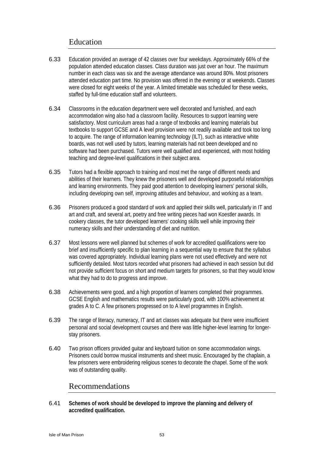## Education

- 6.33 Education provided an average of 42 classes over four weekdays. Approximately 66% of the population attended education classes. Class duration was just over an hour. The maximum number in each class was six and the average attendance was around 80%. Most prisoners attended education part time. No provision was offered in the evening or at weekends. Classes were closed for eight weeks of the year. A limited timetable was scheduled for these weeks, staffed by full-time education staff and volunteers.
- 6.34 Classrooms in the education department were well decorated and furnished, and each accommodation wing also had a classroom facility. Resources to support learning were satisfactory. Most curriculum areas had a range of textbooks and learning materials but textbooks to support GCSE and A level provision were not readily available and took too long to acquire. The range of information learning technology (ILT), such as interactive white boards, was not well used by tutors, learning materials had not been developed and no software had been purchased. Tutors were well qualified and experienced, with most holding teaching and degree-level qualifications in their subject area.
- 6.35 Tutors had a flexible approach to training and most met the range of different needs and abilities of their learners. They knew the prisoners well and developed purposeful relationships and learning environments. They paid good attention to developing learners' personal skills, including developing own self, improving attitudes and behaviour, and working as a team.
- 6.36 Prisoners produced a good standard of work and applied their skills well, particularly in IT and art and craft, and several art, poetry and free writing pieces had won Koestler awards. In cookery classes, the tutor developed learners' cooking skills well while improving their numeracy skills and their understanding of diet and nutrition.
- 6.37 Most lessons were well planned but schemes of work for accredited qualifications were too brief and insufficiently specific to plan learning in a sequential way to ensure that the syllabus was covered appropriately. Individual learning plans were not used effectively and were not sufficiently detailed. Most tutors recorded what prisoners had achieved in each session but did not provide sufficient focus on short and medium targets for prisoners, so that they would know what they had to do to progress and improve.
- 6.38 Achievements were good, and a high proportion of learners completed their programmes. GCSE English and mathematics results were particularly good, with 100% achievement at grades A to C. A few prisoners progressed on to A level programmes in English.
- 6.39 The range of literacy, numeracy, IT and art classes was adequate but there were insufficient personal and social development courses and there was little higher-level learning for longerstay prisoners.
- 6.40 Two prison officers provided guitar and keyboard tuition on some accommodation wings. Prisoners could borrow musical instruments and sheet music. Encouraged by the chaplain, a few prisoners were embroidering religious scenes to decorate the chapel. Some of the work was of outstanding quality.

## Recommendations

6.41 **Schemes of work should be developed to improve the planning and delivery of accredited qualification.**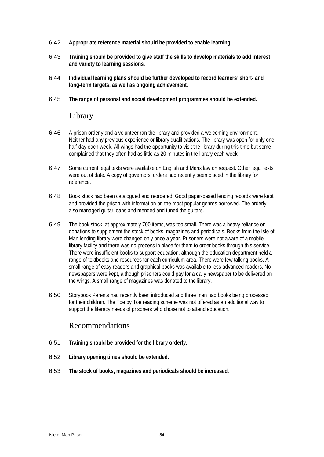- 6.42 **Appropriate reference material should be provided to enable learning.**
- 6.43 **Training should be provided to give staff the skills to develop materials to add interest and variety to learning sessions.**
- 6.44 **Individual learning plans should be further developed to record learners' short- and long-term targets, as well as ongoing achievement.**
- 6.45 **The range of personal and social development programmes should be extended.**

#### Library

- 6.46 A prison orderly and a volunteer ran the library and provided a welcoming environment. Neither had any previous experience or library qualifications. The library was open for only one half-day each week. All wings had the opportunity to visit the library during this time but some complained that they often had as little as 20 minutes in the library each week.
- 6.47 Some current legal texts were available on English and Manx law on request. Other legal texts were out of date. A copy of governors' orders had recently been placed in the library for reference.
- 6.48 Book stock had been catalogued and reordered. Good paper-based lending records were kept and provided the prison with information on the most popular genres borrowed. The orderly also managed guitar loans and mended and tuned the guitars.
- 6.49 The book stock, at approximately 700 items, was too small. There was a heavy reliance on donations to supplement the stock of books, magazines and periodicals. Books from the Isle of Man lending library were changed only once a year. Prisoners were not aware of a mobile library facility and there was no process in place for them to order books through this service. There were insufficient books to support education, although the education department held a range of textbooks and resources for each curriculum area. There were few talking books. A small range of easy readers and graphical books was available to less advanced readers. No newspapers were kept, although prisoners could pay for a daily newspaper to be delivered on the wings. A small range of magazines was donated to the library.
- 6.50 Storybook Parents had recently been introduced and three men had books being processed for their children. The Toe by Toe reading scheme was not offered as an additional way to support the literacy needs of prisoners who chose not to attend education.

- 6.51 **Training should be provided for the library orderly.**
- 6.52 **Library opening times should be extended.**
- 6.53 **The stock of books, magazines and periodicals should be increased.**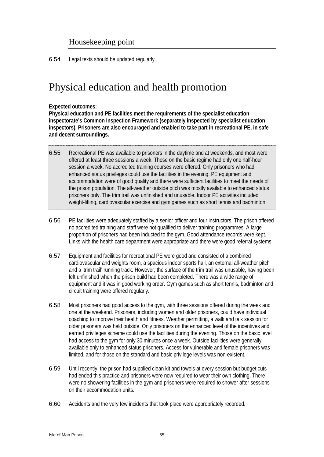## Housekeeping point

6.54 Legal texts should be updated regularly.

## Physical education and health promotion

#### **Expected outcomes:**

**Physical education and PE facilities meet the requirements of the specialist education inspectorate's Common Inspection Framework (separately inspected by specialist education inspectors). Prisoners are also encouraged and enabled to take part in recreational PE, in safe and decent surroundings.** 

- 6.55 Recreational PE was available to prisoners in the daytime and at weekends, and most were offered at least three sessions a week. Those on the basic regime had only one half-hour session a week. No accredited training courses were offered. Only prisoners who had enhanced status privileges could use the facilities in the evening. PE equipment and accommodation were of good quality and there were sufficient facilities to meet the needs of the prison population. The all-weather outside pitch was mostly available to enhanced status prisoners only. The trim trail was unfinished and unusable. Indoor PE activities included weight-lifting, cardiovascular exercise and gym games such as short tennis and badminton.
- 6.56 PE facilities were adequately staffed by a senior officer and four instructors. The prison offered no accredited training and staff were not qualified to deliver training programmes. A large proportion of prisoners had been inducted to the gym. Good attendance records were kept. Links with the health care department were appropriate and there were good referral systems.
- 6.57 Equipment and facilities for recreational PE were good and consisted of a combined cardiovascular and weights room, a spacious indoor sports hall, an external all-weather pitch and a 'trim trail' running track. However, the surface of the trim trail was unusable, having been left unfinished when the prison build had been completed. There was a wide range of equipment and it was in good working order. Gym games such as short tennis, badminton and circuit training were offered regularly.
- 6.58 Most prisoners had good access to the gym, with three sessions offered during the week and one at the weekend. Prisoners, including women and older prisoners, could have individual coaching to improve their health and fitness. Weather permitting, a walk and talk session for older prisoners was held outside. Only prisoners on the enhanced level of the incentives and earned privileges scheme could use the facilities during the evening. Those on the basic level had access to the gym for only 30 minutes once a week. Outside facilities were generally available only to enhanced status prisoners. Access for vulnerable and female prisoners was limited, and for those on the standard and basic privilege levels was non-existent.
- 6.59 Until recently, the prison had supplied clean kit and towels at every session but budget cuts had ended this practice and prisoners were now required to wear their own clothing. There were no showering facilities in the gym and prisoners were required to shower after sessions on their accommodation units.
- 6.60 Accidents and the very few incidents that took place were appropriately recorded.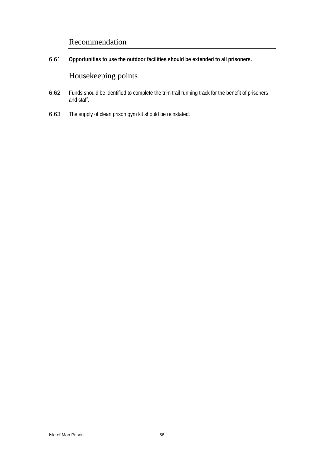## Recommendation

6.61 **Opportunities to use the outdoor facilities should be extended to all prisoners.** 

## Housekeeping points

- 6.62 Funds should be identified to complete the trim trail running track for the benefit of prisoners and staff.
- 6.63 The supply of clean prison gym kit should be reinstated.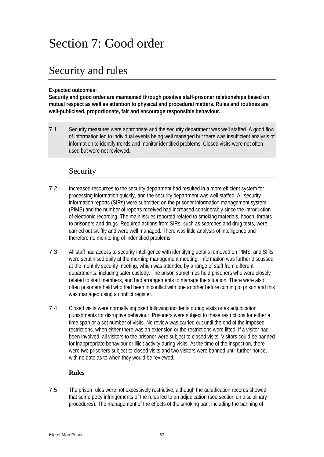# Section 7: Good order

## Security and rules

#### **Expected outcomes:**

**Security and good order are maintained through positive staff-prisoner relationships based on mutual respect as well as attention to physical and procedural matters. Rules and routines are well-publicised, proportionate, fair and encourage responsible behaviour.** 

7.1 Security measures were appropriate and the security department was well staffed. A good flow of information led to individual events being well managed but there was insufficient analysis of information to identify trends and monitor identified problems. Closed visits were not often used but were not reviewed.

## Security

- 7.2 Increased resources to the security department had resulted in a more efficient system for processing information quickly, and the security department was well staffed. All security information reports (SIRs) were submitted on the prisoner information management system (PIMS) and the number of reports received had increased considerably since the introduction of electronic recording. The main issues reported related to smoking materials, hooch, threats to prisoners and drugs. Required actions from SIRs, such as searches and drug tests, were carried out swiftly and were well managed. There was little analysis of intelligence and therefore no monitoring of indentified problems.
- 7.3 All staff had access to security intelligence with identifying details removed on PIMS, and SIRs were scrutinised daily at the morning management meeting. Information was further discussed at the monthly security meeting, which was attended by a range of staff from different departments, including safer custody. The prison sometimes held prisoners who were closely related to staff members, and had arrangements to manage the situation. There were also often prisoners held who had been in conflict with one another before coming to prison and this was managed using a conflict register.
- 7.4 Closed visits were normally imposed following incidents during visits or as adjudication punishments for disruptive behaviour. Prisoners were subject to these restrictions for either a time span or a set number of visits. No review was carried out until the end of the imposed restrictions, when either there was an extension or the restrictions were lifted. If a visitor had been involved, all visitors to the prisoner were subject to closed visits. Visitors could be banned for inappropriate behaviour or illicit activity during visits. At the time of the inspection, there were two prisoners subject to closed visits and two visitors were banned until further notice, with no date as to when they would be reviewed.

#### **Rules**

7.5 The prison rules were not excessively restrictive, although the adjudication records showed that some petty infringements of the rules led to an adjudication (see section on disciplinary procedures). The management of the effects of the smoking ban, including the banning of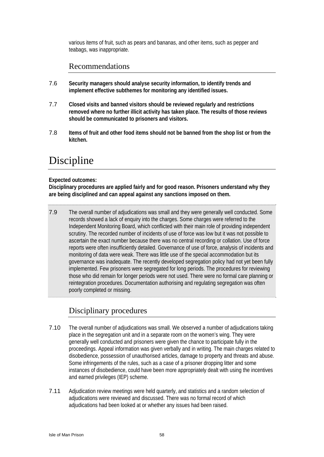various items of fruit, such as pears and bananas, and other items, such as pepper and teabags, was inappropriate.

## Recommendations

- 7.6 **Security managers should analyse security information, to identify trends and implement effective subthemes for monitoring any identified issues.**
- 7.7 **Closed visits and banned visitors should be reviewed regularly and restrictions removed where no further illicit activity has taken place. The results of those reviews should be communicated to prisoners and visitors.**
- 7.8 **Items of fruit and other food items should not be banned from the shop list or from the kitchen.**

## Discipline

#### **Expected outcomes:**

**Disciplinary procedures are applied fairly and for good reason. Prisoners understand why they are being disciplined and can appeal against any sanctions imposed on them.** 

7.9 The overall number of adjudications was small and they were generally well conducted. Some records showed a lack of enquiry into the charges. Some charges were referred to the Independent Monitoring Board, which conflicted with their main role of providing independent scrutiny. The recorded number of incidents of use of force was low but it was not possible to ascertain the exact number because there was no central recording or collation. Use of force reports were often insufficiently detailed. Governance of use of force, analysis of incidents and monitoring of data were weak. There was little use of the special accommodation but its governance was inadequate. The recently developed segregation policy had not yet been fully implemented. Few prisoners were segregated for long periods. The procedures for reviewing those who did remain for longer periods were not used. There were no formal care planning or reintegration procedures. Documentation authorising and regulating segregation was often poorly completed or missing.

## Disciplinary procedures

- 7.10 The overall number of adjudications was small. We observed a number of adjudications taking place in the segregation unit and in a separate room on the women's wing. They were generally well conducted and prisoners were given the chance to participate fully in the proceedings. Appeal information was given verbally and in writing. The main charges related to disobedience, possession of unauthorised articles, damage to property and threats and abuse. Some infringements of the rules, such as a case of a prisoner dropping litter and some instances of disobedience, could have been more appropriately dealt with using the incentives and earned privileges (IEP) scheme.
- 7.11 Adjudication review meetings were held quarterly, and statistics and a random selection of adjudications were reviewed and discussed. There was no formal record of which adjudications had been looked at or whether any issues had been raised.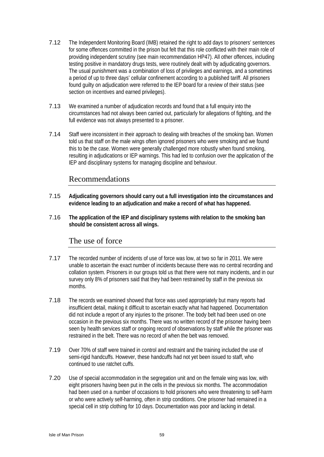- 7.12 The Independent Monitoring Board (IMB) retained the right to add days to prisoners' sentences for some offences committed in the prison but felt that this role conflicted with their main role of providing independent scrutiny (see main recommendation HP47). All other offences, including testing positive in mandatory drugs tests, were routinely dealt with by adjudicating governors. The usual punishment was a combination of loss of privileges and earnings, and a sometimes a period of up to three days' cellular confinement according to a published tariff. All prisoners found guilty on adjudication were referred to the IEP board for a review of their status (see section on incentives and earned privileges).
- 7.13 We examined a number of adjudication records and found that a full enquiry into the circumstances had not always been carried out, particularly for allegations of fighting, and the full evidence was not always presented to a prisoner.
- 7.14 Staff were inconsistent in their approach to dealing with breaches of the smoking ban. Women told us that staff on the male wings often ignored prisoners who were smoking and we found this to be the case. Women were generally challenged more robustly when found smoking, resulting in adjudications or IEP warnings. This had led to confusion over the application of the IEP and disciplinary systems for managing discipline and behaviour.

## Recommendations

- 7.15 **Adjudicating governors should carry out a full investigation into the circumstances and evidence leading to an adjudication and make a record of what has happened.**
- 7.16 **The application of the IEP and disciplinary systems with relation to the smoking ban should be consistent across all wings.**

#### The use of force

- 7.17 The recorded number of incidents of use of force was low, at two so far in 2011. We were unable to ascertain the exact number of incidents because there was no central recording and collation system. Prisoners in our groups told us that there were not many incidents, and in our survey only 8% of prisoners said that they had been restrained by staff in the previous six months.
- 7.18 The records we examined showed that force was used appropriately but many reports had insufficient detail, making it difficult to ascertain exactly what had happened. Documentation did not include a report of any injuries to the prisoner. The body belt had been used on one occasion in the previous six months. There was no written record of the prisoner having been seen by health services staff or ongoing record of observations by staff while the prisoner was restrained in the belt. There was no record of when the belt was removed.
- 7.19 Over 70% of staff were trained in control and restraint and the training included the use of semi-rigid handcuffs. However, these handcuffs had not yet been issued to staff, who continued to use ratchet cuffs.
- 7.20 Use of special accommodation in the segregation unit and on the female wing was low, with eight prisoners having been put in the cells in the previous six months. The accommodation had been used on a number of occasions to hold prisoners who were threatening to self-harm or who were actively self-harming, often in strip conditions. One prisoner had remained in a special cell in strip clothing for 10 days. Documentation was poor and lacking in detail.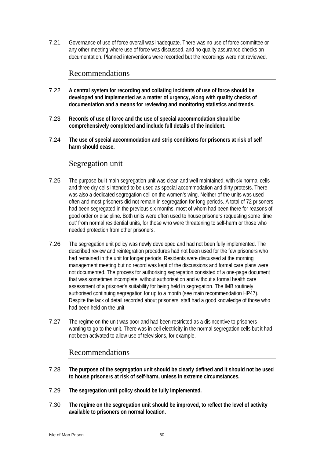7.21 Governance of use of force overall was inadequate. There was no use of force committee or any other meeting where use of force was discussed, and no quality assurance checks on documentation. Planned interventions were recorded but the recordings were not reviewed.

#### Recommendations

- 7.22 **A central system for recording and collating incidents of use of force should be developed and implemented as a matter of urgency, along with quality checks of documentation and a means for reviewing and monitoring statistics and trends.**
- 7.23 **Records of use of force and the use of special accommodation should be comprehensively completed and include full details of the incident.**
- 7.24 **The use of special accommodation and strip conditions for prisoners at risk of self harm should cease.**

#### Segregation unit

- 7.25 The purpose-built main segregation unit was clean and well maintained, with six normal cells and three dry cells intended to be used as special accommodation and dirty protests. There was also a dedicated segregation cell on the women's wing. Neither of the units was used often and most prisoners did not remain in segregation for long periods. A total of 72 prisoners had been segregated in the previous six months, most of whom had been there for reasons of good order or discipline. Both units were often used to house prisoners requesting some 'time out' from normal residential units, for those who were threatening to self-harm or those who needed protection from other prisoners.
- 7.26 The segregation unit policy was newly developed and had not been fully implemented. The described review and reintegration procedures had not been used for the few prisoners who had remained in the unit for longer periods. Residents were discussed at the morning management meeting but no record was kept of the discussions and formal care plans were not documented. The process for authorising segregation consisted of a one-page document that was sometimes incomplete, without authorisation and without a formal health care assessment of a prisoner's suitability for being held in segregation. The IMB routinely authorised continuing segregation for up to a month (see main recommendation HP47). Despite the lack of detail recorded about prisoners, staff had a good knowledge of those who had been held on the unit.
- 7.27 The regime on the unit was poor and had been restricted as a disincentive to prisoners wanting to go to the unit. There was in-cell electricity in the normal segregation cells but it had not been activated to allow use of televisions, for example.

- 7.28 **The purpose of the segregation unit should be clearly defined and it should not be used to house prisoners at risk of self-harm, unless in extreme circumstances.**
- 7.29 **The segregation unit policy should be fully implemented.**
- 7.30 **The regime on the segregation unit should be improved, to reflect the level of activity available to prisoners on normal location.**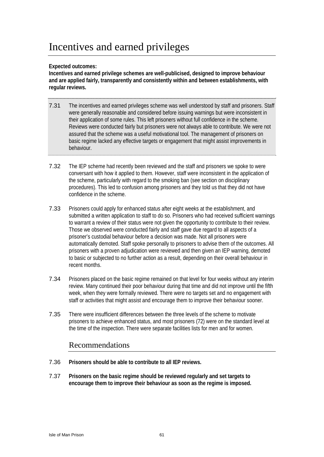# Incentives and earned privileges

#### **Expected outcomes:**

**Incentives and earned privilege schemes are well-publicised, designed to improve behaviour and are applied fairly, transparently and consistently within and between establishments, with regular reviews.** 

- 7.31 The incentives and earned privileges scheme was well understood by staff and prisoners. Staff were generally reasonable and considered before issuing warnings but were inconsistent in their application of some rules. This left prisoners without full confidence in the scheme. Reviews were conducted fairly but prisoners were not always able to contribute. We were not assured that the scheme was a useful motivational tool. The management of prisoners on basic regime lacked any effective targets or engagement that might assist improvements in behaviour.
- 7.32 The IEP scheme had recently been reviewed and the staff and prisoners we spoke to were conversant with how it applied to them. However, staff were inconsistent in the application of the scheme, particularly with regard to the smoking ban (see section on disciplinary procedures). This led to confusion among prisoners and they told us that they did not have confidence in the scheme.
- 7.33 Prisoners could apply for enhanced status after eight weeks at the establishment, and submitted a written application to staff to do so. Prisoners who had received sufficient warnings to warrant a review of their status were not given the opportunity to contribute to their review. Those we observed were conducted fairly and staff gave due regard to all aspects of a prisoner's custodial behaviour before a decision was made. Not all prisoners were automatically demoted. Staff spoke personally to prisoners to advise them of the outcomes. All prisoners with a proven adjudication were reviewed and then given an IEP warning, demoted to basic or subjected to no further action as a result, depending on their overall behaviour in recent months.
- 7.34 Prisoners placed on the basic regime remained on that level for four weeks without any interim review. Many continued their poor behaviour during that time and did not improve until the fifth week, when they were formally reviewed. There were no targets set and no engagement with staff or activities that might assist and encourage them to improve their behaviour sooner.
- 7.35 There were insufficient differences between the three levels of the scheme to motivate prisoners to achieve enhanced status, and most prisoners (72) were on the standard level at the time of the inspection. There were separate facilities lists for men and for women.

- 7.36 **Prisoners should be able to contribute to all IEP reviews.**
- 7.37 **Prisoners on the basic regime should be reviewed regularly and set targets to encourage them to improve their behaviour as soon as the regime is imposed.**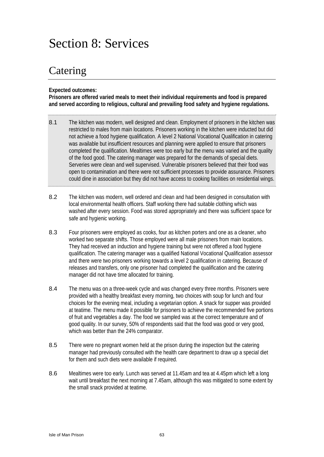# Section 8: Services

## Catering

**Expected outcomes:** 

**Prisoners are offered varied meals to meet their individual requirements and food is prepared and served according to religious, cultural and prevailing food safety and hygiene regulations.** 

- 8.1 The kitchen was modern, well designed and clean. Employment of prisoners in the kitchen was restricted to males from main locations. Prisoners working in the kitchen were inducted but did not achieve a food hygiene qualification. A level 2 National Vocational Qualification in catering was available but insufficient resources and planning were applied to ensure that prisoners completed the qualification. Mealtimes were too early but the menu was varied and the quality of the food good. The catering manager was prepared for the demands of special diets. Serveries were clean and well supervised. Vulnerable prisoners believed that their food was open to contamination and there were not sufficient processes to provide assurance. Prisoners could dine in association but they did not have access to cooking facilities on residential wings.
- 8.2 The kitchen was modern, well ordered and clean and had been designed in consultation with local environmental health officers. Staff working there had suitable clothing which was washed after every session. Food was stored appropriately and there was sufficient space for safe and hygienic working.
- 8.3 Four prisoners were employed as cooks, four as kitchen porters and one as a cleaner, who worked two separate shifts. Those employed were all male prisoners from main locations. They had received an induction and hygiene training but were not offered a food hygiene qualification. The catering manager was a qualified National Vocational Qualification assessor and there were two prisoners working towards a level 2 qualification in catering. Because of releases and transfers, only one prisoner had completed the qualification and the catering manager did not have time allocated for training.
- 8.4 The menu was on a three-week cycle and was changed every three months. Prisoners were provided with a healthy breakfast every morning, two choices with soup for lunch and four choices for the evening meal, including a vegetarian option. A snack for supper was provided at teatime. The menu made it possible for prisoners to achieve the recommended five portions of fruit and vegetables a day. The food we sampled was at the correct temperature and of good quality. In our survey, 50% of respondents said that the food was good or very good, which was better than the 24% comparator.
- 8.5 There were no pregnant women held at the prison during the inspection but the catering manager had previously consulted with the health care department to draw up a special diet for them and such diets were available if required.
- 8.6 Mealtimes were too early. Lunch was served at 11.45am and tea at 4.45pm which left a long wait until breakfast the next morning at 7.45am, although this was mitigated to some extent by the small snack provided at teatime.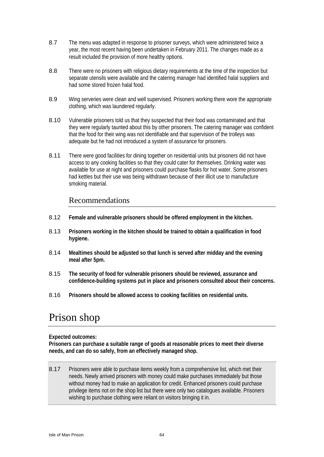- 8.7 The menu was adapted in response to prisoner surveys, which were administered twice a year, the most recent having been undertaken in February 2011. The changes made as a result included the provision of more healthy options.
- 8.8 There were no prisoners with religious dietary requirements at the time of the inspection but separate utensils were available and the catering manager had identified halal suppliers and had some stored frozen halal food.
- 8.9 Wing serveries were clean and well supervised. Prisoners working there wore the appropriate clothing, which was laundered regularly.
- 8.10 Vulnerable prisoners told us that they suspected that their food was contaminated and that they were regularly taunted about this by other prisoners. The catering manager was confident that the food for their wing was not identifiable and that supervision of the trolleys was adequate but he had not introduced a system of assurance for prisoners.
- 8.11 There were good facilities for dining together on residential units but prisoners did not have access to any cooking facilities so that they could cater for themselves. Drinking water was available for use at night and prisoners could purchase flasks for hot water. Some prisoners had kettles but their use was being withdrawn because of their illicit use to manufacture smoking material.

#### Recommendations

- 8.12 **Female and vulnerable prisoners should be offered employment in the kitchen.**
- 8.13 **Prisoners working in the kitchen should be trained to obtain a qualification in food hygiene.**
- 8.14 **Mealtimes should be adjusted so that lunch is served after midday and the evening meal after 5pm.**
- 8.15 **The security of food for vulnerable prisoners should be reviewed, assurance and confidence-building systems put in place and prisoners consulted about their concerns.**
- 8.16 **Prisoners should be allowed access to cooking facilities on residential units.**

## Prison shop

#### **Expected outcomes:**

**Prisoners can purchase a suitable range of goods at reasonable prices to meet their diverse needs, and can do so safely, from an effectively managed shop.** 

8.17 Prisoners were able to purchase items weekly from a comprehensive list, which met their needs. Newly arrived prisoners with money could make purchases immediately but those without money had to make an application for credit. Enhanced prisoners could purchase privilege items not on the shop list but there were only two catalogues available. Prisoners wishing to purchase clothing were reliant on visitors bringing it in.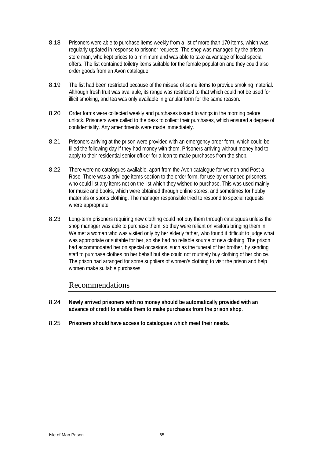- 8.18 Prisoners were able to purchase items weekly from a list of more than 170 items, which was regularly updated in response to prisoner requests. The shop was managed by the prison store man, who kept prices to a minimum and was able to take advantage of local special offers. The list contained toiletry items suitable for the female population and they could also order goods from an Avon catalogue.
- 8.19 The list had been restricted because of the misuse of some items to provide smoking material. Although fresh fruit was available, its range was restricted to that which could not be used for illicit smoking, and tea was only available in granular form for the same reason.
- 8.20 Order forms were collected weekly and purchases issued to wings in the morning before unlock. Prisoners were called to the desk to collect their purchases, which ensured a degree of confidentiality. Any amendments were made immediately.
- 8.21 Prisoners arriving at the prison were provided with an emergency order form, which could be filled the following day if they had money with them. Prisoners arriving without money had to apply to their residential senior officer for a loan to make purchases from the shop.
- 8.22 There were no catalogues available, apart from the Avon catalogue for women and Post a Rose. There was a privilege items section to the order form, for use by enhanced prisoners, who could list any items not on the list which they wished to purchase. This was used mainly for music and books, which were obtained through online stores, and sometimes for hobby materials or sports clothing. The manager responsible tried to respond to special requests where appropriate.
- 8.23 Long-term prisoners requiring new clothing could not buy them through catalogues unless the shop manager was able to purchase them, so they were reliant on visitors bringing them in. We met a woman who was visited only by her elderly father, who found it difficult to judge what was appropriate or suitable for her, so she had no reliable source of new clothing. The prison had accommodated her on special occasions, such as the funeral of her brother, by sending staff to purchase clothes on her behalf but she could not routinely buy clothing of her choice. The prison had arranged for some suppliers of women's clothing to visit the prison and help women make suitable purchases.

- 8.24 **Newly arrived prisoners with no money should be automatically provided with an advance of credit to enable them to make purchases from the prison shop.**
- 8.25 **Prisoners should have access to catalogues which meet their needs.**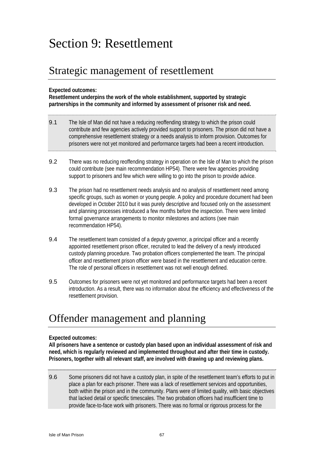# Section 9: Resettlement

## Strategic management of resettlement

#### **Expected outcomes:**

**Resettlement underpins the work of the whole establishment, supported by strategic partnerships in the community and informed by assessment of prisoner risk and need.** 

- 9.1 The Isle of Man did not have a reducing reoffending strategy to which the prison could contribute and few agencies actively provided support to prisoners. The prison did not have a comprehensive resettlement strategy or a needs analysis to inform provision. Outcomes for prisoners were not yet monitored and performance targets had been a recent introduction.
- 9.2 There was no reducing reoffending strategy in operation on the Isle of Man to which the prison could contribute (see main recommendation HP54). There were few agencies providing support to prisoners and few which were willing to go into the prison to provide advice.
- 9.3 The prison had no resettlement needs analysis and no analysis of resettlement need among specific groups, such as women or young people. A policy and procedure document had been developed in October 2010 but it was purely descriptive and focused only on the assessment and planning processes introduced a few months before the inspection. There were limited formal governance arrangements to monitor milestones and actions (see main recommendation HP54).
- 9.4 The resettlement team consisted of a deputy governor, a principal officer and a recently appointed resettlement prison officer, recruited to lead the delivery of a newly introduced custody planning procedure. Two probation officers complemented the team. The principal officer and resettlement prison officer were based in the resettlement and education centre. The role of personal officers in resettlement was not well enough defined.
- 9.5 Outcomes for prisoners were not yet monitored and performance targets had been a recent introduction. As a result, there was no information about the efficiency and effectiveness of the resettlement provision.

## Offender management and planning

#### **Expected outcomes:**

**All prisoners have a sentence or custody plan based upon an individual assessment of risk and need, which is regularly reviewed and implemented throughout and after their time in custody. Prisoners, together with all relevant staff, are involved with drawing up and reviewing plans.** 

9.6 Some prisoners did not have a custody plan, in spite of the resettlement team's efforts to put in place a plan for each prisoner. There was a lack of resettlement services and opportunities, both within the prison and in the community. Plans were of limited quality, with basic objectives that lacked detail or specific timescales. The two probation officers had insufficient time to provide face-to-face work with prisoners. There was no formal or rigorous process for the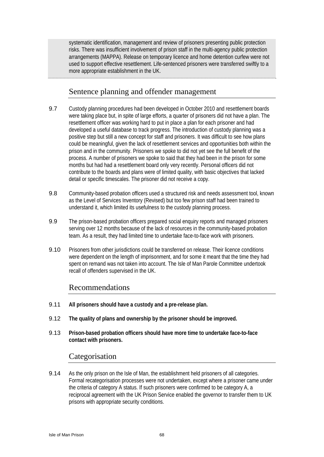systematic identification, management and review of prisoners presenting public protection risks. There was insufficient involvement of prison staff in the multi-agency public protection arrangements (MAPPA). Release on temporary licence and home detention curfew were not used to support effective resettlement. Life-sentenced prisoners were transferred swiftly to a more appropriate establishment in the UK.

## Sentence planning and offender management

- 9.7 Custody planning procedures had been developed in October 2010 and resettlement boards were taking place but, in spite of large efforts, a quarter of prisoners did not have a plan. The resettlement officer was working hard to put in place a plan for each prisoner and had developed a useful database to track progress. The introduction of custody planning was a positive step but still a new concept for staff and prisoners. It was difficult to see how plans could be meaningful, given the lack of resettlement services and opportunities both within the prison and in the community. Prisoners we spoke to did not yet see the full benefit of the process. A number of prisoners we spoke to said that they had been in the prison for some months but had had a resettlement board only very recently. Personal officers did not contribute to the boards and plans were of limited quality, with basic objectives that lacked detail or specific timescales. The prisoner did not receive a copy.
- 9.8 Community-based probation officers used a structured risk and needs assessment tool, known as the Level of Services Inventory (Revised) but too few prison staff had been trained to understand it, which limited its usefulness to the custody planning process.
- 9.9 The prison-based probation officers prepared social enquiry reports and managed prisoners serving over 12 months because of the lack of resources in the community-based probation team. As a result, they had limited time to undertake face-to-face work with prisoners.
- 9.10 Prisoners from other jurisdictions could be transferred on release. Their licence conditions were dependent on the length of imprisonment, and for some it meant that the time they had spent on remand was not taken into account. The Isle of Man Parole Committee undertook recall of offenders supervised in the UK.

#### Recommendations

- 9.11 **All prisoners should have a custody and a pre-release plan.**
- 9.12 **The quality of plans and ownership by the prisoner should be improved.**
- 9.13 **Prison-based probation officers should have more time to undertake face-to-face contact with prisoners.**

#### Categorisation

9.14 As the only prison on the Isle of Man, the establishment held prisoners of all categories. Formal recategorisation processes were not undertaken, except where a prisoner came under the criteria of category A status. If such prisoners were confirmed to be category A, a reciprocal agreement with the UK Prison Service enabled the governor to transfer them to UK prisons with appropriate security conditions.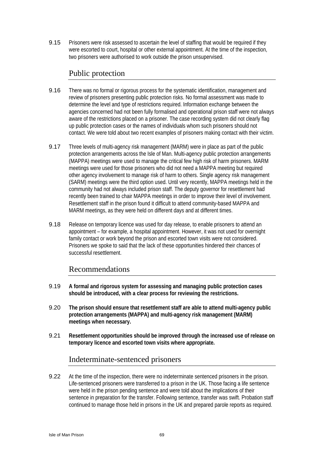9.15 Prisoners were risk assessed to ascertain the level of staffing that would be required if they were escorted to court, hospital or other external appointment. At the time of the inspection, two prisoners were authorised to work outside the prison unsupervised.

## Public protection

- 9.16 There was no formal or rigorous process for the systematic identification, management and review of prisoners presenting public protection risks. No formal assessment was made to determine the level and type of restrictions required. Information exchange between the agencies concerned had not been fully formalised and operational prison staff were not always aware of the restrictions placed on a prisoner. The case recording system did not clearly flag up public protection cases or the names of individuals whom such prisoners should not contact. We were told about two recent examples of prisoners making contact with their victim.
- 9.17 Three levels of multi-agency risk management (MARM) were in place as part of the public protection arrangements across the Isle of Man. Multi-agency public protection arrangements (MAPPA) meetings were used to manage the critical few high risk of harm prisoners. MARM meetings were used for those prisoners who did not need a MAPPA meeting but required other agency involvement to manage risk of harm to others. Single agency risk management (SARM) meetings were the third option used. Until very recently, MAPPA meetings held in the community had not always included prison staff. The deputy governor for resettlement had recently been trained to chair MAPPA meetings in order to improve their level of involvement. Resettlement staff in the prison found it difficult to attend community-based MAPPA and MARM meetings, as they were held on different days and at different times.
- 9.18 Release on temporary licence was used for day release, to enable prisoners to attend an appointment – for example, a hospital appointment. However, it was not used for overnight family contact or work beyond the prison and escorted town visits were not considered. Prisoners we spoke to said that the lack of these opportunities hindered their chances of successful resettlement.

## Recommendations

- 9.19 **A formal and rigorous system for assessing and managing public protection cases should be introduced, with a clear process for reviewing the restrictions.**
- 9.20 **The prison should ensure that resettlement staff are able to attend multi-agency public protection arrangements (MAPPA) and multi-agency risk management (MARM) meetings when necessary.**
- 9.21 **Resettlement opportunities should be improved through the increased use of release on temporary licence and escorted town visits where appropriate.**

## Indeterminate-sentenced prisoners

9.22 At the time of the inspection, there were no indeterminate sentenced prisoners in the prison. Life-sentenced prisoners were transferred to a prison in the UK. Those facing a life sentence were held in the prison pending sentence and were told about the implications of their sentence in preparation for the transfer. Following sentence, transfer was swift. Probation staff continued to manage those held in prisons in the UK and prepared parole reports as required.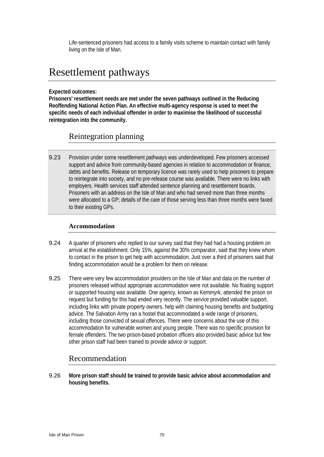Life-sentenced prisoners had access to a family visits scheme to maintain contact with family living on the Isle of Man.

## Resettlement pathways

#### **Expected outcomes:**

**Prisoners' resettlement needs are met under the seven pathways outlined in the Reducing Reoffending National Action Plan. An effective multi-agency response is used to meet the specific needs of each individual offender in order to maximise the likelihood of successful reintegration into the community.** 

## Reintegration planning

9.23 Provision under some resettlement pathways was underdeveloped. Few prisoners accessed support and advice from community-based agencies in relation to accommodation or finance, debts and benefits. Release on temporary licence was rarely used to help prisoners to prepare to reintegrate into society, and no pre-release course was available. There were no links with employers. Health services staff attended sentence planning and resettlement boards. Prisoners with an address on the Isle of Man and who had served more than three months were allocated to a GP; details of the care of those serving less than three months were faxed to their existing GPs.

#### **Accommodation**

- 9.24 A quarter of prisoners who replied to our survey said that they had had a housing problem on arrival at the establishment. Only 15%, against the 30% comparator, said that they knew whom to contact in the prison to get help with accommodation. Just over a third of prisoners said that finding accommodation would be a problem for them on release.
- 9.25 There were very few accommodation providers on the Isle of Man and data on the number of prisoners released without appropriate accommodation were not available. No floating support or supported housing was available. One agency, known as Kemmyrk, attended the prison on request but funding for this had ended very recently. The service provided valuable support, including links with private property owners, help with claiming housing benefits and budgeting advice. The Salvation Army ran a hostel that accommodated a wide range of prisoners, including those convicted of sexual offences. There were concerns about the use of this accommodation for vulnerable women and young people. There was no specific provision for female offenders. The two prison-based probation officers also provided basic advice but few other prison staff had been trained to provide advice or support.

## Recommendation

9.26 **More prison staff should be trained to provide basic advice about accommodation and housing benefits.**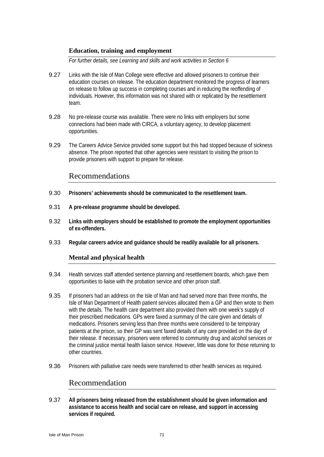#### **Education, training and employment**

*For further details, see Learning and skills and work activities in Section 6* 

- 9.27 Links with the Isle of Man College were effective and allowed prisoners to continue their education courses on release. The education department monitored the progress of learners on release to follow up success in completing courses and in reducing the reoffending of individuals. However, this information was not shared with or replicated by the resettlement team.
- 9.28 No pre-release course was available. There were no links with employers but some connections had been made with CIRCA, a voluntary agency, to develop placement opportunities.
- 9.29 The Careers Advice Service provided some support but this had stopped because of sickness absence. The prison reported that other agencies were resistant to visiting the prison to provide prisoners with support to prepare for release.

# Recommendations

- 9.30 **Prisoners' achievements should be communicated to the resettlement team.**
- 9.31 **A pre-release programme should be developed.**
- 9.32 **Links with employers should be established to promote the employment opportunities of ex-offenders.**
- 9.33 **Regular careers advice and guidance should be readily available for all prisoners.**

#### **Mental and physical health**

- 9.34 Health services staff attended sentence planning and resettlement boards, which gave them opportunities to liaise with the probation service and other prison staff.
- 9.35 If prisoners had an address on the Isle of Man and had served more than three months, the Isle of Man Department of Health patient services allocated them a GP and then wrote to them with the details. The health care department also provided them with one week's supply of their prescribed medications. GPs were faxed a summary of the care given and details of medications. Prisoners serving less than three months were considered to be temporary patients at the prison, so their GP was sent faxed details of any care provided on the day of their release. If necessary, prisoners were referred to community drug and alcohol services or the criminal justice mental health liaison service. However, little was done for those returning to other countries.
- 9.36 Prisoners with palliative care needs were transferred to other health services as required.

# Recommendation

9.37 **All prisoners being released from the establishment should be given information and assistance to access health and social care on release, and support in accessing services if required.**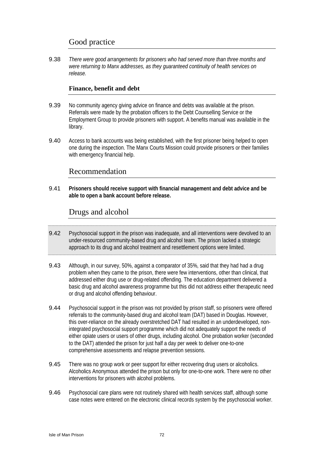# Good practice

9.38 *There were good arrangements for prisoners who had served more than three months and were returning to Manx addresses, as they guaranteed continuity of health services on release.* 

#### **Finance, benefit and debt**

- 9.39 No community agency giving advice on finance and debts was available at the prison. Referrals were made by the probation officers to the Debt Counselling Service or the Employment Group to provide prisoners with support. A benefits manual was available in the library.
- 9.40 Access to bank accounts was being established, with the first prisoner being helped to open one during the inspection. The Manx Courts Mission could provide prisoners or their families with emergency financial help.

# Recommendation

9.41 **Prisoners should receive support with financial management and debt advice and be able to open a bank account before release.** 

# Drugs and alcohol

- 9.42 Psychosocial support in the prison was inadequate, and all interventions were devolved to an under-resourced community-based drug and alcohol team. The prison lacked a strategic approach to its drug and alcohol treatment and resettlement options were limited.
- 9.43 Although, in our survey, 50%, against a comparator of 35%, said that they had had a drug problem when they came to the prison, there were few interventions, other than clinical, that addressed either drug use or drug-related offending. The education department delivered a basic drug and alcohol awareness programme but this did not address either therapeutic need or drug and alcohol offending behaviour.
- 9.44 Psychosocial support in the prison was not provided by prison staff, so prisoners were offered referrals to the community-based drug and alcohol team (DAT) based in Douglas. However, this over-reliance on the already overstretched DAT had resulted in an underdeveloped, nonintegrated psychosocial support programme which did not adequately support the needs of either opiate users or users of other drugs, including alcohol. One probation worker (seconded to the DAT) attended the prison for just half a day per week to deliver one-to-one comprehensive assessments and relapse prevention sessions.
- 9.45 There was no group work or peer support for either recovering drug users or alcoholics. Alcoholics Anonymous attended the prison but only for one-to-one work. There were no other interventions for prisoners with alcohol problems.
- 9.46 Psychosocial care plans were not routinely shared with health services staff, although some case notes were entered on the electronic clinical records system by the psychosocial worker.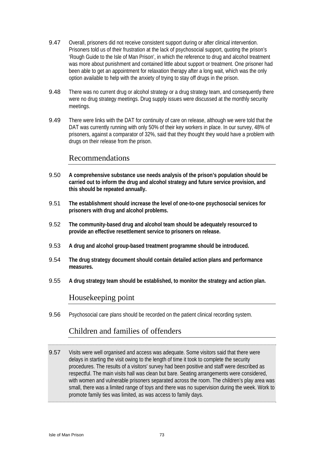- 9.47 Overall, prisoners did not receive consistent support during or after clinical intervention. Prisoners told us of their frustration at the lack of psychosocial support, quoting the prison's 'Rough Guide to the Isle of Man Prison', in which the reference to drug and alcohol treatment was more about punishment and contained little about support or treatment. One prisoner had been able to get an appointment for relaxation therapy after a long wait, which was the only option available to help with the anxiety of trying to stay off drugs in the prison.
- 9.48 There was no current drug or alcohol strategy or a drug strategy team, and consequently there were no drug strategy meetings. Drug supply issues were discussed at the monthly security meetings.
- 9.49 There were links with the DAT for continuity of care on release, although we were told that the DAT was currently running with only 50% of their key workers in place. In our survey, 48% of prisoners, against a comparator of 32%, said that they thought they would have a problem with drugs on their release from the prison.

# Recommendations

- 9.50 **A comprehensive substance use needs analysis of the prison's population should be carried out to inform the drug and alcohol strategy and future service provision, and this should be repeated annually.**
- 9.51 **The establishment should increase the level of one-to-one psychosocial services for prisoners with drug and alcohol problems.**
- 9.52 **The community-based drug and alcohol team should be adequately resourced to provide an effective resettlement service to prisoners on release.**
- 9.53 **A drug and alcohol group-based treatment programme should be introduced.**
- 9.54 **The drug strategy document should contain detailed action plans and performance measures.**
- 9.55 **A drug strategy team should be established, to monitor the strategy and action plan.**

### Housekeeping point

9.56 Psychosocial care plans should be recorded on the patient clinical recording system.

# Children and families of offenders

9.57 Visits were well organised and access was adequate. Some visitors said that there were delays in starting the visit owing to the length of time it took to complete the security procedures. The results of a visitors' survey had been positive and staff were described as respectful. The main visits hall was clean but bare. Seating arrangements were considered, with women and vulnerable prisoners separated across the room. The children's play area was small, there was a limited range of toys and there was no supervision during the week. Work to promote family ties was limited, as was access to family days.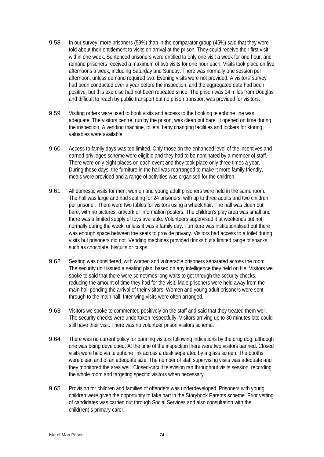- 9.58 In our survey, more prisoners (59%) than in the comparator group (45%) said that they were told about their entitlement to visits on arrival at the prison. They could receive their first visit within one week. Sentenced prisoners were entitled to only one visit a week for one hour, and remand prisoners received a maximum of two visits for one hour each. Visits took place on five afternoons a week, including Saturday and Sunday. There was normally one session per afternoon, unless demand required two. Evening visits were not provided. A visitors' survey had been conducted over a year before the inspection, and the aggregated data had been positive, but this exercise had not been repeated since. The prison was 14 miles from Douglas and difficult to reach by public transport but no prison transport was provided for visitors.
- 9.59 Visiting orders were used to book visits and access to the booking telephone line was adequate. The visitors centre, run by the prison, was clean but bare. It opened on time during the inspection. A vending machine, toilets, baby changing facilities and lockers for storing valuables were available.
- 9.60 Access to family days was too limited. Only those on the enhanced level of the incentives and earned privileges scheme were eligible and they had to be nominated by a member of staff. There were only eight places on each event and they took place only three times a year. During these days, the furniture in the hall was rearranged to make it more family friendly, meals were provided and a range of activities was organised for the children.
- 9.61 All domestic visits for men, women and young adult prisoners were held in the same room. The hall was large and had seating for 24 prisoners, with up to three adults and two children per prisoner. There were two tables for visitors using a wheelchair. The hall was clean but bare, with no pictures, artwork or information posters. The children's play area was small and there was a limited supply of toys available. Volunteers supervised it at weekends but not normally during the week, unless it was a family day. Furniture was institutionalised but there was enough space between the seats to provide privacy. Visitors had access to a toilet during visits but prisoners did not. Vending machines provided drinks but a limited range of snacks, such as chocolate, biscuits or crisps.
- 9.62 Seating was considered, with women and vulnerable prisoners separated across the room. The security unit issued a seating plan, based on any intelligence they held on file. Visitors we spoke to said that there were sometimes long waits to get through the security checks, reducing the amount of time they had for the visit. Male prisoners were held away from the main hall pending the arrival of their visitors. Women and young adult prisoners were sent through to the main hall. Inter-wing visits were often arranged.
- 9.63 Visitors we spoke to commented positively on the staff and said that they treated them well. The security checks were undertaken respectfully. Visitors arriving up to 30 minutes late could still have their visit. There was no volunteer prison visitors scheme.
- 9.64 There was no current policy for banning visitors following indications by the drug dog, although one was being developed. At the time of the inspection there were two visitors banned. Closed visits were held via telephone link across a desk separated by a glass screen. The booths were clean and of an adequate size. The number of staff supervising visits was adequate and they monitored the area well. Closed-circuit television ran throughout visits session, recording the whole room and targeting specific visitors when necessary.
- 9.65 Provision for children and families of offenders was underdeveloped. Prisoners with young children were given the opportunity to take part in the Storybook Parents scheme. Prior vetting of candidates was carried out through Social Services and also consultation with the child(ren)'s primary carer.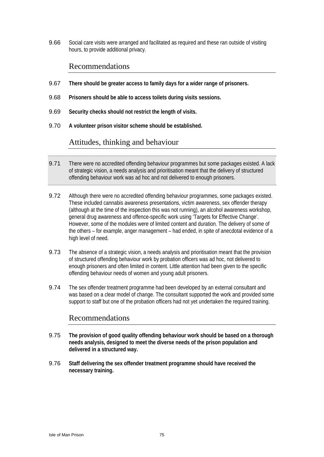9.66 Social care visits were arranged and facilitated as required and these ran outside of visiting hours, to provide additional privacy.

# Recommendations

- 9.67 **There should be greater access to family days for a wider range of prisoners.**
- 9.68 **Prisoners should be able to access toilets during visits sessions.**
- 9.69 **Security checks should not restrict the length of visits.**
- 9.70 **A volunteer prison visitor scheme should be established.**

# Attitudes, thinking and behaviour

- 9.71 There were no accredited offending behaviour programmes but some packages existed. A lack of strategic vision, a needs analysis and prioritisation meant that the delivery of structured offending behaviour work was ad hoc and not delivered to enough prisoners.
- 9.72 Although there were no accredited offending behaviour programmes, some packages existed. These included cannabis awareness presentations, victim awareness, sex offender therapy (although at the time of the inspection this was not running), an alcohol awareness workshop, general drug awareness and offence-specific work using 'Targets for Effective Change'. However, some of the modules were of limited content and duration. The delivery of some of the others – for example, anger management – had ended, in spite of anecdotal evidence of a high level of need.
- 9.73 The absence of a strategic vision, a needs analysis and prioritisation meant that the provision of structured offending behaviour work by probation officers was ad hoc, not delivered to enough prisoners and often limited in content. Little attention had been given to the specific offending behaviour needs of women and young adult prisoners.
- 9.74 The sex offender treatment programme had been developed by an external consultant and was based on a clear model of change. The consultant supported the work and provided some support to staff but one of the probation officers had not yet undertaken the required training.

# Recommendations

- 9.75 **The provision of good quality offending behaviour work should be based on a thorough needs analysis, designed to meet the diverse needs of the prison population and delivered in a structured way.**
- 9.76 **Staff delivering the sex offender treatment programme should have received the necessary training.**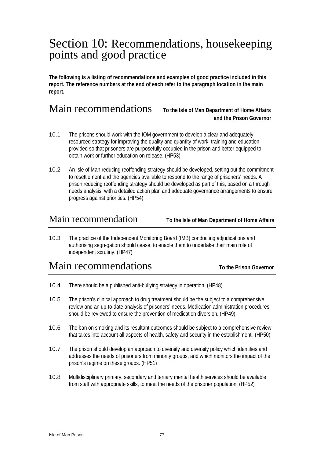# Section 10: Recommendations, housekeeping points and good practice

**The following is a listing of recommendations and examples of good practice included in this report. The reference numbers at the end of each refer to the paragraph location in the main report.** 

# Main recommendations **To the Isle of Man Department of Home Affairs**

# **and the Prison Governor**

- 10.1 The prisons should work with the IOM government to develop a clear and adequately resourced strategy for improving the quality and quantity of work, training and education provided so that prisoners are purposefully occupied in the prison and better equipped to obtain work or further education on release. (HP53)
- 10.2 An Isle of Man reducing reoffending strategy should be developed, setting out the commitment to resettlement and the agencies available to respond to the range of prisoners' needs. A prison reducing reoffending strategy should be developed as part of this, based on a through needs analysis, with a detailed action plan and adequate governance arrangements to ensure progress against priorities. (HP54)

Main recommendation **To the Isle of Man Department of Home Affairs**

10.3 The practice of the Independent Monitoring Board (IMB) conducting adjudications and authorising segregation should cease, to enable them to undertake their main role of independent scrutiny. (HP47)

# **Main recommendations** To the Prison Governor

- 10.4 There should be a published anti-bullying strategy in operation. (HP48)
- 10.5 The prison's clinical approach to drug treatment should be the subject to a comprehensive review and an up-to-date analysis of prisoners' needs. Medication administration procedures should be reviewed to ensure the prevention of medication diversion. (HP49)
- 10.6 The ban on smoking and its resultant outcomes should be subject to a comprehensive review that takes into account all aspects of health, safety and security in the establishment. (HP50)
- 10.7 The prison should develop an approach to diversity and diversity policy which identifies and addresses the needs of prisoners from minority groups, and which monitors the impact of the prison's regime on these groups. (HP51)
- 10.8 Multidisciplinary primary, secondary and tertiary mental health services should be available from staff with appropriate skills, to meet the needs of the prisoner population. (HP52)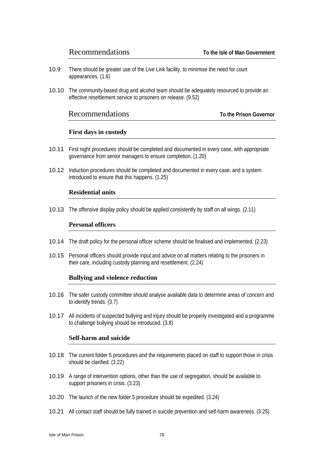- 10.9 There should be greater use of the Live Link facility, to minimise the need for court appearances. (1.6)
- 10.10 The community-based drug and alcohol team should be adequately resourced to provide an effective resettlement service to prisoners on release. (9.52)

### Recommendations **To the Prison Governor**

#### **First days in custody**

- 10.11 First night procedures should be completed and documented in every case, with appropriate governance from senior managers to ensure completion. (1.20)
- 10.12 Induction procedures should be completed and documented in every case, and a system introduced to ensure that this happens. (1.25)

#### **Residential units**

10.13 The offensive display policy should be applied consistently by staff on all wings. (2.11)

#### **Personal officers**

- 10.14 The draft policy for the personal officer scheme should be finalised and implemented. (2.23)
- 10.15 Personal officers should provide input and advice on all matters relating to the prisoners in their care, including custody planning and resettlement. (2.24)

#### **Bullying and violence reduction**

- 10.16 The safer custody committee should analyse available data to determine areas of concern and to identify trends. (3.7)
- 10.17 All incidents of suspected bullying and injury should be properly investigated and a programme to challenge bullying should be introduced. (3.8)

#### **Self-harm and suicide**

- 10.18 The current folder 5 procedures and the requirements placed on staff to support those in crisis should be clarified. (3.22)
- 10.19 A range of intervention options, other than the use of segregation, should be available to support prisoners in crisis. (3.23)
- 10.20 The launch of the new folder 5 procedure should be expedited. (3.24)
- 10.21 All contact staff should be fully trained in suicide prevention and self-harm awareness. (3.25)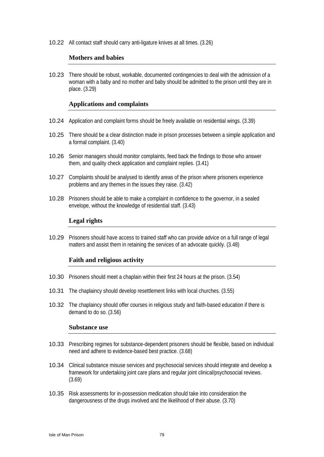10.22 All contact staff should carry anti-ligature knives at all times. (3.26)

#### **Mothers and babies**

10.23 There should be robust, workable, documented contingencies to deal with the admission of a woman with a baby and no mother and baby should be admitted to the prison until they are in place. (3.29)

#### **Applications and complaints**

- 10.24 Application and complaint forms should be freely available on residential wings. (3.39)
- 10.25 There should be a clear distinction made in prison processes between a simple application and a formal complaint. (3.40)
- 10.26 Senior managers should monitor complaints, feed back the findings to those who answer them, and quality check application and complaint replies. (3.41)
- 10.27 Complaints should be analysed to identify areas of the prison where prisoners experience problems and any themes in the issues they raise. (3.42)
- 10.28 Prisoners should be able to make a complaint in confidence to the governor, in a sealed envelope, without the knowledge of residential staff. (3.43)

#### **Legal rights**

10.29 Prisoners should have access to trained staff who can provide advice on a full range of legal matters and assist them in retaining the services of an advocate quickly. (3.48)

#### **Faith and religious activity**

- 10.30 Prisoners should meet a chaplain within their first 24 hours at the prison. (3.54)
- 10.31 The chaplaincy should develop resettlement links with local churches. (3.55)
- 10.32 The chaplaincy should offer courses in religious study and faith-based education if there is demand to do so. (3.56)

#### **Substance use**

- 10.33 Prescribing regimes for substance-dependent prisoners should be flexible, based on individual need and adhere to evidence-based best practice. (3.68)
- 10.34 Clinical substance misuse services and psychosocial services should integrate and develop a framework for undertaking joint care plans and regular joint clinical/psychosocial reviews. (3.69)
- 10.35 Risk assessments for in-possession medication should take into consideration the dangerousness of the drugs involved and the likelihood of their abuse. (3.70)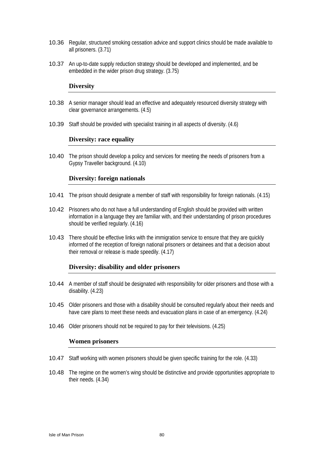- 10.36 Regular, structured smoking cessation advice and support clinics should be made available to all prisoners. (3.71)
- 10.37 An up-to-date supply reduction strategy should be developed and implemented, and be embedded in the wider prison drug strategy. (3.75)

#### **Diversity**

- 10.38 A senior manager should lead an effective and adequately resourced diversity strategy with clear governance arrangements. (4.5)
- 10.39 Staff should be provided with specialist training in all aspects of diversity. (4.6)

#### **Diversity: race equality**

10.40 The prison should develop a policy and services for meeting the needs of prisoners from a Gypsy Traveller background. (4.10)

#### **Diversity: foreign nationals**

- 10.41 The prison should designate a member of staff with responsibility for foreign nationals. (4.15)
- 10.42 Prisoners who do not have a full understanding of English should be provided with written information in a language they are familiar with, and their understanding of prison procedures should be verified regularly. (4.16)
- 10.43 There should be effective links with the immigration service to ensure that they are quickly informed of the reception of foreign national prisoners or detainees and that a decision about their removal or release is made speedily. (4.17)

#### **Diversity: disability and older prisoners**

- 10.44 A member of staff should be designated with responsibility for older prisoners and those with a disability. (4.23)
- 10.45 Older prisoners and those with a disability should be consulted regularly about their needs and have care plans to meet these needs and evacuation plans in case of an emergency. (4.24)
- 10.46 Older prisoners should not be required to pay for their televisions. (4.25)

#### **Women prisoners**

- 10.47 Staff working with women prisoners should be given specific training for the role. (4.33)
- 10.48 The regime on the women's wing should be distinctive and provide opportunities appropriate to their needs. (4.34)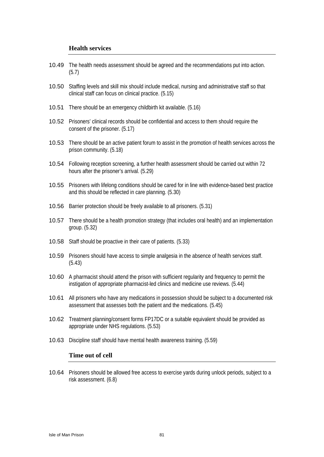#### **Health services**

- 10.49 The health needs assessment should be agreed and the recommendations put into action. (5.7) 10.50 Staffing levels and skill mix should include medical, nursing and administrative staff so that clinical staff can focus on clinical practice. (5.15) 10.51 There should be an emergency childbirth kit available. (5.16) 10.52 Prisoners' clinical records should be confidential and access to them should require the consent of the prisoner. (5.17) 10.53 There should be an active patient forum to assist in the promotion of health services across the prison community. (5.18) 10.54 Following reception screening, a further health assessment should be carried out within 72 hours after the prisoner's arrival. (5.29) 10.55 Prisoners with lifelong conditions should be cared for in line with evidence-based best practice and this should be reflected in care planning. (5.30) 10.56 Barrier protection should be freely available to all prisoners. (5.31) 10.57 There should be a health promotion strategy (that includes oral health) and an implementation group. (5.32) 10.58 Staff should be proactive in their care of patients. (5.33) 10.59 Prisoners should have access to simple analgesia in the absence of health services staff. (5.43) 10.60 A pharmacist should attend the prison with sufficient regularity and frequency to permit the instigation of appropriate pharmacist-led clinics and medicine use reviews. (5.44) 10.61 All prisoners who have any medications in possession should be subject to a documented risk assessment that assesses both the patient and the medications. (5.45) 10.62 Treatment planning/consent forms FP17DC or a suitable equivalent should be provided as appropriate under NHS regulations. (5.53) 10.63 Discipline staff should have mental health awareness training. (5.59) **Time out of cell**
- 10.64 Prisoners should be allowed free access to exercise yards during unlock periods, subject to a risk assessment. (6.8)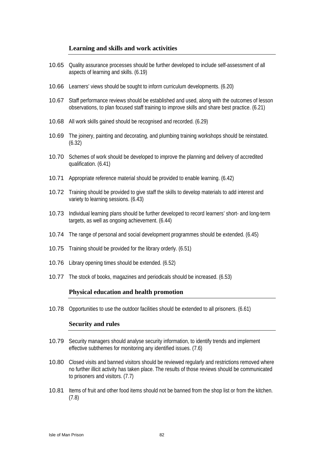#### **Learning and skills and work activities**

- 10.65 Quality assurance processes should be further developed to include self-assessment of all aspects of learning and skills. (6.19)
- 10.66 Learners' views should be sought to inform curriculum developments. (6.20)
- 10.67 Staff performance reviews should be established and used, along with the outcomes of lesson observations, to plan focused staff training to improve skills and share best practice. (6.21)
- 10.68 All work skills gained should be recognised and recorded. (6.29)
- 10.69 The joinery, painting and decorating, and plumbing training workshops should be reinstated. (6.32)
- 10.70 Schemes of work should be developed to improve the planning and delivery of accredited qualification. (6.41)
- 10.71 Appropriate reference material should be provided to enable learning. (6.42)
- 10.72 Training should be provided to give staff the skills to develop materials to add interest and variety to learning sessions. (6.43)
- 10.73 Individual learning plans should be further developed to record learners' short- and long-term targets, as well as ongoing achievement. (6.44)
- 10.74 The range of personal and social development programmes should be extended. (6.45)
- 10.75 Training should be provided for the library orderly. (6.51)
- 10.76 Library opening times should be extended. (6.52)
- 10.77 The stock of books, magazines and periodicals should be increased. (6.53)

#### **Physical education and health promotion**

10.78 Opportunities to use the outdoor facilities should be extended to all prisoners. (6.61)

#### **Security and rules**

- 10.79 Security managers should analyse security information, to identify trends and implement effective subthemes for monitoring any identified issues. (7.6)
- 10.80 Closed visits and banned visitors should be reviewed regularly and restrictions removed where no further illicit activity has taken place. The results of those reviews should be communicated to prisoners and visitors. (7.7)
- 10.81 Items of fruit and other food items should not be banned from the shop list or from the kitchen. (7.8)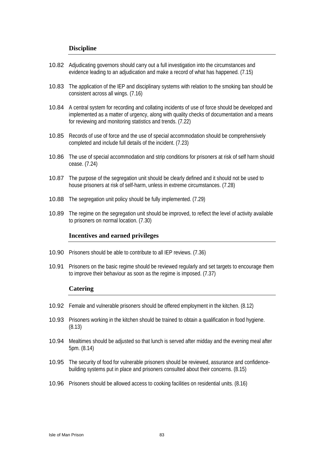#### **Discipline**

- 10.82 Adjudicating governors should carry out a full investigation into the circumstances and evidence leading to an adjudication and make a record of what has happened. (7.15)
- 10.83 The application of the IEP and disciplinary systems with relation to the smoking ban should be consistent across all wings. (7.16)
- 10.84 A central system for recording and collating incidents of use of force should be developed and implemented as a matter of urgency, along with quality checks of documentation and a means for reviewing and monitoring statistics and trends. (7.22)
- 10.85 Records of use of force and the use of special accommodation should be comprehensively completed and include full details of the incident. (7.23)
- 10.86 The use of special accommodation and strip conditions for prisoners at risk of self harm should cease. (7.24)
- 10.87 The purpose of the segregation unit should be clearly defined and it should not be used to house prisoners at risk of self-harm, unless in extreme circumstances. (7.28)
- 10.88 The segregation unit policy should be fully implemented. (7.29)
- 10.89 The regime on the segregation unit should be improved, to reflect the level of activity available to prisoners on normal location. (7.30)

#### **Incentives and earned privileges**

- 10.90 Prisoners should be able to contribute to all IEP reviews. (7.36)
- 10.91 Prisoners on the basic regime should be reviewed regularly and set targets to encourage them to improve their behaviour as soon as the regime is imposed. (7.37)

#### **Catering**

- 10.92 Female and vulnerable prisoners should be offered employment in the kitchen. (8.12)
- 10.93 Prisoners working in the kitchen should be trained to obtain a qualification in food hygiene. (8.13)
- 10.94 Mealtimes should be adjusted so that lunch is served after midday and the evening meal after 5pm. (8.14)
- 10.95 The security of food for vulnerable prisoners should be reviewed, assurance and confidencebuilding systems put in place and prisoners consulted about their concerns. (8.15)
- 10.96 Prisoners should be allowed access to cooking facilities on residential units. (8.16)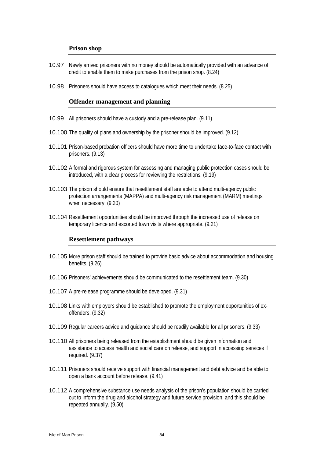#### **Prison shop**

- 10.97 Newly arrived prisoners with no money should be automatically provided with an advance of credit to enable them to make purchases from the prison shop. (8.24)
- 10.98 Prisoners should have access to catalogues which meet their needs. (8.25)

#### **Offender management and planning**

- 10.99 All prisoners should have a custody and a pre-release plan. (9.11)
- 10.100 The quality of plans and ownership by the prisoner should be improved. (9.12)
- 10.101 Prison-based probation officers should have more time to undertake face-to-face contact with prisoners. (9.13)
- 10.102 A formal and rigorous system for assessing and managing public protection cases should be introduced, with a clear process for reviewing the restrictions. (9.19)
- 10.103 The prison should ensure that resettlement staff are able to attend multi-agency public protection arrangements (MAPPA) and multi-agency risk management (MARM) meetings when necessary. (9.20)
- 10.104 Resettlement opportunities should be improved through the increased use of release on temporary licence and escorted town visits where appropriate. (9.21)

#### **Resettlement pathways**

- 10.105 More prison staff should be trained to provide basic advice about accommodation and housing benefits. (9.26)
- 10.106 Prisoners' achievements should be communicated to the resettlement team. (9.30)
- 10.107 A pre-release programme should be developed. (9.31)
- 10.108 Links with employers should be established to promote the employment opportunities of exoffenders. (9.32)
- 10.109 Regular careers advice and guidance should be readily available for all prisoners. (9.33)
- 10.110 All prisoners being released from the establishment should be given information and assistance to access health and social care on release, and support in accessing services if required. (9.37)
- 10.111 Prisoners should receive support with financial management and debt advice and be able to open a bank account before release. (9.41)
- 10.112 A comprehensive substance use needs analysis of the prison's population should be carried out to inform the drug and alcohol strategy and future service provision, and this should be repeated annually. (9.50)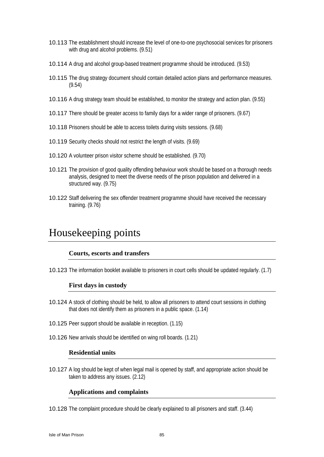- 10.113 The establishment should increase the level of one-to-one psychosocial services for prisoners with drug and alcohol problems. (9.51)
- 10.114 A drug and alcohol group-based treatment programme should be introduced. (9.53)
- 10.115 The drug strategy document should contain detailed action plans and performance measures. (9.54)
- 10.116 A drug strategy team should be established, to monitor the strategy and action plan. (9.55)
- 10.117 There should be greater access to family days for a wider range of prisoners. (9.67)
- 10.118 Prisoners should be able to access toilets during visits sessions. (9.68)
- 10.119 Security checks should not restrict the length of visits. (9.69)
- 10.120 A volunteer prison visitor scheme should be established. (9.70)
- 10.121 The provision of good quality offending behaviour work should be based on a thorough needs analysis, designed to meet the diverse needs of the prison population and delivered in a structured way. (9.75)
- 10.122 Staff delivering the sex offender treatment programme should have received the necessary training. (9.76)

# Housekeeping points

#### **Courts, escorts and transfers**

10.123 The information booklet available to prisoners in court cells should be updated regularly. (1.7)

#### **First days in custody**

- 10.124 A stock of clothing should be held, to allow all prisoners to attend court sessions in clothing that does not identify them as prisoners in a public space. (1.14)
- 10.125 Peer support should be available in reception. (1.15)
- 10.126 New arrivals should be identified on wing roll boards. (1.21)

#### **Residential units**

10.127 A log should be kept of when legal mail is opened by staff, and appropriate action should be taken to address any issues. (2.12)

#### **Applications and complaints**

10.128 The complaint procedure should be clearly explained to all prisoners and staff. (3.44)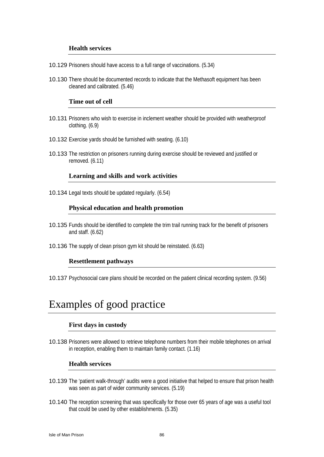#### **Health services**

- 10.129 Prisoners should have access to a full range of vaccinations. (5.34)
- 10.130 There should be documented records to indicate that the Methasoft equipment has been cleaned and calibrated. (5.46)

#### **Time out of cell**

- 10.131 Prisoners who wish to exercise in inclement weather should be provided with weatherproof clothing. (6.9)
- 10.132 Exercise yards should be furnished with seating. (6.10)
- 10.133 The restriction on prisoners running during exercise should be reviewed and justified or removed. (6.11)

#### **Learning and skills and work activities**

10.134 Legal texts should be updated regularly. (6.54)

#### **Physical education and health promotion**

- 10.135 Funds should be identified to complete the trim trail running track for the benefit of prisoners and staff. (6.62)
- 10.136 The supply of clean prison gym kit should be reinstated. (6.63)

#### **Resettlement pathways**

10.137 Psychosocial care plans should be recorded on the patient clinical recording system. (9.56)

# Examples of good practice

#### **First days in custody**

10.138 Prisoners were allowed to retrieve telephone numbers from their mobile telephones on arrival in reception, enabling them to maintain family contact. (1.16)

#### **Health services**

- 10.139 The 'patient walk-through' audits were a good initiative that helped to ensure that prison health was seen as part of wider community services. (5.19)
- 10.140 The reception screening that was specifically for those over 65 years of age was a useful tool that could be used by other establishments. (5.35)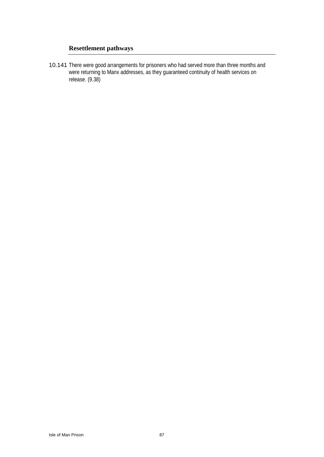# **Resettlement pathways**

10.141 There were good arrangements for prisoners who had served more than three months and were returning to Manx addresses, as they guaranteed continuity of health services on release. (9.38)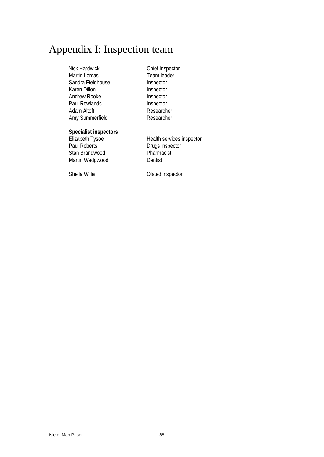# Appendix I: Inspection team

Nick Hardwick<br>
Martin Lomas<br>
Martin Lomas<br>
Team leader Martin Lomas Sandra Fieldhouse **Inspector** Karen Dillon **Inspector** Andrew Rooke Inspector Paul Rowlands **Inspector** Adam Altoft **Researcher** Amy Summerfield Researcher

#### **Specialist inspectors**

Stan Brandwood Pharmacist Martin Wedgwood Dentist

Elizabeth Tysoe **Health Services inspector**<br>
Paul Roberts **Contains Elizabeth Contains Paul Roberts** Drugs inspector

Sheila Willis **Conserversity** Ofsted inspector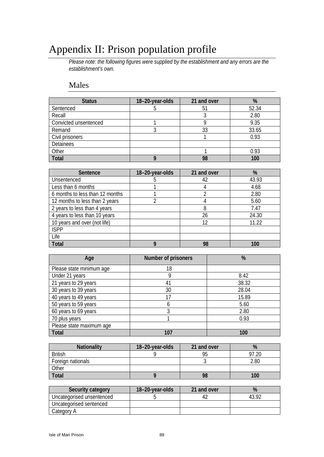# Appendix II: Prison population profile

*Please note: the following figures were supplied by the establishment and any errors are the establishment's own.* 

# Males

| <b>Status</b>         | 18-20-year-olds | 21 and over | %     |
|-----------------------|-----------------|-------------|-------|
| Sentenced             |                 | 51          | 52.34 |
| Recall                |                 |             | 2.80  |
| Convicted unsentenced |                 |             | 9.35  |
| Remand                |                 | 33          | 33.65 |
| Civil prisoners       |                 |             | 0.93  |
| Detainees             |                 |             |       |
| Other                 |                 |             | 0.93  |
| Total                 |                 | 98          | 100   |

| Sentence                        | 18-20-year-olds | 21 and over | %     |
|---------------------------------|-----------------|-------------|-------|
| Unsentenced                     |                 | 42          | 43.93 |
| Less than 6 months              |                 |             | 4.68  |
| 6 months to less than 12 months |                 |             | 2.80  |
| 12 months to less than 2 years  |                 |             | 5.60  |
| 2 years to less than 4 years    |                 | 8           | 7.47  |
| 4 years to less than 10 years   |                 | 26          | 24.30 |
| 10 years and over (not life)    |                 | 12          | 11.22 |
| <b>ISPP</b>                     |                 |             |       |
| Life                            |                 |             |       |
| <b>Total</b>                    |                 | 98          | 100   |

| Age                      | Number of prisoners | %     |
|--------------------------|---------------------|-------|
| Please state minimum age | 18                  |       |
| Under 21 years           | g                   | 8.42  |
| 21 years to 29 years     | 41                  | 38.32 |
| 30 years to 39 years     | 30                  | 28.04 |
| 40 years to 49 years     | 17                  | 15.89 |
| 50 years to 59 years     | b                   | 5.60  |
| 60 years to 69 years     | 3                   | 2.80  |
| 70 plus years            |                     | 0.93  |
| Please state maximum age |                     |       |
| <b>Total</b>             | 107                 | 100   |

| Nationality       | 18-20-year-olds | 21 and over | %     |
|-------------------|-----------------|-------------|-------|
| <b>British</b>    |                 | 95          | 97.20 |
| Foreign nationals |                 |             | 2.80  |
| Other             |                 |             |       |
| <b>Total</b>      |                 | 98          | 100   |

| Security category         | 18-20-year-olds | 21 and over | %     |
|---------------------------|-----------------|-------------|-------|
| Uncategorised unsentenced |                 | 42          | 43.92 |
| Uncategorised sentenced   |                 |             |       |
| Category A                |                 |             |       |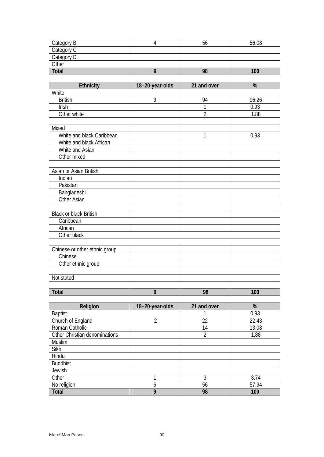| Category B | ხხ | 56.08 |
|------------|----|-------|
| Category C |    |       |
| Category D |    |       |
| Other      |    |       |
| Total      | 98 | 100   |

| Ethnicity                     | 18-20-year-olds | 21 and over    | %     |
|-------------------------------|-----------------|----------------|-------|
| White                         |                 |                |       |
| <b>British</b>                | 9               | 94             | 96.26 |
| Irish                         |                 | $\mathbf{1}$   | 0.93  |
| Other white                   |                 | $\overline{2}$ | 1.88  |
|                               |                 |                |       |
| Mixed                         |                 |                |       |
| White and black Caribbean     |                 | 1              | 0.93  |
| White and black African       |                 |                |       |
| White and Asian               |                 |                |       |
| Other mixed                   |                 |                |       |
|                               |                 |                |       |
| Asian or Asian British        |                 |                |       |
| Indian                        |                 |                |       |
| Pakistani                     |                 |                |       |
| Bangladeshi                   |                 |                |       |
| Other Asian                   |                 |                |       |
|                               |                 |                |       |
| <b>Black or black British</b> |                 |                |       |
| Caribbean                     |                 |                |       |
| African                       |                 |                |       |
| Other black                   |                 |                |       |
|                               |                 |                |       |
| Chinese or other ethnic group |                 |                |       |
| Chinese                       |                 |                |       |
| Other ethnic group            |                 |                |       |
|                               |                 |                |       |
| Not stated                    |                 |                |       |
|                               |                 |                |       |
| Total                         | 9               | 98             | 100   |

| Religion                      | 18-20-year-olds | 21 and over | %     |
|-------------------------------|-----------------|-------------|-------|
| <b>Baptist</b>                |                 |             | 0.93  |
| Church of England             | $\overline{2}$  | 22          | 22.43 |
| Roman Catholic                |                 | 14          | 13.08 |
| Other Christian denominations |                 | 2           | 1.88  |
| <b>Muslim</b>                 |                 |             |       |
| Sikh                          |                 |             |       |
| Hindu                         |                 |             |       |
| <b>Buddhist</b>               |                 |             |       |
| Jewish                        |                 |             |       |
| Other                         |                 | 3           | 3.74  |
| No religion                   | 6               | 56          | 57.94 |
| Total                         | 9               | 98          | 100   |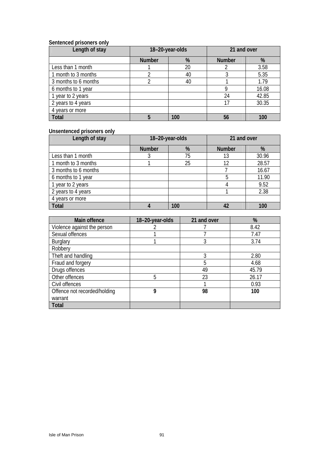#### **Sentenced prisoners only**

| Length of stay       | 18-20-year-olds |     | 21 and over   |       |
|----------------------|-----------------|-----|---------------|-------|
|                      | <b>Number</b>   | %   | <b>Number</b> | %     |
| Less than 1 month    |                 | 20  |               | 3.58  |
| 1 month to 3 months  | 2               | 40  |               | 5.35  |
| 3 months to 6 months |                 | 40  |               | 1.79  |
| 6 months to 1 year   |                 |     |               | 16.08 |
| 1 year to 2 years    |                 |     | 24            | 42.85 |
| 2 years to 4 years   |                 |     | 17            | 30.35 |
| 4 years or more      |                 |     |               |       |
| <b>Total</b>         | 5               | 100 | 56            | 100   |

### **Unsentenced prisoners only**

| Length of stay       | 18-20-year-olds |     | 21 and over   |       |
|----------------------|-----------------|-----|---------------|-------|
|                      | <b>Number</b>   | %   | <b>Number</b> | %     |
| Less than 1 month    |                 | 75  | 13            | 30.96 |
| 1 month to 3 months  |                 | 25  | 12            | 28.57 |
| 3 months to 6 months |                 |     |               | 16.67 |
| 6 months to 1 year   |                 |     | 5             | 11.90 |
| 1 year to 2 years    |                 |     |               | 9.52  |
| 2 years to 4 years   |                 |     |               | 2.38  |
| 4 years or more      |                 |     |               |       |
| <b>Total</b>         |                 | 100 |               | 100   |

| Main offence                 | 18-20-year-olds | 21 and over | %     |
|------------------------------|-----------------|-------------|-------|
| Violence against the person  |                 |             | 8.42  |
| Sexual offences              |                 |             | 7.47  |
| <b>Burglary</b>              |                 | 3           | 3.74  |
| Robbery                      |                 |             |       |
| Theft and handling           |                 | 3           | 2.80  |
| Fraud and forgery            |                 | 5           | 4.68  |
| Drugs offences               |                 | 49          | 45.79 |
| Other offences               | 5               | 23          | 26.17 |
| Civil offences               |                 |             | 0.93  |
| Offence not recorded/holding | 9               | 98          | 100   |
| warrant                      |                 |             |       |
| Total                        |                 |             |       |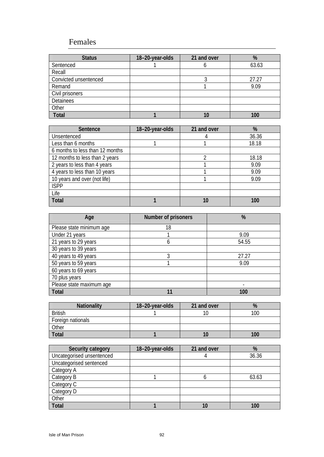# Females

| <b>Status</b>         | 18-20-year-olds | 21 and over | %     |
|-----------------------|-----------------|-------------|-------|
| Sentenced             |                 |             | 63.63 |
| Recall                |                 |             |       |
| Convicted unsentenced |                 |             | 27.27 |
| Remand                |                 |             | 9.09  |
| Civil prisoners       |                 |             |       |
| Detainees             |                 |             |       |
| Other                 |                 |             |       |
| <b>Total</b>          |                 |             | 100   |

| Sentence                        | 18-20-year-olds | 21 and over | %     |
|---------------------------------|-----------------|-------------|-------|
| Unsentenced                     |                 |             | 36.36 |
| Less than 6 months              |                 |             | 18.18 |
| 6 months to less than 12 months |                 |             |       |
| 12 months to less than 2 years  |                 | ን           | 18.18 |
| 2 years to less than 4 years    |                 |             | 9.09  |
| 4 years to less than 10 years   |                 |             | 9.09  |
| 10 years and over (not life)    |                 |             | 9.09  |
| <b>ISPP</b>                     |                 |             |       |
| Life                            |                 |             |       |
| <b>Total</b>                    |                 | 10          | 100   |

| Age                      | Number of prisoners | %     |
|--------------------------|---------------------|-------|
| Please state minimum age | 18                  |       |
| Under 21 years           |                     | 9.09  |
| 21 years to 29 years     | 6                   | 54.55 |
| 30 years to 39 years     |                     |       |
| 40 years to 49 years     | 3                   | 27.27 |
| 50 years to 59 years     |                     | 9.09  |
| 60 years to 69 years     |                     |       |
| 70 plus years            |                     |       |
| Please state maximum age |                     |       |
| <b>Total</b>             | 1                   | 100   |

| <b>Nationality</b> | 18-20-year-olds | 21 and over |     |
|--------------------|-----------------|-------------|-----|
| <b>British</b>     |                 |             | 100 |
| Foreign nationals  |                 |             |     |
| Other              |                 |             |     |
| Total              |                 |             | 100 |

| Security category         | 18-20-year-olds | 21 and over | %     |
|---------------------------|-----------------|-------------|-------|
| Uncategorised unsentenced |                 |             | 36.36 |
| Uncategorised sentenced   |                 |             |       |
| Category A                |                 |             |       |
| Category B                |                 |             | 63.63 |
| Category C                |                 |             |       |
| Category D                |                 |             |       |
| Other                     |                 |             |       |
| <b>Total</b>              |                 | 10          | 100   |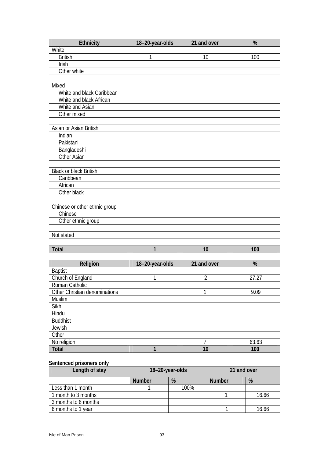| <b>Ethnicity</b>              | 18-20-year-olds | 21 and over | $\frac{9}{6}$ |
|-------------------------------|-----------------|-------------|---------------|
| White                         |                 |             |               |
| <b>British</b>                | 1               | 10          | 100           |
| Irish                         |                 |             |               |
| Other white                   |                 |             |               |
|                               |                 |             |               |
| Mixed                         |                 |             |               |
| White and black Caribbean     |                 |             |               |
| White and black African       |                 |             |               |
| White and Asian               |                 |             |               |
| Other mixed                   |                 |             |               |
|                               |                 |             |               |
| Asian or Asian British        |                 |             |               |
| Indian                        |                 |             |               |
| Pakistani                     |                 |             |               |
| Bangladeshi                   |                 |             |               |
| Other Asian                   |                 |             |               |
|                               |                 |             |               |
| <b>Black or black British</b> |                 |             |               |
| Caribbean                     |                 |             |               |
| African                       |                 |             |               |
| Other black                   |                 |             |               |
|                               |                 |             |               |
| Chinese or other ethnic group |                 |             |               |
| Chinese                       |                 |             |               |
| Other ethnic group            |                 |             |               |
|                               |                 |             |               |
| Not stated                    |                 |             |               |
|                               |                 |             |               |
| Total                         | 1               | 10          | 100           |

| Religion                      | 18-20-year-olds | 21 and over | %     |
|-------------------------------|-----------------|-------------|-------|
| <b>Baptist</b>                |                 |             |       |
| Church of England             |                 | 2           | 27.27 |
| Roman Catholic                |                 |             |       |
| Other Christian denominations |                 |             | 9.09  |
| Muslim                        |                 |             |       |
| Sikh                          |                 |             |       |
| Hindu                         |                 |             |       |
| <b>Buddhist</b>               |                 |             |       |
| Jewish                        |                 |             |       |
| Other                         |                 |             |       |
| No religion                   |                 |             | 63.63 |
| Total                         |                 | 10          | 100   |

# **Sentenced prisoners only**

| Length of stay       | 18-20-year-olds |      | 21 and over   |       |
|----------------------|-----------------|------|---------------|-------|
|                      | <b>Number</b>   | %    | <b>Number</b> | %     |
| Less than 1 month    |                 | 100% |               |       |
| 1 month to 3 months  |                 |      |               | 16.66 |
| 3 months to 6 months |                 |      |               |       |
| 6 months to 1 year   |                 |      |               | 16.66 |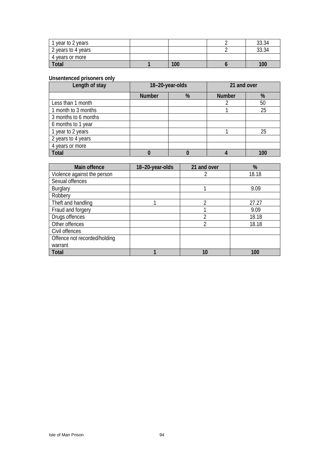| 1 year to 2 years  |     | 33.34 |
|--------------------|-----|-------|
| 2 years to 4 years |     | 33.34 |
| 4 years or more    |     |       |
| <b>Total</b>       | 100 | 100   |

#### **Unsentenced prisoners only**

| Length of stay       | 18-20-year-olds |   | 21 and over   |     |
|----------------------|-----------------|---|---------------|-----|
|                      | <b>Number</b>   | % | <b>Number</b> | %   |
| Less than 1 month    |                 |   |               | 50  |
| 1 month to 3 months  |                 |   |               | 25  |
| 3 months to 6 months |                 |   |               |     |
| 6 months to 1 year   |                 |   |               |     |
| 1 year to 2 years    |                 |   |               | 25  |
| 2 years to 4 years   |                 |   |               |     |
| 4 years or more      |                 |   |               |     |
| <b>Total</b>         |                 |   |               | 100 |

| Main offence                 | 18-20-year-olds | 21 and over | %     |
|------------------------------|-----------------|-------------|-------|
| Violence against the person  |                 | 2           | 18.18 |
| Sexual offences              |                 |             |       |
| <b>Burglary</b>              |                 |             | 9.09  |
| Robbery                      |                 |             |       |
| Theft and handling           |                 | C           | 27.27 |
| Fraud and forgery            |                 |             | 9.09  |
| Drugs offences               |                 | 2           | 18.18 |
| Other offences               |                 | 2           | 18.18 |
| Civil offences               |                 |             |       |
| Offence not recorded/holding |                 |             |       |
| warrant                      |                 |             |       |
| Total                        |                 | 10          | 100   |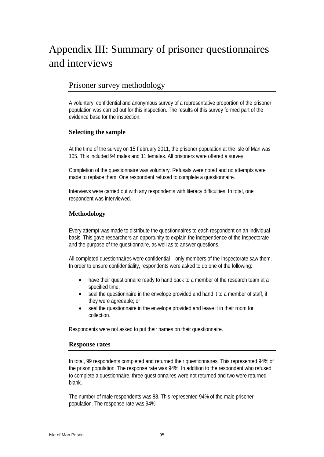# Appendix III: Summary of prisoner questionnaires and interviews

# Prisoner survey methodology

A voluntary, confidential and anonymous survey of a representative proportion of the prisoner population was carried out for this inspection. The results of this survey formed part of the evidence base for the inspection.

#### **Selecting the sample**

At the time of the survey on 15 February 2011, the prisoner population at the Isle of Man was 105. This included 94 males and 11 females. All prisoners were offered a survey.

Completion of the questionnaire was voluntary. Refusals were noted and no attempts were made to replace them. One respondent refused to complete a questionnaire.

Interviews were carried out with any respondents with literacy difficulties. In total, one respondent was interviewed.

#### **Methodology**

Every attempt was made to distribute the questionnaires to each respondent on an individual basis. This gave researchers an opportunity to explain the independence of the Inspectorate and the purpose of the questionnaire, as well as to answer questions.

All completed questionnaires were confidential – only members of the Inspectorate saw them. In order to ensure confidentiality, respondents were asked to do one of the following:

- have their questionnaire ready to hand back to a member of the research team at a specified time;
- seal the questionnaire in the envelope provided and hand it to a member of staff, if they were agreeable; or
- seal the questionnaire in the envelope provided and leave it in their room for collection.

Respondents were not asked to put their names on their questionnaire.

#### **Response rates**

In total, 99 respondents completed and returned their questionnaires. This represented 94% of the prison population. The response rate was 94%. In addition to the respondent who refused to complete a questionnaire, three questionnaires were not returned and two were returned blank.

The number of male respondents was 88. This represented 94% of the male prisoner population. The response rate was 94%.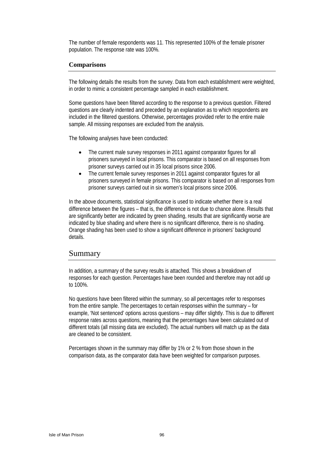The number of female respondents was 11. This represented 100% of the female prisoner population. The response rate was 100%.

#### **Comparisons**

The following details the results from the survey. Data from each establishment were weighted, in order to mimic a consistent percentage sampled in each establishment.

Some questions have been filtered according to the response to a previous question. Filtered questions are clearly indented and preceded by an explanation as to which respondents are included in the filtered questions. Otherwise, percentages provided refer to the entire male sample. All missing responses are excluded from the analysis.

The following analyses have been conducted:

- The current male survey responses in 2011 against comparator figures for all prisoners surveyed in local prisons. This comparator is based on all responses from prisoner surveys carried out in 35 local prisons since 2006.
- The current female survey responses in 2011 against comparator figures for all prisoners surveyed in female prisons. This comparator is based on all responses from prisoner surveys carried out in six women's local prisons since 2006.

In the above documents, statistical significance is used to indicate whether there is a real difference between the figures – that is, the difference is not due to chance alone. Results that are significantly better are indicated by green shading, results that are significantly worse are indicated by blue shading and where there is no significant difference, there is no shading. Orange shading has been used to show a significant difference in prisoners' background details.

### Summary

In addition, a summary of the survey results is attached. This shows a breakdown of responses for each question. Percentages have been rounded and therefore may not add up to 100%.

No questions have been filtered within the summary, so all percentages refer to responses from the entire sample. The percentages to certain responses within the summary – for example, 'Not sentenced' options across questions – may differ slightly. This is due to different response rates across questions, meaning that the percentages have been calculated out of different totals (all missing data are excluded). The actual numbers will match up as the data are cleaned to be consistent.

Percentages shown in the summary may differ by 1% or 2 % from those shown in the comparison data, as the comparator data have been weighted for comparison purposes.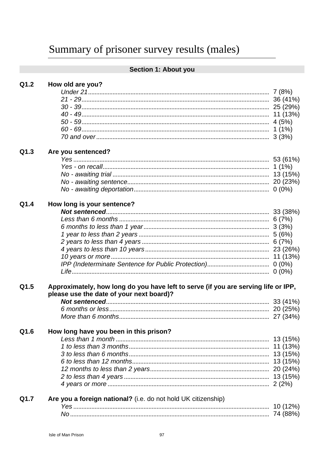# Section 1: About you

| Q1.2 | How old are you? |  |  |  |
|------|------------------|--|--|--|
|------|------------------|--|--|--|

#### $Q1.3$ Are you sentenced?

| Q1.4 | How long is your sentence?                                                                                                     |           |
|------|--------------------------------------------------------------------------------------------------------------------------------|-----------|
|      |                                                                                                                                |           |
|      |                                                                                                                                |           |
|      |                                                                                                                                |           |
|      |                                                                                                                                |           |
|      |                                                                                                                                |           |
|      |                                                                                                                                |           |
|      |                                                                                                                                |           |
|      |                                                                                                                                |           |
|      |                                                                                                                                |           |
| Q1.5 | Approximately, how long do you have left to serve (if you are serving life or IPP,<br>please use the date of your next board)? |           |
|      |                                                                                                                                |           |
|      |                                                                                                                                |           |
|      |                                                                                                                                |           |
| Q1.6 | How long have you been in this prison?                                                                                         |           |
|      |                                                                                                                                |           |
|      |                                                                                                                                |           |
|      |                                                                                                                                |           |
|      |                                                                                                                                |           |
|      |                                                                                                                                |           |
|      |                                                                                                                                |           |
|      |                                                                                                                                |           |
| Q1.7 | Are you a foreign national? (i.e. do not hold UK citizenship)                                                                  |           |
|      |                                                                                                                                | 40(420/1) |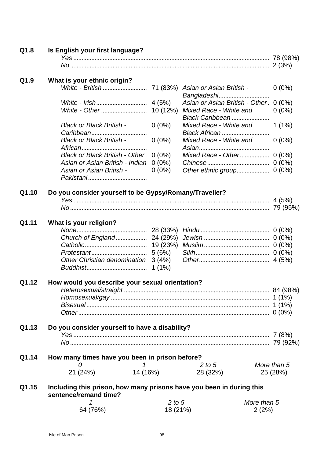| Q1.8  | Is English your first language?                                      |            |                                        |             |  |
|-------|----------------------------------------------------------------------|------------|----------------------------------------|-------------|--|
|       |                                                                      |            |                                        |             |  |
|       |                                                                      |            |                                        |             |  |
| Q1.9  | What is your ethnic origin?                                          |            |                                        |             |  |
|       |                                                                      |            |                                        | $0(0\%)$    |  |
|       |                                                                      |            | Bangladeshi                            |             |  |
|       |                                                                      |            | Asian or Asian British - Other. 0 (0%) |             |  |
|       |                                                                      |            | Mixed Race - White and                 | $0(0\%)$    |  |
|       |                                                                      |            | Black Caribbean                        |             |  |
|       | <b>Black or Black British -</b>                                      | $0(0\%)$   | Mixed Race - White and                 | $1(1\%)$    |  |
|       |                                                                      |            | Black African                          |             |  |
|       | <b>Black or Black British -</b>                                      | $0(0\%)$   | Mixed Race - White and                 | $0(0\%)$    |  |
|       |                                                                      |            |                                        |             |  |
|       | Black or Black British - Other. 0 (0%)                               |            |                                        |             |  |
|       | Asian or Asian British - Indian                                      | $0(0\%)$   |                                        |             |  |
|       | Asian or Asian British -                                             | $0(0\%)$   | Other ethnic group                     | $0(0\%)$    |  |
|       |                                                                      |            |                                        |             |  |
|       |                                                                      |            |                                        |             |  |
| Q1.10 | Do you consider yourself to be Gypsy/Romany/Traveller?               |            |                                        |             |  |
|       |                                                                      |            |                                        |             |  |
|       |                                                                      |            |                                        |             |  |
| Q1.11 | What is your religion?                                               |            |                                        |             |  |
|       |                                                                      |            |                                        |             |  |
|       |                                                                      |            |                                        |             |  |
|       |                                                                      |            |                                        |             |  |
|       |                                                                      |            |                                        |             |  |
|       | Other Christian denomination 3 (4%)                                  |            |                                        |             |  |
|       |                                                                      | $1(1\%)$   |                                        |             |  |
|       |                                                                      |            |                                        |             |  |
| Q1.12 | How would you describe your sexual orientation?                      |            |                                        |             |  |
|       | Heterosexual/straight                                                |            |                                        | 84 (98%)    |  |
|       |                                                                      |            |                                        |             |  |
|       |                                                                      |            |                                        |             |  |
|       |                                                                      |            |                                        |             |  |
| Q1.13 |                                                                      |            |                                        |             |  |
|       | Do you consider yourself to have a disability?                       |            |                                        |             |  |
|       |                                                                      |            |                                        |             |  |
|       |                                                                      |            |                                        |             |  |
| Q1.14 | How many times have you been in prison before?                       |            |                                        |             |  |
|       | 0<br>1                                                               |            | 2 to 5                                 | More than 5 |  |
|       | 21 (24%)                                                             | 14 (16%)   | 28 (32%)                               | 25 (28%)    |  |
|       |                                                                      |            |                                        |             |  |
| Q1.15 | Including this prison, how many prisons have you been in during this |            |                                        |             |  |
|       | sentence/remand time?                                                |            |                                        |             |  |
|       |                                                                      | $2$ to $5$ |                                        | More than 5 |  |
|       | 64 (76%)                                                             | 18 (21%)   |                                        | 2(2%)       |  |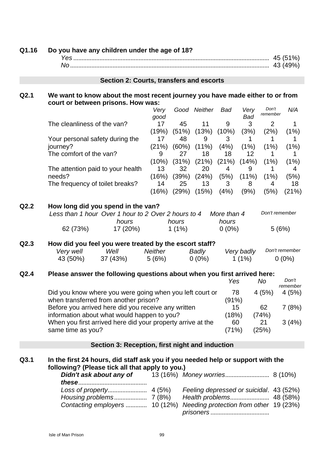| Q1.16 | Do you have any children under the age of 18?                                                                                      |                          |                   |                                                                                   |                        |                          |                        |                            |
|-------|------------------------------------------------------------------------------------------------------------------------------------|--------------------------|-------------------|-----------------------------------------------------------------------------------|------------------------|--------------------------|------------------------|----------------------------|
|       |                                                                                                                                    |                          |                   |                                                                                   |                        |                          |                        |                            |
|       |                                                                                                                                    |                          |                   |                                                                                   |                        |                          |                        |                            |
|       | Section 2: Courts, transfers and escorts                                                                                           |                          |                   |                                                                                   |                        |                          |                        |                            |
| Q2.1  | We want to know about the most recent journey you have made either to or from<br>court or between prisons. How was:                |                          |                   |                                                                                   |                        |                          |                        |                            |
|       |                                                                                                                                    | Verv<br>good             |                   | Good Neither                                                                      | Bad                    | Very<br><b>Bad</b>       | Don't<br>remember      | N/A                        |
|       | The cleanliness of the van?                                                                                                        | 17<br>(19%)              | 45<br>(51%)       | 11<br>(13%)                                                                       | 9<br>(10%)             | 3<br>(3%)                | $\overline{2}$<br>(2%) | 1<br>(1%)                  |
|       | Your personal safety during the<br>journey?                                                                                        | 17<br>(21%)              | 48                | 9<br>$(60\%)$ $(11\%)$                                                            | 3<br>(4%)              | 1<br>(1%)                | 1<br>(1%)              | 1<br>(1%)                  |
|       | The comfort of the van?                                                                                                            | 9<br>(10%)               | 27                | 18<br>$(31\%) (21\%)$                                                             | 18<br>(21%)            | 12 <sup>2</sup><br>(14%) | 1<br>(1%)              | 1<br>(1%)                  |
|       | The attention paid to your health<br>needs?                                                                                        | 13 <sup>2</sup><br>(16%) | 32                | 20<br>$(39\%) (24\%)$                                                             | 4<br>(5%)              | 9<br>$(11\%)$            | 1<br>(1%)              | 4<br>(5%)                  |
|       | The frequency of toilet breaks?                                                                                                    | 14<br>(16%)              | 25                | 13<br>$(29\%)$ $(15\%)$                                                           | 3 <sup>1</sup><br>(4%) | 8<br>(9%)                | 4<br>(5%)              | 18<br>(21%)                |
| Q2.2  | How long did you spend in the van?                                                                                                 |                          |                   |                                                                                   |                        |                          |                        |                            |
|       | Don't remember<br>Less than 1 hour Over 1 hour to 2 Over 2 hours to 4<br>More than 4                                               |                          |                   |                                                                                   |                        |                          |                        |                            |
|       | hours<br>62 (73%)<br>17 (20%)                                                                                                      |                          | hours<br>$1(1\%)$ |                                                                                   | hours<br>$0(0\%)$      |                          |                        | 5(6%)                      |
| Q2.3  | How did you feel you were treated by the escort staff?<br>Very well<br>Well<br>37 (43%)<br>43 (50%)                                | Neither<br>5(6%)         |                   | Badly<br>$0(0\%)$                                                                 |                        | Very badly<br>$1(1\%)$   |                        | Don't remember<br>$0(0\%)$ |
| Q2.4  | Please answer the following questions about when you first arrived here:                                                           |                          |                   |                                                                                   | Yes                    |                          | <b>No</b>              | Don't                      |
|       |                                                                                                                                    |                          |                   |                                                                                   |                        |                          |                        | remember                   |
|       | Did you know where you were going when you left court or<br>78<br>4(5%)<br>4(5%)<br>when transferred from another prison?<br>(91%) |                          |                   |                                                                                   |                        |                          |                        |                            |
|       | Before you arrived here did you receive any written<br>15<br>62<br>information about what would happen to you?<br>(18%)<br>(74%)   |                          |                   |                                                                                   |                        |                          | 7(8%)                  |                            |
|       | When you first arrived here did your property arrive at the<br>same time as you?                                                   |                          |                   |                                                                                   | 60<br>(71%)            |                          | 21<br>(25%)            | 3(4%)                      |
|       | Section 3: Reception, first night and induction                                                                                    |                          |                   |                                                                                   |                        |                          |                        |                            |
| Q3.1  | In the first 24 hours, did staff ask you if you needed help or support with the<br>following? (Please tick all that apply to you.) |                          |                   |                                                                                   |                        |                          |                        |                            |
|       | Didn't ask about any of                                                                                                            |                          |                   |                                                                                   |                        |                          |                        |                            |
|       | Contacting employers  10 (12%)                                                                                                     |                          |                   | Feeling depressed or suicidal. 43 (52%)<br>Needing protection from other 19 (23%) |                        |                          |                        |                            |

*prisoners* ....................................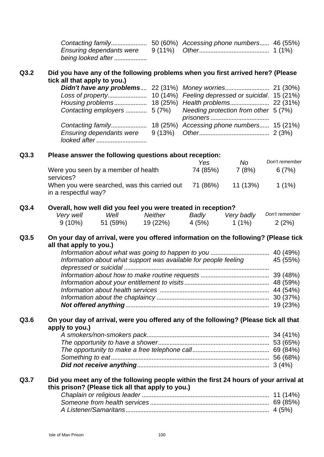| being looked after |  |  |
|--------------------|--|--|

### **Q3.2 Did you have any of the following problems when you first arrived here? (Please tick all that apply to you.)**

| <b>Ensuring dependants were</b> |  |  |
|---------------------------------|--|--|

### **Q3.3 Please answer the following questions about reception:**

|                                                                      | Yes      | No       | Don't remember |
|----------------------------------------------------------------------|----------|----------|----------------|
| Were you seen by a member of health<br>services?                     | 74 (85%) | 7(8%)    | 6(7%)          |
| When you were searched, was this carried out<br>in a respectful way? | 71 (86%) | 11 (13%) | $1(1\%)$       |

#### **Q3.4 Overall, how well did you feel you were treated in reception?**

| Very well | Well     | Neither  | Badly  | Very badly | Don't remember |
|-----------|----------|----------|--------|------------|----------------|
| $9(10\%)$ | 51 (59%) | 19 (22%) | 4 (5%) | 1 $(1%)$   | 2(2%)          |

### **Q3.5 On your day of arrival, were you offered information on the following? (Please tick all that apply to you.)**

| Information about what support was available for people feeling | 45 (55%) |
|-----------------------------------------------------------------|----------|
|                                                                 |          |
|                                                                 |          |
|                                                                 |          |
|                                                                 |          |
|                                                                 |          |
|                                                                 |          |

### **Q3.6 On your day of arrival, were you offered any of the following? (Please tick all that apply to you.)**

#### **Q3.7 Did you meet any of the following people within the first 24 hours of your arrival at this prison? (Please tick all that apply to you.)**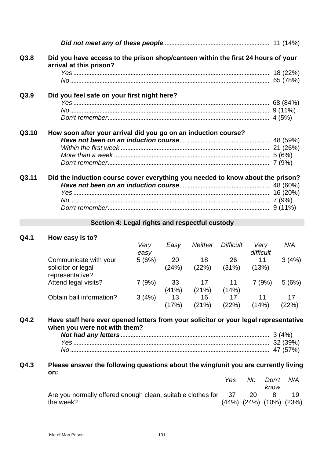| Q3.8  | Did you have access to the prison shop/canteen within the first 24 hours of your<br>arrival at this prison? |  |
|-------|-------------------------------------------------------------------------------------------------------------|--|
|       |                                                                                                             |  |
|       |                                                                                                             |  |
| Q3.9  | Did you feel safe on your first night here?                                                                 |  |
|       |                                                                                                             |  |
|       |                                                                                                             |  |
|       |                                                                                                             |  |
| Q3.10 | How soon after your arrival did you go on an induction course?                                              |  |
|       |                                                                                                             |  |
|       |                                                                                                             |  |
|       |                                                                                                             |  |
|       |                                                                                                             |  |
| Q3.11 | Did the induction course cover everything you needed to know about the prison?                              |  |
|       |                                                                                                             |  |
|       |                                                                                                             |  |
|       |                                                                                                             |  |
|       |                                                                                                             |  |

# **Section 4: Legal rights and respectful custody**

### **Q4.1 How easy is to?**

|                                       | Very<br>easy | Easv        | <b>Neither</b> | <b>Difficult</b> | Very<br>difficult | N/A         |
|---------------------------------------|--------------|-------------|----------------|------------------|-------------------|-------------|
| Communicate with your                 | 5(6%)        | 20          | 18             | 26               | 11                | 3(4%)       |
| solicitor or legal<br>representative? |              | (24%)       | (22%)          | (31%)            | (13%)             |             |
| Attend legal visits?                  | 7(9%)        | 33<br>(41%) | 17<br>(21%)    | 11<br>(14%)      | 7(9%)             | 5(6%)       |
| Obtain bail information?              | 3(4%)        | 13<br>(17%) | 16<br>(21%)    | 17<br>(22%)      | 11<br>(14%)       | 17<br>(22%) |

### **Q4.2 Have staff here ever opened letters from your solicitor or your legal representative when you were not with them?**

### **Q4.3 Please answer the following questions about the wing/unit you are currently living on:**

|                                                                | Yes. |     | No Don't<br>know                    | N/A |
|----------------------------------------------------------------|------|-----|-------------------------------------|-----|
| Are you normally offered enough clean, suitable clothes for 37 |      | -20 |                                     |     |
| the week?                                                      |      |     | $(44\%)$ $(24\%)$ $(10\%)$ $(23\%)$ |     |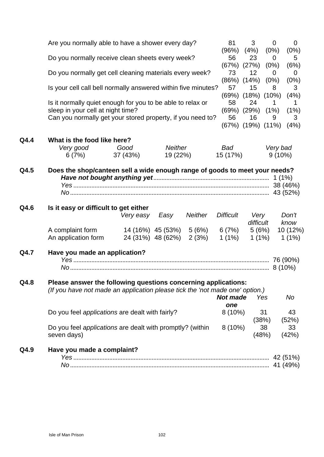|      | Are you normally able to have a shower every day?                                                                                              |           |                   |                |                   | 3                          | $\mathbf 0$<br>0       |
|------|------------------------------------------------------------------------------------------------------------------------------------------------|-----------|-------------------|----------------|-------------------|----------------------------|------------------------|
|      |                                                                                                                                                |           |                   |                | (96%)             | (4%)                       | (0%)<br>(0%)           |
|      | Do you normally receive clean sheets every week?                                                                                               |           |                   |                | 56<br>(67%) (27%) | 23                         | 0<br>5<br>(6%)<br>(0%) |
|      | Do you normally get cell cleaning materials every week?                                                                                        |           |                   |                | 73                | 12                         | 0<br>$\overline{0}$    |
|      |                                                                                                                                                |           |                   |                | $(86\%)$ $(14\%)$ |                            | (0%)<br>(0%)           |
|      | Is your cell call bell normally answered within five minutes?                                                                                  |           |                   |                |                   | 15                         | 3<br>8                 |
|      | Is it normally quiet enough for you to be able to relax or                                                                                     |           |                   |                |                   | $(69\%)$ $(18\%)$ $(10\%)$ | (4%)                   |
|      |                                                                                                                                                |           |                   |                |                   | 24                         | 1<br>1                 |
|      | sleep in your cell at night time?                                                                                                              |           |                   |                |                   | $(69\%)$ $(29\%)$ $(1\%)$  | (1%)                   |
|      | Can you normally get your stored property, if you need to?                                                                                     |           |                   |                | 56                | 16                         | 3<br>9                 |
|      |                                                                                                                                                |           |                   |                |                   | (67%) (19%) (11%)          | (4%)                   |
| Q4.4 | What is the food like here?                                                                                                                    |           |                   |                |                   |                            |                        |
|      | Very good                                                                                                                                      | Good      | Neither           |                | Bad               |                            | Very bad               |
|      | 6 (7%)                                                                                                                                         | 37 (43%)  | 19 (22%)          |                | 15 (17%)          |                            | $9(10\%)$              |
| Q4.6 | Is it easy or difficult to get either                                                                                                          | Very easy | Easy              | <b>Neither</b> | <b>Difficult</b>  | Very                       | Don't                  |
|      |                                                                                                                                                |           |                   |                |                   | difficult                  | know                   |
|      | A complaint form                                                                                                                               |           | 14 (16%) 45 (53%) | 5(6%)          | 6(7%)             | 5(6%)                      | 10 (12%)               |
|      | An application form                                                                                                                            |           | 24 (31%) 48 (62%) | 2(3%)          | 1(1%)             | $1(1\%)$                   | $1(1\%)$               |
| Q4.7 | Have you made an application?                                                                                                                  |           |                   |                |                   |                            |                        |
|      |                                                                                                                                                |           |                   |                |                   |                            |                        |
|      |                                                                                                                                                |           |                   |                |                   |                            |                        |
| Q4.8 | Please answer the following questions concerning applications:<br>(If you have not made an application please tick the 'not made one' option.) |           |                   |                | <b>Not made</b>   | Yes                        | No                     |
|      |                                                                                                                                                |           |                   |                | one               |                            |                        |
|      | Do you feel applications are dealt with fairly?                                                                                                |           |                   |                | $8(10\%)$         | 31<br>(38%)                | 43<br>(52%)            |
|      | Do you feel <i>applications</i> are dealt with promptly? (within<br>seven days)                                                                |           |                   |                | $8(10\%)$         | 38<br>(48%)                | 33<br>(42%)            |
|      |                                                                                                                                                |           |                   |                |                   |                            |                        |
| Q4.9 | Have you made a complaint?                                                                                                                     |           |                   |                |                   |                            |                        |
|      |                                                                                                                                                |           |                   |                |                   |                            |                        |
|      |                                                                                                                                                |           |                   |                |                   |                            |                        |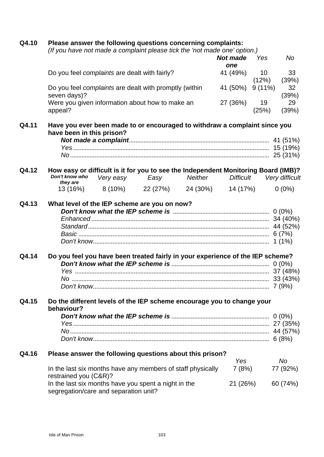| Q4.10 | Please answer the following questions concerning complaints:<br>(If you have not made a complaint please tick the 'not made one' option.) |           |                                                                                    |         |                  |                 |                |  |  |
|-------|-------------------------------------------------------------------------------------------------------------------------------------------|-----------|------------------------------------------------------------------------------------|---------|------------------|-----------------|----------------|--|--|
|       |                                                                                                                                           |           |                                                                                    |         |                  |                 |                |  |  |
|       |                                                                                                                                           |           |                                                                                    |         | <b>Not made</b>  | Yes             | No             |  |  |
|       |                                                                                                                                           |           |                                                                                    |         | one              |                 |                |  |  |
|       | Do you feel complaints are dealt with fairly?                                                                                             |           |                                                                                    |         | 41 (49%)         | 10 <sup>°</sup> | 33             |  |  |
|       |                                                                                                                                           |           |                                                                                    |         |                  | (12%)           | (39%)          |  |  |
|       | seven days)?                                                                                                                              |           | Do you feel complaints are dealt with promptly (within                             |         | 41 (50%)         | 9(11%)          | 32<br>(39%)    |  |  |
|       | appeal?                                                                                                                                   |           | Were you given information about how to make an                                    |         | 27 (36%)         | 19<br>(25%)     | 29<br>(39%)    |  |  |
| Q4.11 |                                                                                                                                           |           | Have you ever been made to or encouraged to withdraw a complaint since you         |         |                  |                 |                |  |  |
|       | have been in this prison?                                                                                                                 |           |                                                                                    |         |                  |                 |                |  |  |
|       |                                                                                                                                           |           |                                                                                    |         |                  |                 |                |  |  |
|       |                                                                                                                                           |           |                                                                                    |         |                  |                 |                |  |  |
|       |                                                                                                                                           |           |                                                                                    |         |                  |                 |                |  |  |
| Q4.12 |                                                                                                                                           |           | How easy or difficult is it for you to see the Independent Monitoring Board (IMB)? |         |                  |                 |                |  |  |
|       | Don't know who<br>they are                                                                                                                | Very easy | Easy                                                                               | Neither | <b>Difficult</b> |                 | Very difficult |  |  |
|       |                                                                                                                                           |           | 13 (16%) 8 (10%) 22 (27%) 24 (30%) 14 (17%)                                        |         |                  |                 | $0(0\%)$       |  |  |
|       |                                                                                                                                           |           |                                                                                    |         |                  |                 | $1(1\%)$       |  |  |
| Q4.14 |                                                                                                                                           |           | Do you feel you have been treated fairly in your experience of the IEP scheme?     |         |                  |                 |                |  |  |
|       |                                                                                                                                           |           |                                                                                    |         |                  |                 |                |  |  |
|       |                                                                                                                                           |           |                                                                                    |         |                  |                 |                |  |  |
|       |                                                                                                                                           |           |                                                                                    |         |                  |                 |                |  |  |
|       |                                                                                                                                           |           |                                                                                    |         |                  |                 |                |  |  |
| Q4.15 | behaviour?                                                                                                                                |           | Do the different levels of the IEP scheme encourage you to change your             |         |                  |                 |                |  |  |
|       |                                                                                                                                           |           |                                                                                    |         |                  |                 |                |  |  |
|       |                                                                                                                                           |           |                                                                                    |         |                  |                 |                |  |  |
|       |                                                                                                                                           |           |                                                                                    |         |                  |                 |                |  |  |
|       |                                                                                                                                           |           |                                                                                    |         |                  |                 |                |  |  |
| Q4.16 |                                                                                                                                           |           | Please answer the following questions about this prison?                           |         |                  |                 |                |  |  |
|       |                                                                                                                                           |           |                                                                                    |         | Yes              |                 | No.            |  |  |
|       | restrained you (C&R)?                                                                                                                     |           | In the last six months have any members of staff physically                        |         | 7(8%)            |                 | 77 (92%)       |  |  |
|       | segregation/care and separation unit?                                                                                                     |           | In the last six months have you spent a night in the                               |         | 21 (26%)         |                 | 60 (74%)       |  |  |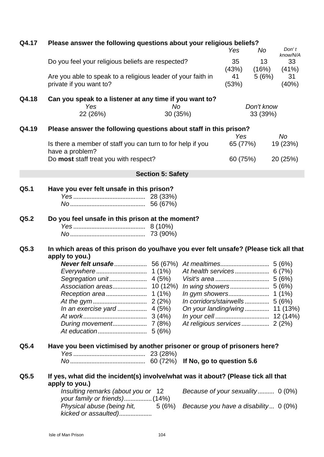| Q4.17 | Please answer the following questions about your religious beliefs?                                     |                                                                            | Yes                                  | No                       | Don't<br>know/N/A      |             |  |
|-------|---------------------------------------------------------------------------------------------------------|----------------------------------------------------------------------------|--------------------------------------|--------------------------|------------------------|-------------|--|
|       | Do you feel your religious beliefs are respected?                                                       |                                                                            |                                      | 35 <sup>5</sup><br>(43%) | 13<br>(16%)            | 33<br>(41%) |  |
|       | private if you want to?                                                                                 | Are you able to speak to a religious leader of your faith in               |                                      |                          | 5(6%)                  | 31<br>(40%) |  |
| Q4.18 | Yes<br>22 (26%)                                                                                         | Can you speak to a listener at any time if you want to?<br>No.<br>30 (35%) |                                      |                          | Don't know<br>33 (39%) |             |  |
|       |                                                                                                         |                                                                            |                                      |                          |                        |             |  |
| Q4.19 | Please answer the following questions about staff in this prison?                                       |                                                                            |                                      | Yes                      | No                     |             |  |
|       | Is there a member of staff you can turn to for help if you<br>have a problem?                           |                                                                            |                                      | 65 (77%)                 | 19 (23%)               |             |  |
|       | Do most staff treat you with respect?                                                                   |                                                                            |                                      | 60 (75%)                 | 20 (25%)               |             |  |
|       |                                                                                                         | <b>Section 5: Safety</b>                                                   |                                      |                          |                        |             |  |
| Q5.1  | Have you ever felt unsafe in this prison?                                                               |                                                                            |                                      |                          |                        |             |  |
|       |                                                                                                         |                                                                            |                                      |                          |                        |             |  |
|       |                                                                                                         |                                                                            |                                      |                          |                        |             |  |
| Q5.2  | Do you feel unsafe in this prison at the moment?                                                        |                                                                            |                                      |                          |                        |             |  |
|       |                                                                                                         |                                                                            |                                      |                          |                        |             |  |
| Q5.3  | In which areas of this prison do you/have you ever felt unsafe? (Please tick all that<br>apply to you.) |                                                                            |                                      |                          |                        |             |  |
|       |                                                                                                         |                                                                            |                                      |                          |                        |             |  |
|       |                                                                                                         |                                                                            |                                      |                          |                        |             |  |
|       |                                                                                                         |                                                                            |                                      |                          |                        |             |  |
|       |                                                                                                         |                                                                            |                                      |                          |                        |             |  |
|       |                                                                                                         |                                                                            |                                      |                          |                        |             |  |
|       |                                                                                                         |                                                                            |                                      |                          |                        |             |  |
|       |                                                                                                         |                                                                            | On your landing/wing 11 (13%)        |                          |                        |             |  |
|       |                                                                                                         |                                                                            |                                      |                          |                        |             |  |
|       |                                                                                                         |                                                                            |                                      |                          |                        |             |  |
| Q5.4  | Have you been victimised by another prisoner or group of prisoners here?                                |                                                                            |                                      |                          |                        |             |  |
|       |                                                                                                         |                                                                            |                                      |                          |                        |             |  |
| Q5.5  | If yes, what did the incident(s) involve/what was it about? (Please tick all that                       |                                                                            |                                      |                          |                        |             |  |
|       | apply to you.)<br>Insulting remarks (about you or 12<br>your family or friends) (14%)                   |                                                                            | Because of your sexuality 0 (0%)     |                          |                        |             |  |
|       | Physical abuse (being hit,<br>kicked or assaulted)                                                      | 5 (6%)                                                                     | Because you have a disability 0 (0%) |                          |                        |             |  |
|       |                                                                                                         |                                                                            |                                      |                          |                        |             |  |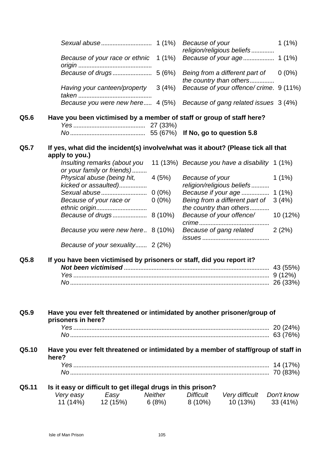|                                                                                                             | $1(1\%)$<br>Because of your<br>religion/religious beliefs             |
|-------------------------------------------------------------------------------------------------------------|-----------------------------------------------------------------------|
| Because of your race or ethnic 1 (1%)                                                                       |                                                                       |
|                                                                                                             | Being from a different part of<br>$0(0\%)$<br>the country than others |
| Having your canteen/property<br>3(4%)                                                                       | Because of your offence/ crime. 9 (11%)                               |
| Because you were new here 4 (5%)                                                                            | Because of gang related issues 3 (4%)                                 |
| Q5.6<br>Have you been victimised by a member of staff or group of staff here?                               |                                                                       |
|                                                                                                             |                                                                       |
| If yes, what did the incident(s) involve/what was it about? (Please tick all that<br>Q5.7<br>apply to you.) |                                                                       |
| Insulting remarks (about you<br>or your family or friends)                                                  | 11 (13%) Because you have a disability 1 (1%)                         |
| Physical abuse (being hit,<br>4 (5%)<br>kicked or assaulted)                                                | Because of your<br>$1(1\%)$<br>religion/religious beliefs             |
|                                                                                                             | $1(1\%)$<br>Because if your age                                       |
| Because of your race or<br>$0(0\%)$<br>ethnic origin                                                        | Being from a different part of<br>3(4%)<br>the country than others    |
|                                                                                                             | Because of your offence/<br>10(12%)                                   |
| Because you were new here 8 (10%)                                                                           | Because of gang related<br>2(2%)                                      |
| Because of your sexuality 2 (2%)                                                                            |                                                                       |
| If you have been victimised by prisoners or staff, did you report it?<br>Q5.8                               |                                                                       |
|                                                                                                             |                                                                       |
|                                                                                                             |                                                                       |
|                                                                                                             |                                                                       |
| Q5.9<br>Have you ever felt threatened or intimidated by another prisoner/group of                           |                                                                       |
| prisoners in here?                                                                                          |                                                                       |
|                                                                                                             |                                                                       |
|                                                                                                             |                                                                       |
| Q5.10<br>Have you ever felt threatened or intimidated by a member of staff/group of staff in<br>here?       |                                                                       |
|                                                                                                             |                                                                       |
|                                                                                                             |                                                                       |
| Q5.11<br>Is it easy or difficult to get illegal drugs in this prison?                                       |                                                                       |
| Very easy Easy Neither Difficult Very difficult Don't know                                                  |                                                                       |
| $11(14\%)$ $12(15\%)$ $6(8\%)$ $8(10\%)$                                                                    | 10 (13%)<br>33 (41%)                                                  |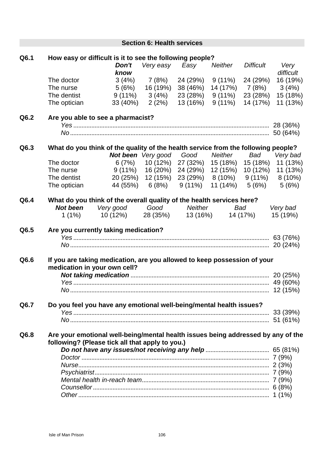|      |                 |                                                                                   | <b>Section 6: Health services</b> |                                                    |                            |                  |                            |
|------|-----------------|-----------------------------------------------------------------------------------|-----------------------------------|----------------------------------------------------|----------------------------|------------------|----------------------------|
| Q6.1 |                 | How easy or difficult is it to see the following people?                          |                                   |                                                    |                            |                  |                            |
|      |                 | Don't<br>know                                                                     | Very easy                         | Easy                                               | Neither                    | <b>Difficult</b> | Very<br>difficult          |
|      | The doctor      |                                                                                   | $3(4\%)$ 7 (8%)                   | 24 (29%)                                           | 9 (11%)                    | 24 (29%)         | 16 (19%)                   |
|      | The nurse       |                                                                                   | $5(6\%)$ 16 (19%)                 | 38 (46%)                                           |                            | 14 (17%) 7 (8%)  | 3(4%)                      |
|      | The dentist     |                                                                                   | $9(11\%)$ $3(4\%)$                | 23 (28%)                                           | 9 (11%) 23 (28%)           |                  | 15 (18%)                   |
|      | The optician    |                                                                                   |                                   | 33 (40%) 2 (2%) 13 (16%) 9 (11%) 14 (17%)          |                            |                  | 11 (13%)                   |
| Q6.2 |                 | Are you able to see a pharmacist?                                                 |                                   |                                                    |                            |                  |                            |
|      |                 |                                                                                   |                                   |                                                    |                            |                  |                            |
|      |                 |                                                                                   |                                   |                                                    |                            |                  |                            |
| Q6.3 |                 | What do you think of the quality of the health service from the following people? |                                   |                                                    |                            |                  |                            |
|      |                 |                                                                                   |                                   | <b>Not been</b> Very good Good Neither             |                            | Bad              | Very bad                   |
|      | The doctor      |                                                                                   | $6(7%)$ 10 (12%)                  |                                                    | 27 (32%) 15 (18%) 15 (18%) |                  | 11 (13%)                   |
|      | The nurse       | 9 (11%)  16 (20%)                                                                 |                                   | 24 (29%)                                           |                            |                  | 12 (15%) 10 (12%) 11 (13%) |
|      | The dentist     |                                                                                   |                                   | 20 (25%) 12 (15%) 23 (29%) 8 (10%) 9 (11%) 8 (10%) |                            |                  |                            |
|      | The optician    |                                                                                   |                                   | 44 (55%) 6 (8%) 9 (11%)                            | 11 (14%)                   | 5 (6%)           | 5(6%)                      |
| Q6.4 |                 | What do you think of the overall quality of the health services here?             |                                   |                                                    |                            |                  |                            |
|      | <b>Not been</b> | Very good Good Neither                                                            |                                   |                                                    | <b>Bad</b>                 |                  | Very bad                   |
|      |                 | $1(1\%)$ $10(12\%)$ $28(35\%)$ $13(16\%)$ $14(17\%)$                              |                                   |                                                    |                            |                  | 15 (19%)                   |
| Q6.5 |                 | Are you currently taking medication?                                              |                                   |                                                    |                            |                  |                            |
|      |                 |                                                                                   |                                   |                                                    |                            |                  |                            |
|      |                 |                                                                                   |                                   |                                                    |                            |                  |                            |
| Q6.6 |                 | If you are taking medication, are you allowed to keep possession of your          |                                   |                                                    |                            |                  |                            |
|      |                 | medication in your own cell?                                                      |                                   |                                                    |                            |                  |                            |
|      |                 |                                                                                   |                                   |                                                    |                            |                  |                            |
|      |                 |                                                                                   |                                   |                                                    |                            |                  |                            |
|      |                 |                                                                                   |                                   |                                                    |                            |                  |                            |
| Q6.7 |                 | Do you feel you have any emotional well-being/mental health issues?               |                                   |                                                    |                            |                  |                            |
|      |                 |                                                                                   |                                   |                                                    |                            |                  | 33 (39%)                   |
|      |                 |                                                                                   |                                   |                                                    |                            |                  | 51 (61%)                   |
| Q6.8 |                 | Are your emotional well-being/mental health issues being addressed by any of the  |                                   |                                                    |                            |                  |                            |
|      |                 | following? (Please tick all that apply to you.)                                   |                                   |                                                    |                            |                  |                            |
|      |                 |                                                                                   |                                   |                                                    |                            |                  |                            |
|      |                 |                                                                                   |                                   |                                                    |                            |                  |                            |
|      |                 |                                                                                   |                                   |                                                    |                            |                  |                            |
|      |                 |                                                                                   |                                   |                                                    |                            |                  |                            |
|      |                 |                                                                                   |                                   |                                                    |                            |                  |                            |
|      |                 |                                                                                   |                                   |                                                    |                            |                  |                            |
|      |                 |                                                                                   |                                   |                                                    |                            |                  |                            |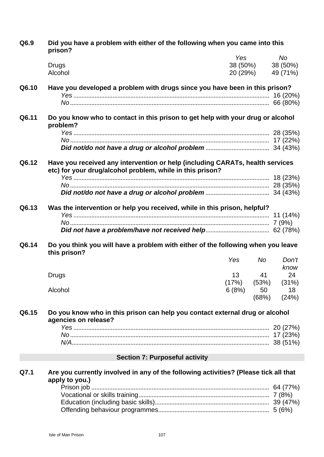**Q6.9 Did you have a problem with either of the following when you came into this prison?** *Yes No* Drugs 38 (50%) 38 (50%) Alcohol 20 (29%) 49 (71%) **Q6.10 Have you developed a problem with drugs since you have been in this prison?** *Yes* ........................................................................................................................ 16 (20%) *No* .......................................................................................................................... 66 (80%) **Q6.11 Do you know who to contact in this prison to get help with your drug or alcohol problem?** *Yes* ........................................................................................................................ 28 (35%) *No* .......................................................................................................................... 17 (22%) *Did not/do not have a drug or alcohol problem* ....................................... 34 (43%) **Q6.12 Have you received any intervention or help (including CARATs, health services etc) for your drug/alcohol problem, while in this prison?** *Yes* ........................................................................................................................ 18 (23%) *No* .......................................................................................................................... 28 (35%) *Did not/do not have a drug or alcohol problem* ....................................... 34 (43%) **Q6.13 Was the intervention or help you received, while in this prison, helpful?** *Yes* ........................................................................................................................ 11 (14%) *No* .......................................................................................................................... 7 (9%) *Did not have a problem/have not received help*....................................... 62 (78%) **Q6.14 Do you think you will have a problem with either of the following when you leave this prison?** *Yes No Don't know* Drugs 13 (17%) 41 (53%) 24 (31%) Alcohol 6 (8%) 50 (68%) 18 (24%) **Q6.15 Do you know who in this prison can help you contact external drug or alcohol agencies on release?** *Yes* ........................................................................................................................ 20 (27%) *No* .......................................................................................................................... 17 (23%) *N/A*......................................................................................................................... 38 (51%) **Section 7: Purposeful activity Q7.1 Are you currently involved in any of the following activities? (Please tick all that apply to you.)** Prison job ............................................................................................................. 64 (77%) Vocational or skills training................................................................................ 7 (8%) Education (including basic skills)...................................................................... 39 (47%) Offending behaviour programmes.................................................................... 5 (6%)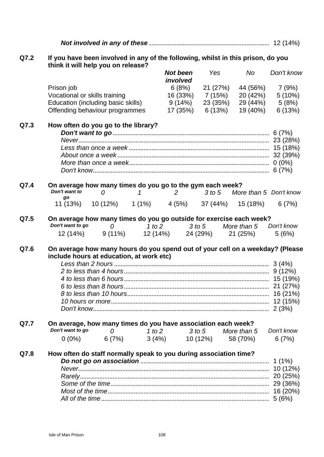*Not involved in any of these*.......................................................................... 12 (14%)

## **Q7.2 If you have been involved in any of the following, whilst in this prison, do you think it will help you on release?**

|      |                     |                                                                                                                           |        | <b>Not been</b>   | Yes                           | No          | Don't know                      |
|------|---------------------|---------------------------------------------------------------------------------------------------------------------------|--------|-------------------|-------------------------------|-------------|---------------------------------|
|      |                     |                                                                                                                           |        | involved          |                               |             |                                 |
|      | Prison job          |                                                                                                                           |        | 6(8%)             | 21 (27%)                      |             | 44 (56%) 7 (9%)                 |
|      |                     | Vocational or skills training<br>Education (including basic skills)                                                       |        |                   | 16 (33%) 7 (15%)              | 20 (42%)    | 5(10%)                          |
|      |                     | Offending behaviour programmes                                                                                            |        |                   | $9(14\%)$ 23 (35%)            | 19 (40%)    | $29(44\%)$ 5 (8%)               |
|      |                     |                                                                                                                           |        | 17 (35%)          | 6 (13%)                       |             | 6(13%)                          |
| Q7.3 |                     | How often do you go to the library?                                                                                       |        |                   |                               |             |                                 |
|      |                     |                                                                                                                           |        |                   |                               |             |                                 |
|      |                     |                                                                                                                           |        |                   |                               |             |                                 |
|      |                     |                                                                                                                           |        |                   |                               |             |                                 |
|      |                     |                                                                                                                           |        |                   |                               |             |                                 |
|      |                     |                                                                                                                           |        |                   |                               |             |                                 |
|      |                     |                                                                                                                           |        |                   |                               |             |                                 |
| Q7.4 |                     | On average how many times do you go to the gym each week?                                                                 |        |                   |                               |             |                                 |
|      | Don't want to<br>go | $\overline{O}$                                                                                                            | 1      |                   |                               |             | 2 3 to 5 More than 5 Don't know |
|      |                     | 11 (13%) 10 (12%) 1 (1%) 4 (5%) 37 (44%) 15 (18%)                                                                         |        |                   |                               |             | 6(7%)                           |
| Q7.5 |                     | On average how many times do you go outside for exercise each week?                                                       |        |                   |                               |             |                                 |
|      | Don't want to go    | $\overline{O}$                                                                                                            |        | 1 to 2            | 3 to 5 More than 5 Don't know |             |                                 |
|      |                     | 12 (14%) 9 (11%) 12 (14%) 24 (29%) 21 (25%)                                                                               |        |                   |                               |             | 5(6%)                           |
| Q7.6 |                     | On average how many hours do you spend out of your cell on a weekday? (Please<br>include hours at education, at work etc) |        |                   |                               |             |                                 |
|      |                     |                                                                                                                           |        |                   |                               |             |                                 |
|      |                     |                                                                                                                           |        |                   |                               |             |                                 |
|      |                     |                                                                                                                           |        |                   |                               |             |                                 |
|      |                     |                                                                                                                           |        |                   |                               |             |                                 |
|      |                     |                                                                                                                           |        |                   |                               |             |                                 |
|      |                     |                                                                                                                           |        |                   |                               |             |                                 |
|      |                     |                                                                                                                           |        |                   |                               |             |                                 |
| Q7.7 |                     | On average, how many times do you have association each week?                                                             |        |                   |                               |             |                                 |
|      | Don't want to go    | $\mathcal{O}$                                                                                                             | 1 to 2 | 3 to 5            |                               | More than 5 | Don't know                      |
|      | $0(0\%)$            | 6(7%)                                                                                                                     |        | $3(4\%)$ 10 (12%) |                               | 58 (70%)    | 6(7%)                           |
| Q7.8 |                     | How often do staff normally speak to you during association time?                                                         |        |                   |                               |             |                                 |
|      |                     |                                                                                                                           |        |                   |                               |             |                                 |
|      |                     |                                                                                                                           |        |                   |                               |             |                                 |
|      |                     |                                                                                                                           |        |                   |                               |             |                                 |
|      |                     |                                                                                                                           |        |                   |                               |             |                                 |
|      |                     |                                                                                                                           |        |                   |                               |             |                                 |
|      |                     |                                                                                                                           |        |                   |                               |             |                                 |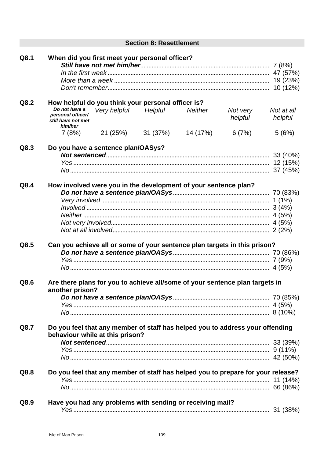|      | <b>Section 8: Resettlement</b>                                                                                                                                                                                                                      |                                |
|------|-----------------------------------------------------------------------------------------------------------------------------------------------------------------------------------------------------------------------------------------------------|--------------------------------|
| Q8.1 | When did you first meet your personal officer?                                                                                                                                                                                                      |                                |
| Q8.2 | How helpful do you think your personal officer is?<br>Do not have a<br>Very helpful<br>Helpful<br><b>Neither</b><br>Not very<br>personal officer/<br>helpful<br>still have not met<br>him/her<br>21 (25%)<br>31 (37%)<br>7(8%)<br>14 (17%)<br>6(7%) | Not at all<br>helpful<br>5(6%) |
| Q8.3 | Do you have a sentence plan/OASys?                                                                                                                                                                                                                  |                                |
| Q8.4 | How involved were you in the development of your sentence plan?                                                                                                                                                                                     |                                |
| Q8.5 | Can you achieve all or some of your sentence plan targets in this prison?                                                                                                                                                                           |                                |
| Q8.6 | Are there plans for you to achieve all/some of your sentence plan targets in<br>another prison?                                                                                                                                                     |                                |
| Q8.7 | Do you feel that any member of staff has helped you to address your offending<br>behaviour while at this prison?                                                                                                                                    |                                |
| Q8.8 | Do you feel that any member of staff has helped you to prepare for your release?                                                                                                                                                                    |                                |
| Q8.9 | Have you had any problems with sending or receiving mail?                                                                                                                                                                                           |                                |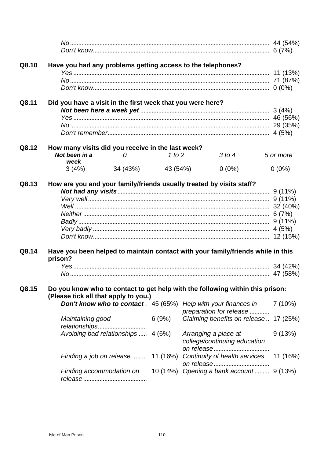| Q8.10          |                                                                    |                   |          | Have you had any problems getting access to the telephones?                                                                                             |           |
|----------------|--------------------------------------------------------------------|-------------------|----------|---------------------------------------------------------------------------------------------------------------------------------------------------------|-----------|
| Q8.11          | Did you have a visit in the first week that you were here?         |                   |          |                                                                                                                                                         |           |
| Q8.12          | How many visits did you receive in the last week?<br>Not been in a | $\overline{0}$    | 1 to $2$ | 3 to 4                                                                                                                                                  | 5 or more |
|                | week                                                               |                   |          |                                                                                                                                                         |           |
|                | 3(4%)                                                              | 34 (43%) 43 (54%) |          | $0(0\%)$                                                                                                                                                | $0(0\%)$  |
| Q8.13<br>Q8.14 | prison?                                                            |                   |          | How are you and your family/friends usually treated by visits staff?<br>Have you been helped to maintain contact with your family/friends while in this |           |
|                |                                                                    |                   |          |                                                                                                                                                         |           |
| Q8.15          | (Please tick all that apply to you.)                               |                   |          | Do you know who to contact to get help with the following within this prison:                                                                           |           |
|                |                                                                    |                   |          | <b>Don't know who to contact</b> . 45 (65%) Help with your finances in<br>preparation for release                                                       | 7(10%)    |
|                | Maintaining good                                                   |                   | 6(9%)    | Claiming benefits on release 17 (25%)                                                                                                                   |           |
|                | Avoiding bad relationships  4 (6%)                                 |                   |          | Arranging a place at<br>college/continuing education                                                                                                    | 9(13%)    |
|                |                                                                    |                   |          | Finding a job on release  11 (16%) Continuity of health services 11 (16%)                                                                               |           |
|                |                                                                    |                   |          | Finding accommodation on 10 (14%) Opening a bank account 9 (13%)                                                                                        |           |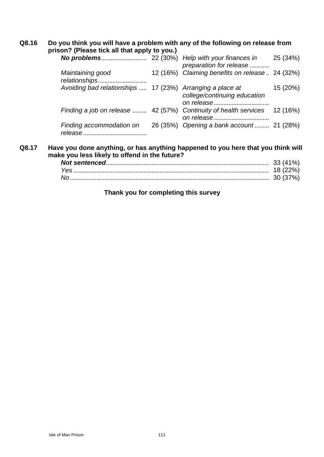| Q8.16 | Do you think you will have a problem with any of the following on release from<br>prison? (Please tick all that apply to you.) |                                                |          |  |
|-------|--------------------------------------------------------------------------------------------------------------------------------|------------------------------------------------|----------|--|
|       |                                                                                                                                | preparation for release                        | 25 (34%) |  |
|       | Maintaining good                                                                                                               | 12 (16%) Claiming benefits on release 24 (32%) |          |  |
|       | Avoiding bad relationships  17 (23%) Arranging a place at                                                                      | college/continuing education                   | 15 (20%) |  |
|       | Finding a job on release  42 (57%) Continuity of health services                                                               |                                                | 12 (16%) |  |
|       | Finding accommodation on                                                                                                       | 26 (35%) Opening a bank account 21 (28%)       |          |  |
| Q8.17 | Have you done anything, or has anything happened to you here that you think will                                               |                                                |          |  |

**make you less likely to offend in the future?**

## **Thank you for completing this survey**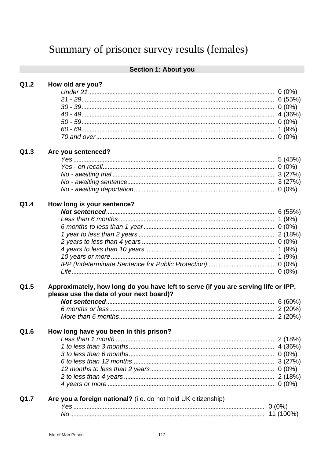# Section 1: About you

| Q1.2 |  |  |  | How old are you? |
|------|--|--|--|------------------|
|------|--|--|--|------------------|

#### $Q1.3$ Are you sentenced?

| Q1.5                                                                                                                           |  |
|--------------------------------------------------------------------------------------------------------------------------------|--|
| Approximately, how long do you have left to serve (if you are serving life or IPP,<br>please use the date of your next board)? |  |
|                                                                                                                                |  |
|                                                                                                                                |  |
|                                                                                                                                |  |
|                                                                                                                                |  |
| Q1.6<br>How long have you been in this prison?                                                                                 |  |
|                                                                                                                                |  |
|                                                                                                                                |  |
|                                                                                                                                |  |
|                                                                                                                                |  |
|                                                                                                                                |  |
|                                                                                                                                |  |
|                                                                                                                                |  |
| Are you a foreign national? (i.e. do not hold UK citizenship)<br>Q1.7                                                          |  |
|                                                                                                                                |  |
|                                                                                                                                |  |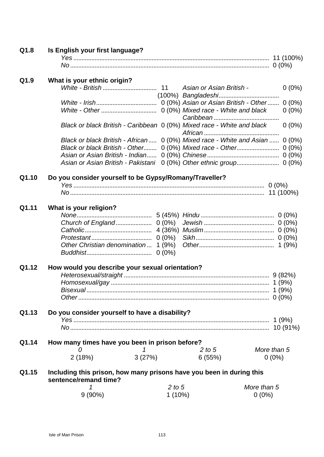| Q1.8  | Is English your first language?                                                               |            |        |             |  |  |
|-------|-----------------------------------------------------------------------------------------------|------------|--------|-------------|--|--|
|       |                                                                                               |            |        |             |  |  |
|       |                                                                                               |            |        |             |  |  |
| Q1.9  | What is your ethnic origin?                                                                   |            |        |             |  |  |
|       |                                                                                               |            |        | $0(0\%)$    |  |  |
|       |                                                                                               |            |        |             |  |  |
|       |                                                                                               |            |        | $0(0\%)$    |  |  |
|       |                                                                                               |            |        | $0(0\%)$    |  |  |
|       |                                                                                               |            |        |             |  |  |
|       | Black or black British - Caribbean 0 (0%) Mixed race - White and black                        |            |        | $0(0\%)$    |  |  |
|       | Black or black British - African 0 (0%) Mixed race - White and Asian  0 (0%)                  |            |        |             |  |  |
|       | Black or black British - Other 0 (0%) Mixed race - Other 0 (0%)                               |            |        |             |  |  |
|       |                                                                                               |            |        |             |  |  |
|       | Asian or Asian British - Pakistani 0 (0%) Other ethnic group 0 (0%)                           |            |        |             |  |  |
|       |                                                                                               |            |        |             |  |  |
| Q1.10 | Do you consider yourself to be Gypsy/Romany/Traveller?                                        |            |        |             |  |  |
|       |                                                                                               |            |        |             |  |  |
|       |                                                                                               |            |        |             |  |  |
| Q1.11 | What is your religion?                                                                        |            |        |             |  |  |
|       |                                                                                               |            |        |             |  |  |
|       |                                                                                               |            |        |             |  |  |
|       |                                                                                               |            |        |             |  |  |
|       |                                                                                               |            |        |             |  |  |
|       | Other Christian denomination  1 (9%)                                                          |            |        |             |  |  |
|       |                                                                                               |            |        |             |  |  |
| Q1.12 | How would you describe your sexual orientation?                                               |            |        |             |  |  |
|       |                                                                                               |            |        |             |  |  |
|       |                                                                                               |            |        |             |  |  |
|       | Bisexual.                                                                                     |            |        | 1 $(9%)$    |  |  |
|       |                                                                                               |            |        |             |  |  |
|       |                                                                                               |            |        |             |  |  |
| Q1.13 | Do you consider yourself to have a disability?                                                |            |        |             |  |  |
|       |                                                                                               |            |        |             |  |  |
|       |                                                                                               |            |        |             |  |  |
| Q1.14 |                                                                                               |            |        |             |  |  |
|       | How many times have you been in prison before?<br>0<br>1                                      |            | 2 to 5 | More than 5 |  |  |
|       |                                                                                               |            |        |             |  |  |
|       | 2(18%)<br>3(27%)                                                                              |            | 6(55%) | $0(0\%)$    |  |  |
| Q1.15 | Including this prison, how many prisons have you been in during this<br>sentence/remand time? |            |        |             |  |  |
|       |                                                                                               | $2$ to $5$ |        | More than 5 |  |  |
|       | $9(90\%)$                                                                                     | $1(10\%)$  |        | $0(0\%)$    |  |  |
|       |                                                                                               |            |        |             |  |  |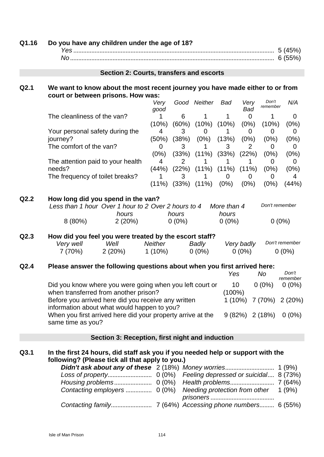| Q1.16 | Do you have any children under the age of 18?                                                                                                                     |                           |                     |                                               |                      |                        |                      |                                                     |
|-------|-------------------------------------------------------------------------------------------------------------------------------------------------------------------|---------------------------|---------------------|-----------------------------------------------|----------------------|------------------------|----------------------|-----------------------------------------------------|
|       |                                                                                                                                                                   |                           |                     |                                               |                      |                        |                      |                                                     |
|       | Section 2: Courts, transfers and escorts                                                                                                                          |                           |                     |                                               |                      |                        |                      |                                                     |
| Q2.1  | We want to know about the most recent journey you have made either to or from<br>court or between prisons. How was:                                               |                           |                     |                                               |                      |                        |                      |                                                     |
|       |                                                                                                                                                                   | Very<br>good              |                     | Good Neither Bad                              |                      | Very<br><b>Bad</b>     | Don't<br>remember    | N/A                                                 |
|       | The cleanliness of the van?                                                                                                                                       | 1.<br>(10%)               | 6                   | $\mathbf 1$<br>$(60\%)$ $(10\%)$ $(10\%)$     | $\mathbf 1$          | $\overline{0}$<br>(0%) | $\mathbf 1$<br>(10%) | 0<br>(0%)                                           |
|       | Your personal safety during the<br>journey?                                                                                                                       | 4<br>(50%)                | 3                   | 0<br>$(38%)$ $(0%)$ $(13%)$                   | 1                    | 0<br>(0%)              | 0<br>(0%)            | 0<br>(0%)                                           |
|       | The comfort of the van?                                                                                                                                           | $\overline{0}$<br>$(0\%)$ | 3                   | 1<br>$(33\%)$ $(11\%)$ $(33\%)$ $(22\%)$      | 3                    | 2                      | 0<br>(0%)            | 0<br>(0%)                                           |
|       | The attention paid to your health<br>needs?<br>The frequency of toilet breaks?                                                                                    | 4<br>(44%)<br>1           | $\overline{2}$<br>3 | 1<br>$(22\%)$ $(11\%)$ $(11\%)$ $(11\%)$<br>1 | 1<br>0               | 1<br>$\overline{0}$    | 0<br>(0%)<br>0       | 0<br>(0%)<br>4                                      |
|       |                                                                                                                                                                   |                           |                     | $(11\%)$ $(33\%)$ $(11\%)$ $(0\%)$            |                      | (0%)                   | $(0\%)$              | (44%)                                               |
| Q2.2  | How long did you spend in the van?<br>Less than 1 hour Over 1 hour to 2 Over 2 hours to 4<br>hours                                                                |                           | hours               |                                               | More than 4<br>hours |                        | Don't remember       |                                                     |
|       | $8(80\%)$<br>2(20%)                                                                                                                                               |                           | $0(0\%)$            |                                               | $0(0\%)$             |                        |                      | $0(0\%)$                                            |
| Q2.3  | How did you feel you were treated by the escort staff?<br>Very well<br>Well<br>7 (70%)<br>2(20%)                                                                  | Neither<br>1 (10%)        |                     | Badly<br>$0(0\%)$                             |                      | Very badly<br>$0(0\%)$ |                      | Don't remember<br>$0(0\%)$                          |
| Q2.4  | Please answer the following questions about when you first arrived here:                                                                                          |                           |                     |                                               | Yes                  |                        | No                   | Don't<br>remember                                   |
|       | Did you know where you were going when you left court or<br>when transferred from another prison?                                                                 |                           |                     |                                               | 10<br>$(100\%)$      |                        |                      | $0(0\%)$ $0(0\%)$                                   |
|       | Before you arrived here did you receive any written<br>information about what would happen to you?<br>When you first arrived here did your property arrive at the |                           |                     |                                               |                      |                        |                      | 1 (10%) 7 (70%) 2 (20%)<br>$9(82\%)$ 2 (18%) 0 (0%) |
|       | same time as you?                                                                                                                                                 |                           |                     |                                               |                      |                        |                      |                                                     |
|       | Section 3: Reception, first night and induction                                                                                                                   |                           |                     |                                               |                      |                        |                      |                                                     |
| Q3.1  | In the first 24 hours, did staff ask you if you needed help or support with the<br>following? (Please tick all that apply to you.)                                |                           |                     |                                               |                      |                        |                      |                                                     |
|       | Contacting employers  0 (0%)                                                                                                                                      |                           |                     | Needing protection from other                 |                      |                        |                      | 1(9%)                                               |

*prisoners* ....................................... *Contacting family*......................... 7 (64%) *Accessing phone numbers*......... 6 (55%)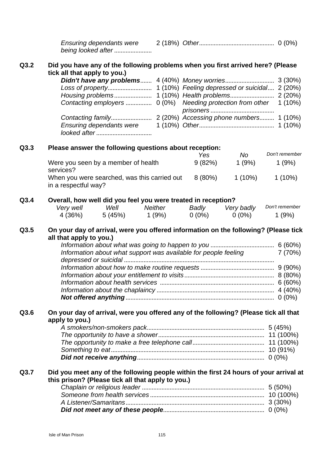*Ensuring dependants were being looked after* ....................... 2 (18%) *Other*.............................................. 0 (0%)

## **Q3.2 Did you have any of the following problems when you first arrived here? (Please tick all that apply to you.)**

## **Q3.3 Please answer the following questions about reception:**

|                                                                      | Yes     | No        | Don't remember |
|----------------------------------------------------------------------|---------|-----------|----------------|
| Were you seen by a member of health<br>services?                     | 9(82%)  | 1(9%)     | 1(9%)          |
| When you were searched, was this carried out<br>in a respectful way? | 8 (80%) | $1(10\%)$ | $1(10\%)$      |

## **Q3.4 Overall, how well did you feel you were treated in reception?**

| Very well | Well   | Neither | Badly    | Very badly | Don't remember |
|-----------|--------|---------|----------|------------|----------------|
| 4 (36%)   | 5(45%) | 1 (9%)  | $0(0\%)$ | $0(0\%)$   | 1 (9%)         |

## **Q3.5 On your day of arrival, were you offered information on the following? (Please tick all that apply to you.)**

| Information about what support was available for people feeling<br>7(70%) |  |
|---------------------------------------------------------------------------|--|
|                                                                           |  |
|                                                                           |  |
|                                                                           |  |
|                                                                           |  |
|                                                                           |  |
|                                                                           |  |
|                                                                           |  |

## **Q3.6 On your day of arrival, were you offered any of the following? (Please tick all that apply to you.)**

## **Q3.7 Did you meet any of the following people within the first 24 hours of your arrival at this prison? (Please tick all that apply to you.)**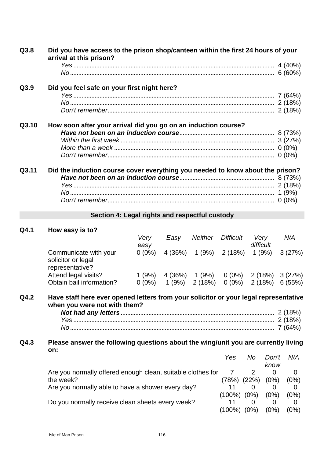| Q3.8  | Did you have access to the prison shop/canteen within the first 24 hours of your<br>arrival at this prison? |  |  |  |  |  |  |
|-------|-------------------------------------------------------------------------------------------------------------|--|--|--|--|--|--|
|       |                                                                                                             |  |  |  |  |  |  |
|       |                                                                                                             |  |  |  |  |  |  |
| Q3.9  | Did you feel safe on your first night here?                                                                 |  |  |  |  |  |  |
|       |                                                                                                             |  |  |  |  |  |  |
|       |                                                                                                             |  |  |  |  |  |  |
|       |                                                                                                             |  |  |  |  |  |  |
| Q3.10 | How soon after your arrival did you go on an induction course?                                              |  |  |  |  |  |  |
|       |                                                                                                             |  |  |  |  |  |  |
|       |                                                                                                             |  |  |  |  |  |  |
|       |                                                                                                             |  |  |  |  |  |  |
|       |                                                                                                             |  |  |  |  |  |  |
| Q3.11 | Did the induction course cover everything you needed to know about the prison?                              |  |  |  |  |  |  |
|       |                                                                                                             |  |  |  |  |  |  |
|       |                                                                                                             |  |  |  |  |  |  |
|       |                                                                                                             |  |  |  |  |  |  |
|       |                                                                                                             |  |  |  |  |  |  |

## **Section 4: Legal rights and respectful custody**

## **Q4.1 How easy is to?**

|                                                                | Verv<br>easy | Easv   | <b>Neither</b> | <b>Difficult</b> | Verv<br>difficult | N/A    |
|----------------------------------------------------------------|--------------|--------|----------------|------------------|-------------------|--------|
| Communicate with your<br>solicitor or legal<br>representative? | $0(0\%)$     | 4(36%) | 1(9%)          | 2 (18%)          | 1(9%)             | 3(27%) |
| Attend legal visits?                                           | 1(9%)        | 4(36%) | 1(9%)          | $0(0\%)$         | 2(18%)            | 3(27%) |
| Obtain bail information?                                       | $0(0\%)$     | 1(9%)  | 2(18%)         | $0(0\%)$         | 2(18%)            | 6(55%) |

## **Q4.2 Have staff here ever opened letters from your solicitor or your legal representative when you were not with them?**

### **Q4.3 Please answer the following questions about the wing/unit you are currently living on:** *N/<sub>A</sub>*  $D_1 \cup I_1$  *N/A*

| Yes                                                         | No   | Don't                                      | N/A     |
|-------------------------------------------------------------|------|--------------------------------------------|---------|
|                                                             |      | know                                       |         |
| Are you normally offered enough clean, suitable clothes for |      |                                            |         |
|                                                             |      | $(0\%)$                                    | (0%)    |
| Are you normally able to have a shower every day?           |      |                                            |         |
|                                                             |      | (0%)                                       | $(0\%)$ |
| Do you normally receive clean sheets every week?            |      |                                            |         |
|                                                             | (0%) | (0%)                                       | $(0\%)$ |
|                                                             |      | (78%) (22%)<br>$(100\%)$ $(0\%)$<br>(100%) |         |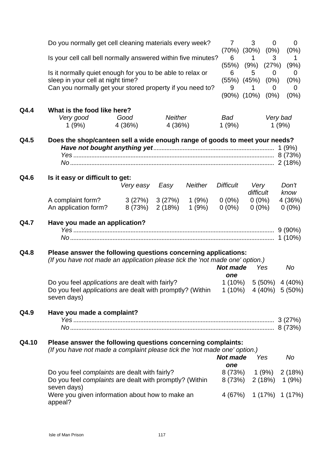|       | Do you normally get cell cleaning materials every week?<br>Is your cell call bell normally answered within five minutes?<br>Is it normally quiet enough for you to be able to relax or<br>sleep in your cell at night time?<br>Can you normally get your stored property if you need to? |                   |                           |                  |                           | 3<br>$\overline{0}$<br>$(70\%)$ $(30\%)$ $(0\%)$                                                    | $\mathbf 0$<br>(0%)                              |
|-------|------------------------------------------------------------------------------------------------------------------------------------------------------------------------------------------------------------------------------------------------------------------------------------------|-------------------|---------------------------|------------------|---------------------------|-----------------------------------------------------------------------------------------------------|--------------------------------------------------|
|       |                                                                                                                                                                                                                                                                                          |                   |                           |                  |                           | 3<br>1<br>$(55\%)$ $(9\%)$ $(27\%)$                                                                 | 1<br>(9%)                                        |
|       |                                                                                                                                                                                                                                                                                          |                   |                           |                  |                           | 5<br>$\overline{0}$<br>$(55\%)$ $(45\%)$ $(0\%)$<br>9<br>1<br>$\Omega$<br>$(90\%)$ $(10\%)$ $(0\%)$ | $\overline{0}$<br>(0%)<br>$\overline{0}$<br>(0%) |
| Q4.4  | What is the food like here?<br>Very good<br>1(9%)                                                                                                                                                                                                                                        | Good<br>4 (36%)   | <b>Neither</b><br>4 (36%) |                  | Bad<br>1(9%)              |                                                                                                     | Very bad<br>1(9%)                                |
| Q4.5  | Does the shop/canteen sell a wide enough range of goods to meet your needs?                                                                                                                                                                                                              |                   |                           |                  |                           |                                                                                                     |                                                  |
| Q4.6  | Is it easy or difficult to get:                                                                                                                                                                                                                                                          | Very easy         | Easy                      | <b>Neither</b>   | <b>Difficult</b>          | Very<br>difficult                                                                                   | Don't                                            |
|       | A complaint form?<br>An application form?                                                                                                                                                                                                                                                | 3(27%)<br>8 (73%) | 3(27%)<br>2(18%)          | 1 (9%)<br>1 (9%) | $0(0\%)$<br>$0(0\%)$      | $0(0\%)$<br>$0(0\%)$                                                                                | know<br>4 (36%)<br>$0(0\%)$                      |
| Q4.7  | Have you made an application?                                                                                                                                                                                                                                                            |                   |                           |                  |                           |                                                                                                     | $9(90\%)$                                        |
| Q4.8  | Please answer the following questions concerning applications:<br>(If you have not made an application please tick the 'not made one' option.)                                                                                                                                           |                   |                           |                  | <b>Not made</b><br>one    | Yes                                                                                                 | No                                               |
|       | Do you feel applications are dealt with fairly?<br>Do you feel applications are dealt with promptly? (Within<br>seven days)                                                                                                                                                              |                   |                           |                  |                           | $1(10\%)$ 5 (50%) 4 (40%)<br>$1(10\%)$ $4(40\%)$ $5(50\%)$                                          |                                                  |
| Q4.9  | Have you made a complaint?                                                                                                                                                                                                                                                               |                   |                           |                  |                           |                                                                                                     |                                                  |
| Q4.10 | Please answer the following questions concerning complaints:<br>(If you have not made a complaint please tick the 'not made one' option.)                                                                                                                                                |                   |                           |                  | <b>Not made</b>           | Yes                                                                                                 | No                                               |
|       | Do you feel complaints are dealt with fairly?<br>Do you feel complaints are dealt with promptly? (Within<br>seven days)                                                                                                                                                                  |                   |                           |                  | one<br>8 (73%)<br>8 (73%) |                                                                                                     | $1(9\%)$ 2 (18%)<br>$2(18\%)$ 1 (9%)             |
|       | Were you given information about how to make an<br>appeal?                                                                                                                                                                                                                               |                   |                           |                  | 4 (67%)                   |                                                                                                     | $1(17\%)$ $1(17\%)$                              |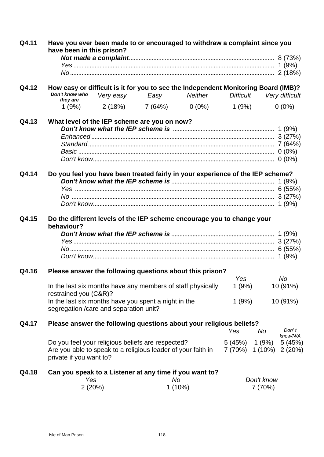| Q4.11 | Have you ever been made to or encouraged to withdraw a complaint since you<br>have been in this prison?                                      |           |                                       |           |                  |                                                     |                   |  |
|-------|----------------------------------------------------------------------------------------------------------------------------------------------|-----------|---------------------------------------|-----------|------------------|-----------------------------------------------------|-------------------|--|
|       |                                                                                                                                              |           |                                       |           |                  |                                                     |                   |  |
|       |                                                                                                                                              |           |                                       |           |                  |                                                     |                   |  |
| Q4.12 | How easy or difficult is it for you to see the Independent Monitoring Board (IMB)?<br>Don't know who<br>they are                             | Very easy |                                       |           | <b>Difficult</b> |                                                     | Very difficult    |  |
|       |                                                                                                                                              |           | $1(9\%)$ $2(18\%)$ $7(64\%)$ $0(0\%)$ |           | 1 (9%)           |                                                     | $0(0\%)$          |  |
| Q4.13 | What level of the IEP scheme are you on now?                                                                                                 |           |                                       |           |                  |                                                     |                   |  |
| Q4.14 |                                                                                                                                              |           |                                       |           |                  |                                                     |                   |  |
|       | Do you feel you have been treated fairly in your experience of the IEP scheme?                                                               |           |                                       |           |                  |                                                     |                   |  |
| Q4.15 | Do the different levels of the IEP scheme encourage you to change your<br>behaviour?                                                         |           |                                       |           |                  |                                                     |                   |  |
|       |                                                                                                                                              |           |                                       |           |                  |                                                     |                   |  |
|       |                                                                                                                                              |           |                                       |           |                  |                                                     |                   |  |
|       |                                                                                                                                              |           |                                       |           |                  |                                                     |                   |  |
| Q4.16 | Please answer the following questions about this prison?                                                                                     |           |                                       |           | Yes              |                                                     | No.               |  |
|       | In the last six months have any members of staff physically<br>restrained you (C&R)?                                                         |           |                                       |           | 1(9%)            |                                                     | 10 (91%)          |  |
|       | In the last six months have you spent a night in the<br>segregation / care and separation unit?                                              |           |                                       |           | 1(9%)            |                                                     | 10 (91%)          |  |
| Q4.17 | Please answer the following questions about your religious beliefs?                                                                          |           |                                       |           | Yes              | No                                                  | Don't<br>know/N/A |  |
|       | Do you feel your religious beliefs are respected?<br>Are you able to speak to a religious leader of your faith in<br>private if you want to? |           |                                       |           |                  | $5(45\%)$ 1 (9%) 5 (45%)<br>7 (70%) 1 (10%) 2 (20%) |                   |  |
| Q4.18 | Can you speak to a Listener at any time if you want to?<br>Yes                                                                               |           | No                                    |           |                  | Don't know                                          |                   |  |
|       | 2(20%)                                                                                                                                       |           |                                       | $1(10\%)$ |                  | 7(70%)                                              |                   |  |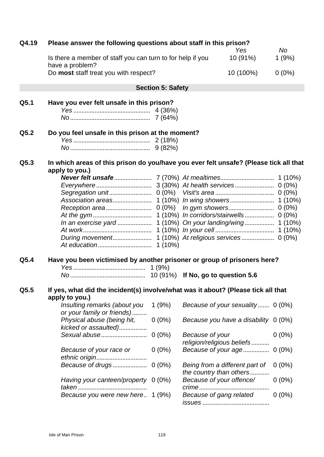| Q4.19 | Please answer the following questions about staff in this prison?<br><b>No</b><br>Yes               |                          |                                                           |          |  |  |  |  |  |
|-------|-----------------------------------------------------------------------------------------------------|--------------------------|-----------------------------------------------------------|----------|--|--|--|--|--|
|       | Is there a member of staff you can turn to for help if you<br>have a problem?                       |                          | 10 (91%)                                                  | 1(9%)    |  |  |  |  |  |
|       | Do most staff treat you with respect?                                                               | 10 (100%)                | $0(0\%)$                                                  |          |  |  |  |  |  |
|       |                                                                                                     | <b>Section 5: Safety</b> |                                                           |          |  |  |  |  |  |
| Q5.1  | Have you ever felt unsafe in this prison?                                                           |                          |                                                           |          |  |  |  |  |  |
|       |                                                                                                     |                          |                                                           |          |  |  |  |  |  |
|       |                                                                                                     |                          |                                                           |          |  |  |  |  |  |
| Q5.2  | Do you feel unsafe in this prison at the moment?                                                    |                          |                                                           |          |  |  |  |  |  |
|       |                                                                                                     |                          |                                                           |          |  |  |  |  |  |
|       |                                                                                                     |                          |                                                           |          |  |  |  |  |  |
| Q5.3  | In which areas of this prison do you/have you ever felt unsafe? (Please tick all that               |                          |                                                           |          |  |  |  |  |  |
|       | apply to you.)                                                                                      |                          |                                                           |          |  |  |  |  |  |
|       |                                                                                                     |                          |                                                           |          |  |  |  |  |  |
|       |                                                                                                     |                          |                                                           | $0(0\%)$ |  |  |  |  |  |
|       |                                                                                                     |                          |                                                           |          |  |  |  |  |  |
|       |                                                                                                     |                          |                                                           |          |  |  |  |  |  |
|       |                                                                                                     |                          |                                                           |          |  |  |  |  |  |
|       |                                                                                                     |                          |                                                           |          |  |  |  |  |  |
|       |                                                                                                     |                          |                                                           |          |  |  |  |  |  |
|       |                                                                                                     |                          |                                                           |          |  |  |  |  |  |
|       |                                                                                                     |                          |                                                           |          |  |  |  |  |  |
|       |                                                                                                     | $1(10\%)$                |                                                           |          |  |  |  |  |  |
| Q5.4  | Have you been victimised by another prisoner or group of prisoners here?                            |                          |                                                           |          |  |  |  |  |  |
|       |                                                                                                     |                          |                                                           |          |  |  |  |  |  |
|       |                                                                                                     |                          |                                                           |          |  |  |  |  |  |
| Q5.5  | If yes, what did the incident(s) involve/what was it about? (Please tick all that<br>apply to you.) |                          |                                                           |          |  |  |  |  |  |
|       | Insulting remarks (about you<br>or your family or friends)                                          | 1(9%)                    | Because of your sexuality 0 (0%)                          |          |  |  |  |  |  |
|       | Physical abuse (being hit,<br>kicked or assaulted)                                                  | $0(0\%)$                 | Because you have a disability $0(0\%)$                    |          |  |  |  |  |  |
|       | Sexual abuse                                                                                        | $0(0\%)$                 | Because of your<br>religion/religious beliefs             | $0(0\%)$ |  |  |  |  |  |
|       | Because of your race or                                                                             | $0(0\%)$                 | Because of your age                                       | $0(0\%)$ |  |  |  |  |  |
|       | Because of drugs                                                                                    | $0(0\%)$                 | Being from a different part of<br>the country than others | $0(0\%)$ |  |  |  |  |  |
|       | Having your canteen/property                                                                        | $0(0\%)$                 | Because of your offence/                                  | $0(0\%)$ |  |  |  |  |  |
|       | Because you were new here 1 (9%)                                                                    |                          | Because of gang related                                   | $0(0\%)$ |  |  |  |  |  |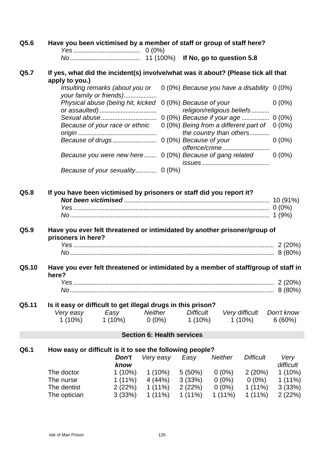| Q5.6  | Have you been victimised by a member of staff or group of staff here?                               |                                                            |                |          |                                   |                                                                  |                  |                   |
|-------|-----------------------------------------------------------------------------------------------------|------------------------------------------------------------|----------------|----------|-----------------------------------|------------------------------------------------------------------|------------------|-------------------|
|       |                                                                                                     |                                                            |                |          |                                   |                                                                  |                  |                   |
| Q5.7  | If yes, what did the incident(s) involve/what was it about? (Please tick all that<br>apply to you.) |                                                            |                |          |                                   |                                                                  |                  |                   |
|       |                                                                                                     | Insulting remarks (about you or<br>your family or friends) |                |          |                                   | 0 (0%) Because you have a disability 0 (0%)                      |                  |                   |
|       |                                                                                                     | Physical abuse (being hit, kicked                          |                |          | 0 (0%) Because of your            | religion/religious beliefs                                       |                  | $0(0\%)$          |
|       |                                                                                                     |                                                            |                |          |                                   | 0 (0%) Because if your age  0 (0%)                               |                  |                   |
|       |                                                                                                     | Because of your race or ethnic                             |                |          |                                   | 0 (0%) Being from a different part of<br>the country than others |                  | $0(0\%)$          |
|       |                                                                                                     |                                                            |                |          |                                   |                                                                  |                  | $0(0\%)$          |
|       |                                                                                                     | Because you were new here 0 (0%) Because of gang related   |                |          |                                   |                                                                  |                  | $0(0\%)$          |
|       |                                                                                                     | Because of your sexuality                                  |                | $0(0\%)$ |                                   |                                                                  |                  |                   |
| Q5.8  | If you have been victimised by prisoners or staff did you report it?                                |                                                            |                |          |                                   |                                                                  |                  |                   |
|       |                                                                                                     |                                                            |                |          |                                   |                                                                  |                  |                   |
| Q5.9  | Have you ever felt threatened or intimidated by another prisoner/group of<br>prisoners in here?     |                                                            |                |          |                                   |                                                                  |                  |                   |
|       |                                                                                                     |                                                            |                |          |                                   |                                                                  |                  |                   |
| Q5.10 | Have you ever felt threatened or intimidated by a member of staff/group of staff in                 |                                                            |                |          |                                   |                                                                  |                  |                   |
|       | here?                                                                                               |                                                            |                |          |                                   |                                                                  |                  |                   |
|       |                                                                                                     |                                                            |                |          |                                   |                                                                  |                  |                   |
| Q5.11 | Is it easy or difficult to get illegal drugs in this prison?                                        |                                                            |                |          |                                   |                                                                  |                  |                   |
|       | Very easy                                                                                           | Easy                                                       | <b>Neither</b> |          | <b>Difficult</b>                  |                                                                  | Very difficult   | Don't know        |
|       | $1(10\%)$                                                                                           | $1(10\%)$                                                  | $0(0\%)$       |          | $1(10\%)$                         |                                                                  | $1(10\%)$        | 6(60%)            |
|       |                                                                                                     |                                                            |                |          | <b>Section 6: Health services</b> |                                                                  |                  |                   |
| Q6.1  | How easy or difficult is it to see the following people?                                            |                                                            |                |          |                                   |                                                                  |                  |                   |
|       |                                                                                                     | Don't<br>know                                              | Very easy      |          | Easy                              | <b>Neither</b>                                                   | <b>Difficult</b> | Very<br>difficult |
|       | The doctor                                                                                          | $1(10\%)$                                                  |                | 1 (10%)  | $5(50\%)$                         | $0(0\%)$                                                         | 2(20%)           | $1(10\%)$         |
|       | The nurse                                                                                           | $1(11\%)$                                                  |                | 4 (44%)  | 3(33%)                            | $0(0\%)$                                                         | $0(0\%)$         | $1(11\%)$         |
|       | The dentist                                                                                         | 2(22%)                                                     |                | 1 (11%)  | 2(22%)                            | $0(0\%)$                                                         | $1(11\%)$        | 3(33%)            |
|       | The optician                                                                                        | 3(33%)                                                     | $1(11\%)$      |          | $1(11\%)$                         | $1(11\%)$                                                        | $1(11\%)$        | 2(22%)            |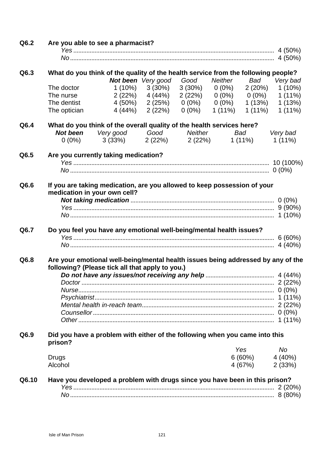| Q6.2  |                         | Are you able to see a pharmacist?                                                 |                           |                                                                   |            |         |                                                     |
|-------|-------------------------|-----------------------------------------------------------------------------------|---------------------------|-------------------------------------------------------------------|------------|---------|-----------------------------------------------------|
|       |                         |                                                                                   |                           |                                                                   |            |         |                                                     |
|       |                         |                                                                                   |                           |                                                                   |            |         |                                                     |
| Q6.3  |                         | What do you think of the quality of the health service from the following people? |                           |                                                                   |            |         |                                                     |
|       |                         |                                                                                   | <b>Not been</b> Very good | Good                                                              | Neither    |         | Bad Very bad                                        |
|       | The doctor<br>The nurse |                                                                                   | $1(10\%)$ $3(30\%)$       |                                                                   |            |         | $3(30\%)$ $0(0\%)$ $2(20\%)$ $1(10\%)$<br>$1(11\%)$ |
|       | The dentist             |                                                                                   | $2(22%)$ $4(44%)$         | $2(22%)$ $0(0%)$ $0(0%)$<br>4 (50%) 2 (25%) 0 (0%) 0 (0%) 1 (13%) |            |         | 1(13%)                                              |
|       | The optician            |                                                                                   |                           | 4 (44%) 2 (22%) 0 (0%) 1 (11%) 1 (11%)                            |            |         | $1(11\%)$                                           |
| Q6.4  |                         | What do you think of the overall quality of the health services here?             |                           |                                                                   |            |         |                                                     |
|       |                         | <b>Not been</b> Very good Good Neither                                            |                           |                                                                   | <b>Bad</b> |         | Very bad                                            |
|       |                         | $0(0\%)$ $3(33\%)$ $2(22\%)$ $2(22\%)$ $1(11\%)$                                  |                           |                                                                   |            |         | $1(11\%)$                                           |
| Q6.5  |                         | Are you currently taking medication?                                              |                           |                                                                   |            |         |                                                     |
|       |                         |                                                                                   |                           |                                                                   |            |         |                                                     |
|       |                         |                                                                                   |                           |                                                                   |            |         |                                                     |
| Q6.6  |                         | If you are taking medication, are you allowed to keep possession of your          |                           |                                                                   |            |         |                                                     |
|       |                         | medication in your own cell?                                                      |                           |                                                                   |            |         |                                                     |
|       |                         |                                                                                   |                           |                                                                   |            |         |                                                     |
|       |                         |                                                                                   |                           |                                                                   |            |         |                                                     |
|       |                         |                                                                                   |                           |                                                                   |            |         |                                                     |
| Q6.7  |                         | Do you feel you have any emotional well-being/mental health issues?               |                           |                                                                   |            |         |                                                     |
|       |                         |                                                                                   |                           |                                                                   |            |         |                                                     |
|       |                         |                                                                                   |                           |                                                                   |            |         |                                                     |
| Q6.8  |                         | Are your emotional well-being/mental health issues being addressed by any of the  |                           |                                                                   |            |         |                                                     |
|       |                         | following? (Please tick all that apply to you.)                                   |                           |                                                                   |            |         |                                                     |
|       |                         |                                                                                   |                           |                                                                   |            |         |                                                     |
|       |                         |                                                                                   |                           |                                                                   |            |         |                                                     |
|       |                         |                                                                                   |                           |                                                                   |            |         |                                                     |
|       |                         |                                                                                   |                           |                                                                   |            |         |                                                     |
|       |                         |                                                                                   |                           |                                                                   |            |         |                                                     |
|       |                         |                                                                                   |                           |                                                                   |            |         |                                                     |
| Q6.9  | prison?                 | Did you have a problem with either of the following when you came into this       |                           |                                                                   |            |         |                                                     |
|       |                         |                                                                                   |                           |                                                                   | Yes        |         | No                                                  |
|       | Drugs                   |                                                                                   |                           |                                                                   |            |         | $6(60\%)$ $4(40\%)$                                 |
|       | Alcohol                 |                                                                                   |                           |                                                                   |            | 4 (67%) | 2(33%)                                              |
| Q6.10 |                         | Have you developed a problem with drugs since you have been in this prison?       |                           |                                                                   |            |         |                                                     |
|       |                         |                                                                                   |                           |                                                                   |            |         | $8(80\%)$                                           |
|       |                         |                                                                                   |                           |                                                                   |            |         |                                                     |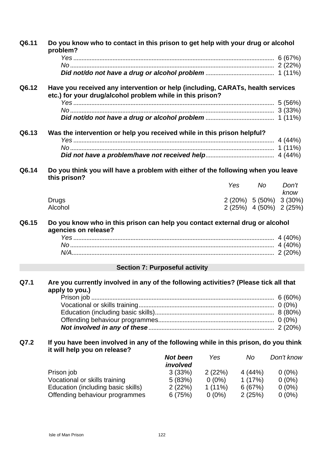| Q6.11 | Do you know who to contact in this prison to get help with your drug or alcohol<br>problem?                                                 |                 |          |         |         |                                 |  |  |  |
|-------|---------------------------------------------------------------------------------------------------------------------------------------------|-----------------|----------|---------|---------|---------------------------------|--|--|--|
|       |                                                                                                                                             |                 |          |         |         |                                 |  |  |  |
|       |                                                                                                                                             |                 |          |         |         |                                 |  |  |  |
|       |                                                                                                                                             |                 |          |         |         |                                 |  |  |  |
| Q6.12 | Have you received any intervention or help (including, CARATs, health services<br>etc.) for your drug/alcohol problem while in this prison? |                 |          |         |         |                                 |  |  |  |
|       |                                                                                                                                             |                 |          |         |         |                                 |  |  |  |
|       |                                                                                                                                             |                 |          |         |         |                                 |  |  |  |
|       |                                                                                                                                             |                 |          |         |         |                                 |  |  |  |
| Q6.13 | Was the intervention or help you received while in this prison helpful?                                                                     |                 |          |         |         |                                 |  |  |  |
|       |                                                                                                                                             |                 |          |         |         |                                 |  |  |  |
|       |                                                                                                                                             |                 |          |         |         |                                 |  |  |  |
|       |                                                                                                                                             |                 |          |         |         |                                 |  |  |  |
| Q6.14 | Do you think you will have a problem with either of the following when you leave<br>this prison?                                            |                 |          |         |         |                                 |  |  |  |
|       |                                                                                                                                             |                 |          | Yes     | No.     | Don't                           |  |  |  |
|       |                                                                                                                                             |                 |          |         |         | know<br>2 (20%) 5 (50%) 3 (30%) |  |  |  |
|       | <b>Drugs</b><br>Alcohol                                                                                                                     |                 |          |         |         | 2 (25%) 4 (50%) 2 (25%)         |  |  |  |
|       |                                                                                                                                             |                 |          |         |         |                                 |  |  |  |
| Q6.15 | Do you know who in this prison can help you contact external drug or alcohol<br>agencies on release?                                        |                 |          |         |         |                                 |  |  |  |
|       |                                                                                                                                             |                 |          |         |         |                                 |  |  |  |
|       |                                                                                                                                             |                 |          |         |         |                                 |  |  |  |
|       |                                                                                                                                             |                 |          |         |         |                                 |  |  |  |
|       | <b>Section 7: Purposeful activity</b>                                                                                                       |                 |          |         |         |                                 |  |  |  |
| Q7.1  | Are you currently involved in any of the following activities? (Please tick all that<br>apply to you.)                                      |                 |          |         |         |                                 |  |  |  |
|       |                                                                                                                                             |                 |          |         |         |                                 |  |  |  |
|       |                                                                                                                                             |                 |          |         |         |                                 |  |  |  |
|       |                                                                                                                                             |                 |          |         |         |                                 |  |  |  |
|       |                                                                                                                                             |                 |          |         |         |                                 |  |  |  |
|       |                                                                                                                                             |                 |          |         |         |                                 |  |  |  |
| Q7.2  | If you have been involved in any of the following while in this prison, do you think<br>it will help you on release?                        |                 |          |         |         |                                 |  |  |  |
|       |                                                                                                                                             | <b>Not been</b> | Yes      | No      |         | Don't know                      |  |  |  |
|       |                                                                                                                                             | involved        |          |         |         |                                 |  |  |  |
|       | Prison job                                                                                                                                  | 3(33%)          | 2(22%)   | 4 (44%) |         | $0(0\%)$                        |  |  |  |
|       | Vocational or skills training                                                                                                               | 5(83%)          | $0(0\%)$ |         | 1 (17%) | $0(0\%)$                        |  |  |  |
|       | Education (including basic skills)                                                                                                          | 2(22%)          | 1 (11%)  |         | 6 (67%) | $0(0\%)$                        |  |  |  |
|       | Offending behaviour programmes                                                                                                              | 6(75%)          | $0(0\%)$ | 2(25%)  |         | $0(0\%)$                        |  |  |  |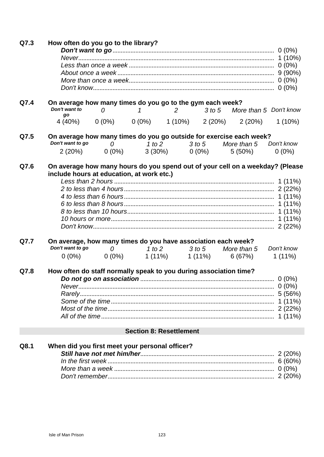| Q7.3 | How often do you go to the library?                                                                                                                             |                |                                |                                                 |           |
|------|-----------------------------------------------------------------------------------------------------------------------------------------------------------------|----------------|--------------------------------|-------------------------------------------------|-----------|
|      |                                                                                                                                                                 |                |                                |                                                 |           |
|      |                                                                                                                                                                 |                |                                |                                                 |           |
|      |                                                                                                                                                                 |                |                                |                                                 |           |
|      |                                                                                                                                                                 |                |                                |                                                 |           |
| Q7.4 | On average how many times do you go to the gym each week?<br>Don't want to                                                                                      | $\overline{O}$ |                                | 1 2 3 to 5 More than 5 Don't know               |           |
|      | go                                                                                                                                                              |                |                                | 4 (40%) 0 (0%) 0 (0%) 1 (10%) 2 (20%) 2 (20%)   | $1(10\%)$ |
| Q7.5 | On average how many times do you go outside for exercise each week?<br>Don't want to go $\qquad 0$ $\qquad 1$ to $2$ $\qquad 3$ to $5$ More than $5$ Don't know |                |                                |                                                 |           |
|      |                                                                                                                                                                 |                |                                | $2(20\%)$ 0 (0%) 3 (30%) 0 (0%) 5 (50%)         | $0(0\%)$  |
|      |                                                                                                                                                                 |                |                                |                                                 |           |
| Q7.6 | On average how many hours do you spend out of your cell on a weekday? (Please<br>include hours at education, at work etc.)                                      |                |                                |                                                 |           |
|      |                                                                                                                                                                 |                |                                |                                                 |           |
|      |                                                                                                                                                                 |                |                                |                                                 |           |
|      |                                                                                                                                                                 |                |                                |                                                 |           |
|      |                                                                                                                                                                 |                |                                |                                                 |           |
|      |                                                                                                                                                                 |                |                                |                                                 |           |
|      |                                                                                                                                                                 |                |                                |                                                 |           |
| Q7.7 | On average, how many times do you have association each week?<br>Don't want to go                                                                               |                |                                | 0 1 to 2 3 to 5 More than 5 Don't know          |           |
|      |                                                                                                                                                                 |                |                                | $0(0\%)$ $0(0\%)$ $1(11\%)$ $1(11\%)$ $6(67\%)$ | $1(11\%)$ |
|      |                                                                                                                                                                 |                |                                |                                                 |           |
| Q7.8 | How often do staff normally speak to you during association time?                                                                                               |                |                                |                                                 |           |
|      |                                                                                                                                                                 |                |                                |                                                 |           |
|      |                                                                                                                                                                 |                |                                |                                                 |           |
|      |                                                                                                                                                                 |                |                                |                                                 |           |
|      |                                                                                                                                                                 |                |                                |                                                 |           |
|      |                                                                                                                                                                 |                |                                |                                                 |           |
|      |                                                                                                                                                                 |                |                                |                                                 |           |
|      |                                                                                                                                                                 |                | <b>Section 8: Resettlement</b> |                                                 |           |
| Q8.1 | When did you first meet your personal officer?                                                                                                                  |                |                                |                                                 |           |
|      |                                                                                                                                                                 |                |                                |                                                 |           |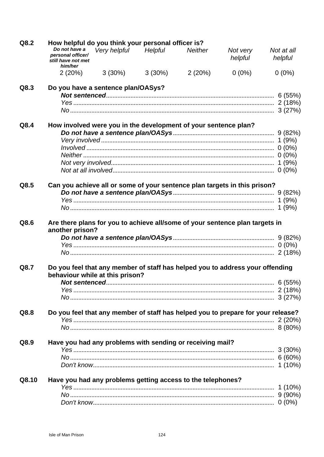| Q8.2  | How helpful do you think your personal officer is?                                                               |                     |           |                |                     |                       |  |  |  |
|-------|------------------------------------------------------------------------------------------------------------------|---------------------|-----------|----------------|---------------------|-----------------------|--|--|--|
|       | Do not have a<br>personal officer/<br>still have not met<br>him/her                                              | Very helpful        | Helpful   | <b>Neither</b> | Not very<br>helpful | Not at all<br>helpful |  |  |  |
|       |                                                                                                                  | $2(20\%)$ $3(30\%)$ | $3(30\%)$ | 2(20%)         | $0(0\%)$            | $0(0\%)$              |  |  |  |
| Q8.3  | Do you have a sentence plan/OASys?                                                                               |                     |           |                |                     |                       |  |  |  |
|       |                                                                                                                  |                     |           |                |                     |                       |  |  |  |
|       |                                                                                                                  |                     |           |                |                     |                       |  |  |  |
| Q8.4  | How involved were you in the development of your sentence plan?                                                  |                     |           |                |                     |                       |  |  |  |
|       |                                                                                                                  |                     |           |                |                     |                       |  |  |  |
|       |                                                                                                                  |                     |           |                |                     |                       |  |  |  |
|       |                                                                                                                  |                     |           |                |                     |                       |  |  |  |
|       |                                                                                                                  |                     |           |                |                     |                       |  |  |  |
|       |                                                                                                                  |                     |           |                |                     |                       |  |  |  |
|       |                                                                                                                  |                     |           |                |                     |                       |  |  |  |
| Q8.5  | Can you achieve all or some of your sentence plan targets in this prison?                                        |                     |           |                |                     |                       |  |  |  |
|       |                                                                                                                  |                     |           |                |                     |                       |  |  |  |
|       |                                                                                                                  |                     |           |                |                     |                       |  |  |  |
|       |                                                                                                                  |                     |           |                |                     |                       |  |  |  |
| Q8.6  | Are there plans for you to achieve all/some of your sentence plan targets in<br>another prison?                  |                     |           |                |                     |                       |  |  |  |
|       |                                                                                                                  |                     |           |                |                     |                       |  |  |  |
|       |                                                                                                                  |                     |           |                |                     |                       |  |  |  |
|       |                                                                                                                  |                     |           |                |                     |                       |  |  |  |
| Q8.7  | Do you feel that any member of staff has helped you to address your offending<br>behaviour while at this prison? |                     |           |                |                     |                       |  |  |  |
|       | Not sentenced                                                                                                    |                     |           |                |                     | 6 (55%)               |  |  |  |
|       |                                                                                                                  |                     |           |                |                     |                       |  |  |  |
|       |                                                                                                                  |                     |           |                |                     |                       |  |  |  |
| Q8.8  | Do you feel that any member of staff has helped you to prepare for your release?                                 |                     |           |                |                     |                       |  |  |  |
|       |                                                                                                                  |                     |           |                |                     |                       |  |  |  |
|       |                                                                                                                  |                     |           |                |                     |                       |  |  |  |
| Q8.9  | Have you had any problems with sending or receiving mail?                                                        |                     |           |                |                     |                       |  |  |  |
|       |                                                                                                                  |                     |           |                |                     |                       |  |  |  |
|       |                                                                                                                  |                     |           |                |                     |                       |  |  |  |
| Q8.10 | Have you had any problems getting access to the telephones?                                                      |                     |           |                |                     |                       |  |  |  |
|       |                                                                                                                  |                     |           |                |                     |                       |  |  |  |
|       |                                                                                                                  |                     |           |                |                     |                       |  |  |  |
|       |                                                                                                                  |                     |           |                |                     |                       |  |  |  |
|       |                                                                                                                  |                     |           |                |                     |                       |  |  |  |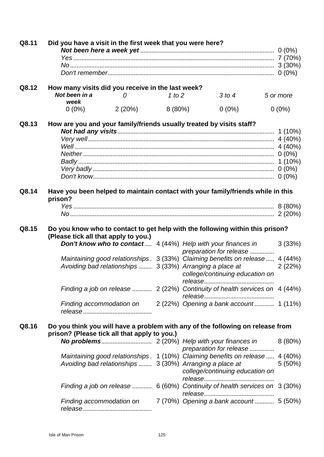| Q8.11 | Did you have a visit in the first week that you were here?           |        |           |                                                                                          |           |
|-------|----------------------------------------------------------------------|--------|-----------|------------------------------------------------------------------------------------------|-----------|
|       |                                                                      |        |           |                                                                                          |           |
|       |                                                                      |        |           |                                                                                          |           |
|       |                                                                      |        |           |                                                                                          |           |
| Q8.12 | How many visits did you receive in the last week?                    |        |           |                                                                                          |           |
|       | Not been in a<br>0                                                   |        | 1 to $2$  | 3 to 4                                                                                   | 5 or more |
|       | week                                                                 |        |           |                                                                                          |           |
|       | $0(0\%)$                                                             | 2(20%) | $8(80\%)$ | $0(0\%)$                                                                                 | $0(0\%)$  |
| Q8.13 | How are you and your family/friends usually treated by visits staff? |        |           |                                                                                          |           |
|       |                                                                      |        |           |                                                                                          |           |
|       |                                                                      |        |           |                                                                                          |           |
|       |                                                                      |        |           |                                                                                          |           |
|       |                                                                      |        |           |                                                                                          |           |
|       |                                                                      |        |           |                                                                                          |           |
|       |                                                                      |        |           |                                                                                          |           |
|       |                                                                      |        |           |                                                                                          |           |
| Q8.14 | prison?                                                              |        |           | Have you been helped to maintain contact with your family/friends while in this          |           |
|       |                                                                      |        |           |                                                                                          |           |
|       |                                                                      |        |           |                                                                                          |           |
|       |                                                                      |        |           |                                                                                          |           |
| Q8.15 | (Please tick all that apply to you.)                                 |        |           | Do you know who to contact to get help with the following within this prison?            |           |
|       |                                                                      |        |           | Don't know who to contact  4 (44%) Help with your finances in<br>preparation for release | 3(33%)    |
|       |                                                                      |        |           | Maintaining good relationships. 3 (33%) Claiming benefits on release  4 (44%)            |           |
|       |                                                                      |        |           | Avoiding bad relationships  3 (33%) Arranging a place at                                 | 2(22%)    |
|       |                                                                      |        |           | college/continuing education on                                                          |           |
|       |                                                                      |        |           | Finding a job on release  2 (22%) Continuity of health services on 4 (44%)               |           |
|       |                                                                      |        |           |                                                                                          |           |
|       |                                                                      |        |           | Finding accommodation on 2 (22%) Opening a bank account 1 (11%)                          |           |
|       |                                                                      |        |           |                                                                                          |           |
| Q8.16 | prison? (Please tick all that apply to you.)                         |        |           | Do you think you will have a problem with any of the following on release from           |           |
|       |                                                                      |        |           |                                                                                          | 8(80%)    |
|       |                                                                      |        |           | preparation for release                                                                  |           |
|       |                                                                      |        |           | Maintaining good relationships. 1 (10%) Claiming benefits on release 4 (40%)             |           |
|       |                                                                      |        |           | Avoiding bad relationships  3 (30%) Arranging a place at                                 | $5(50\%)$ |
|       |                                                                      |        |           | college/continuing education on                                                          |           |
|       |                                                                      |        |           |                                                                                          |           |
|       |                                                                      |        |           | Finding a job on release  6 (60%) Continuity of health services on 3 (30%)               |           |
|       | Finding accommodation on                                             |        |           | 7 (70%) Opening a bank account 5 (50%)                                                   |           |
|       |                                                                      |        |           |                                                                                          |           |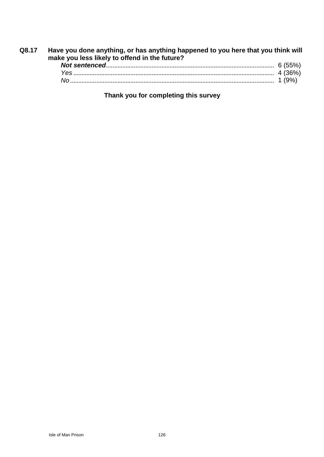| Q8.17 | Have you done anything, or has anything happened to you here that you think will<br>make you less likely to offend in the future? |  |  |  |  |  |
|-------|-----------------------------------------------------------------------------------------------------------------------------------|--|--|--|--|--|
|       |                                                                                                                                   |  |  |  |  |  |
|       |                                                                                                                                   |  |  |  |  |  |
|       |                                                                                                                                   |  |  |  |  |  |

**Thank you for completing this survey**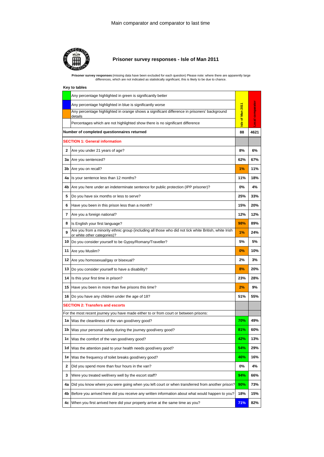

### **Prisoner survey responses - Isle of Man 2011**

Prisoner survey responses (missing data have been excluded for each question) Please note: where there are apparently large<br>differences, which are not indicated as statistically significant, this is likely to be due to cha

|     | Key to tables                                                                                                                        |                  |                  |
|-----|--------------------------------------------------------------------------------------------------------------------------------------|------------------|------------------|
|     | Any percentage highlighted in green is significantly better                                                                          |                  |                  |
|     | Any percentage highlighted in blue is significantly worse                                                                            |                  |                  |
|     | Any percentage highlighted in orange shows a significant difference in prisoners' background<br>details                              | Isle of Man 2011 | Local comparator |
|     | Percentages which are not highlighted show there is no significant difference                                                        |                  |                  |
|     | Number of completed questionnaires returned                                                                                          | 88               | 4621             |
|     | <b>SECTION 1: General information</b>                                                                                                |                  |                  |
| 2   | Are you under 21 years of age?                                                                                                       | 8%               | 6%               |
|     | 3a Are you sentenced?                                                                                                                | 62%              | 67%              |
|     | <b>3b</b> Are you on recall?                                                                                                         | 1%               | 11%              |
|     | 4a Is your sentence less than 12 months?                                                                                             | 11%              | 18%              |
|     | 4b Are you here under an indeterminate sentence for public protection (IPP prisoner)?                                                | 0%               | 4%               |
| 5   | Do you have six months or less to serve?                                                                                             | 25%              | 33%              |
| 6   | Have you been in this prison less than a month?                                                                                      | 15%              | 20%              |
| 7   | Are you a foreign national?                                                                                                          | 12%              | 12%              |
| 8   | Is English your first language?                                                                                                      | 98%              | 89%              |
| 9   | Are you from a minority ethnic group (including all those who did not tick white British, white Irish<br>or white other categories)? | 1%               | 24%              |
|     | 10  Do you consider yourself to be Gypsy/Romany/Traveller?                                                                           | 5%               | 5%               |
|     | 11 Are you Muslim?                                                                                                                   | 0%               | 10%              |
|     | 12 Are you homosexual/gay or bisexual?                                                                                               | 2%               | 3%               |
|     | 13 Do you consider yourself to have a disability?                                                                                    | 8%               | 20%              |
|     | 14 Is this your first time in prison?                                                                                                | 23%              | 28%              |
|     | 15 Have you been in more than five prisons this time?                                                                                | 2%               | 9%               |
|     | 16 Do you have any children under the age of 18?                                                                                     | 51%              | 55%              |
|     | <b>SECTION 2: Transfers and escorts</b>                                                                                              |                  |                  |
|     | For the most recent journey you have made either to or from court or between prisons:                                                |                  |                  |
|     | 1a Was the cleanliness of the van good/very good?                                                                                    | 70%              | 49%              |
|     | 1b  Was your personal safety during the journey good/very good?                                                                      | 81%              | 60%              |
|     | 1c Was the comfort of the van good/very good?                                                                                        | 42%              | 13%              |
| 1d  | Was the attention paid to your health needs good/very good?                                                                          | 54%              | 29%              |
| 1e  | Was the frequency of toilet breaks good/very good?                                                                                   | 46%              | 16%              |
| 2   | Did you spend more than four hours in the van?                                                                                       | 0%               | 4%               |
| 3   | Were you treated well/very well by the escort staff?                                                                                 | 94%              | 66%              |
| 4a  | Did you know where you were going when you left court or when transferred from another prison?                                       | 90%              | 73%              |
| 4b. | Before you arrived here did you receive any written information about what would happen to you?                                      | 18%              | 15%              |
|     | 4c When you first arrived here did your property arrive at the same time as you?                                                     | 71%              | 82%              |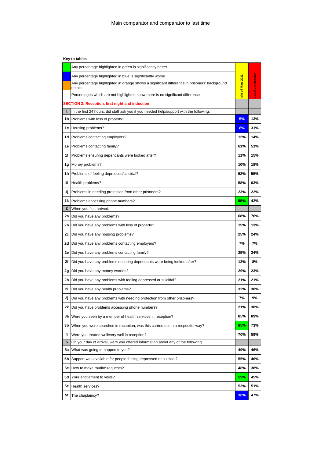|              | Any percentage highlighted in green is significantly better                                             |                 |                         |  |
|--------------|---------------------------------------------------------------------------------------------------------|-----------------|-------------------------|--|
|              | Any percentage highlighted in blue is significantly worse                                               |                 |                         |  |
|              | Any percentage highlighted in orange shows a significant difference in prisoners' background<br>details |                 | <b>Local comparator</b> |  |
|              | Percentages which are not highlighted show there is no significant difference                           | sle of Man 2011 |                         |  |
|              | <b>SECTION 3: Reception, first night and induction</b>                                                  |                 |                         |  |
| 1            | In the first 24 hours, did staff ask you if you needed help/support with the following:                 |                 |                         |  |
|              | <b>1b</b> Problems with loss of property?                                                               | 5%              | 13%                     |  |
|              | 1c Housing problems?                                                                                    | 8%              | 31%                     |  |
|              | 1d Problems contacting employers?                                                                       | 12%             | 14%                     |  |
|              | 1e Problems contacting family?                                                                          | 61%             | 51%                     |  |
|              | 1f Problems ensuring dependants were looked after?                                                      | 11%             | 15%                     |  |
|              | 1g Money problems?                                                                                      | 10%             | 18%                     |  |
|              | 1h Problems of feeling depressed/suicidal?                                                              | 52%             | 55%                     |  |
|              | 1i Health problems?                                                                                     | 58%             | 63%                     |  |
|              | 1j Problems in needing protection from other prisoners?                                                 | 23%             | 22%                     |  |
|              | 1k Problems accessing phone numbers?                                                                    | 55%             | 42%                     |  |
| $\mathbf{z}$ | When you first arrived:                                                                                 |                 |                         |  |
|              | 2a  Did you have any problems?                                                                          | 68%             | 76%                     |  |
|              | 2b Did you have any problems with loss of property?                                                     | 15%             | 13%                     |  |
|              | 2c   Did you have any housing problems?                                                                 | 25%             | 24%                     |  |
|              | 2d   Did you have any problems contacting employers?                                                    | 7%              | 7%                      |  |
|              | 2e   Did you have any problems contacting family?                                                       | 25%             | 34%                     |  |
| 2f           | Did you have any problems ensuring dependants were being looked after?                                  | 13%             | 8%                      |  |
|              | 2g Did you have any money worries?                                                                      | 29%             | 23%                     |  |
| 2h           | Did you have any problems with feeling depressed or suicidal?                                           | 21%             | 21%                     |  |
| 2i           | Did you have any health problems?                                                                       | 32%             | 30%                     |  |
| 2ј.          | Did you have any problems with needing protection from other prisoners?                                 | 7%              | 9%                      |  |
| 2k           | Did you have problems accessing phone numbers?                                                          | 21%             | 30%                     |  |
|              | 3a Were you seen by a member of health services in reception?                                           | 85%             | 89%                     |  |
| 3b           | When you were searched in reception, was this carried out in a respectful way?                          | 85%             | 73%                     |  |
| 4            | Were you treated well/very well in reception?                                                           | 70%             | 59%                     |  |
| 5            | On your day of arrival, were you offered information about any of the following:                        |                 |                         |  |
| 5а           | What was going to happen to you?                                                                        | 49%             | 46%                     |  |
| 5b           | Support was available for people feeling depressed or suicidal?                                         | 55%             | 46%                     |  |
| 5с           | How to make routine requests?                                                                           | 48%             | 38%                     |  |
| 5d           | Your entitlement to visits?                                                                             | 59%             | 45%                     |  |
| 5е           | Health services?                                                                                        | 53%             | 51%                     |  |
| 5f           | The chaplaincy?                                                                                         | 36%             | 47%                     |  |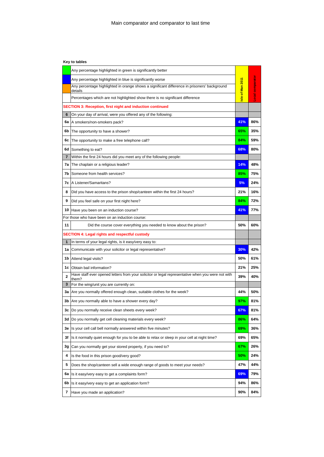| Key to tables |  |  |  |
|---------------|--|--|--|
|---------------|--|--|--|

|              | Any percentage highlighted in green is significantly better                                                |                 |                  |  |  |  |
|--------------|------------------------------------------------------------------------------------------------------------|-----------------|------------------|--|--|--|
|              | Any percentage highlighted in blue is significantly worse                                                  |                 |                  |  |  |  |
|              | Any percentage highlighted in orange shows a significant difference in prisoners' background<br>details    | sle of Man 2011 | Local comparator |  |  |  |
|              | Percentages which are not highlighted show there is no significant difference                              |                 |                  |  |  |  |
|              | SECTION 3: Reception, first night and induction continued                                                  |                 |                  |  |  |  |
| 6            | On your day of arrival, were you offered any of the following:                                             |                 |                  |  |  |  |
|              | 6a   A smokers/non-smokers pack?                                                                           | 41%             | 86%              |  |  |  |
| 6b.          | The opportunity to have a shower?                                                                          | 65%             | 35%              |  |  |  |
| 6с           | The opportunity to make a free telephone call?                                                             | 84%             | 59%              |  |  |  |
| 6d           | Something to eat?                                                                                          | 68%             | 80%              |  |  |  |
| 7            | Within the first 24 hours did you meet any of the following people:                                        |                 |                  |  |  |  |
|              | 7a The chaplain or a religious leader?                                                                     | 14%             | 48%              |  |  |  |
| 7b           | Someone from health services?                                                                              | 85%             | 75%              |  |  |  |
|              | 7c   A Listener/Samaritans?                                                                                | 5%              | 24%              |  |  |  |
| 8            | Did you have access to the prison shop/canteen within the first 24 hours?                                  | 21%             | 16%              |  |  |  |
| 9            | Did you feel safe on your first night here?                                                                | 84%             | 72%              |  |  |  |
| 10           | Have you been on an induction course?                                                                      | 41%             | 77%              |  |  |  |
|              | For those who have been on an induction course:                                                            |                 |                  |  |  |  |
| 11           | Did the course cover everything you needed to know about the prison?                                       | 50%             | 60%              |  |  |  |
|              | <b>SECTION 4: Legal rights and respectful custody</b>                                                      |                 |                  |  |  |  |
| 1            | In terms of your legal rights, is it easy/very easy to:                                                    |                 |                  |  |  |  |
|              | 1a Communicate with your solicitor or legal representative?                                                | 30%             | 42%              |  |  |  |
|              | 1b Attend legal visits?                                                                                    | 50%             | 61%              |  |  |  |
| 1c           | Obtain bail information?                                                                                   | 21%             | 25%              |  |  |  |
| $\mathbf{2}$ | Have staff ever opened letters from your solicitor or legal representative when you were not with<br>them? | 39%             | 40%              |  |  |  |
| 3            | For the wing/unit you are currently on:                                                                    |                 |                  |  |  |  |
|              | 3a   Are you normally offered enough clean, suitable clothes for the week?                                 | 44%             | 50%              |  |  |  |
| 3b           | Are you normally able to have a shower every day?                                                          | 97%             | 81%              |  |  |  |
| 3с           | Do you normally receive clean sheets every week?                                                           | 67%             | 81%              |  |  |  |
| 3d           | Do you normally get cell cleaning materials every week?                                                    | 86%             | 64%              |  |  |  |
| 3e           | Is your cell call bell normally answered within five minutes?                                              | 69%             | 36%              |  |  |  |
| 3f           | Is it normally quiet enough for you to be able to relax or sleep in your cell at night time?               | 69%             | 65%              |  |  |  |
| 3g           | Can you normally get your stored property, if you need to?                                                 | 67%             | 26%              |  |  |  |
| 4            | Is the food in this prison good/very good?                                                                 | 50%             | 24%              |  |  |  |
| 5            | Does the shop/canteen sell a wide enough range of goods to meet your needs?                                | 47%             | 44%              |  |  |  |
| 6a           | Is it easy/very easy to get a complaints form?                                                             | 69%             | 79%              |  |  |  |
| 6b           | Is it easy/very easy to get an application form?                                                           | 94%             | 86%              |  |  |  |
| 7            | Have you made an application?                                                                              | 90%             | 84%              |  |  |  |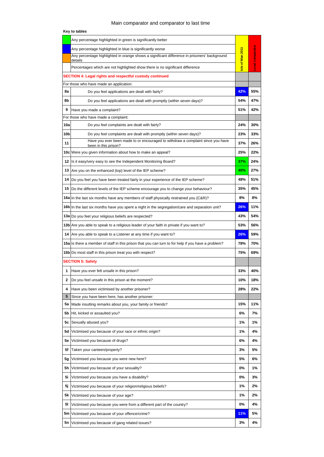## Main comparator and comparator to last time

|     | Any percentage highlighted in green is significantly better                                             |                 |                         |
|-----|---------------------------------------------------------------------------------------------------------|-----------------|-------------------------|
|     | Any percentage highlighted in blue is significantly worse                                               |                 |                         |
|     | Any percentage highlighted in orange shows a significant difference in prisoners' background<br>details | sle of Man 2011 |                         |
|     | Percentages which are not highlighted show there is no significant difference                           |                 | <b>Local comparator</b> |
|     | <b>SECTION 4: Legal rights and respectful custody continued</b>                                         |                 |                         |
|     | For those who have made an application:                                                                 |                 |                         |
| 8a  | Do you feel applications are dealt with fairly?                                                         | 42%             | 55%                     |
| 8b  | Do you feel applications are dealt with promptly (within seven days)?                                   | 54%             | 47%                     |
| 9   | Have you made a complaint?                                                                              | 51%             | 42%                     |
|     | For those who have made a complaint:                                                                    |                 |                         |
| 10a | Do you feel complaints are dealt with fairly?                                                           | 24%             | 30%                     |
| 10b | Do you feel complaints are dealt with promptly (within seven days)?                                     | 23%             | 33%                     |
| 11  | Have you ever been made to or encouraged to withdraw a complaint since you have<br>been in this prison? | 37%             | 26%                     |
|     | 10c Were you given information about how to make an appeal?                                             | 25%             | 22%                     |
|     | 12 Is it easy/very easy to see the Independent Monitoring Board?                                        | 37%             | 24%                     |
|     | 13 Are you on the enhanced (top) level of the IEP scheme?                                               | 40%             | 27%                     |
| 14  | Do you feel you have been treated fairly in your experience of the IEP scheme?                          | 48%             | 51%                     |
|     | 15 Do the different levels of the IEP scheme encourage you to change your behaviour?                    | 35%             | 45%                     |
|     | 16a In the last six months have any members of staff physically restrained you (C&R)?                   | 8%              | 8%                      |
|     | 16b In the last six months have you spent a night in the segregation/care and separation unit?          | 26%             | 11%                     |
|     | 13a Do you feel your religious beliefs are respected?                                                   | 43%             | 54%                     |
|     | 13b Are you able to speak to a religious leader of your faith in private if you want to?                | 53%             | 56%                     |
|     | 14 Are you able to speak to a Listener at any time if you want to?                                      | 26%             | 59%                     |
|     | 15a Is there a member of staff in this prison that you can turn to for help if you have a problem?      | 78%             | 70%                     |
|     | 15b Do most staff in this prison treat you with respect?                                                | 75%             | 69%                     |
|     | <b>SECTION 5: Safety</b>                                                                                |                 |                         |
| 1   | Have you ever felt unsafe in this prison?                                                               | 33%             | 40%                     |
| 2   | Do you feel unsafe in this prison at the moment?                                                        | 10%             | 18%                     |
| 4   | Have you been victimised by another prisoner?                                                           | 28%             | 22%                     |
| 5   | Since you have been here, has another prisoner:                                                         |                 |                         |
| 5а  | Made insulting remarks about you, your family or friends?                                               | 15%             | 11%                     |
| 5b  | Hit, kicked or assaulted you?                                                                           | 6%              | 7%                      |
| 5c  | Sexually abused you?                                                                                    | 1%              | 1%                      |
| 5d  | Victimised you because of your race or ethnic origin?                                                   | 1%              | 4%                      |
| 5е  | Victimised you because of drugs?                                                                        | 6%              | 4%                      |
| 5f  | Taken your canteen/property?                                                                            | 3%              | 5%                      |
| 5g  | Victimised you because you were new here?                                                               | 5%              | 6%                      |
| 5h  | Victimised you because of your sexuality?                                                               | 0%              | 1%                      |
| 5i  | Victimised you because you have a disability?                                                           | 0%              | 3%                      |
| 5j  | Victimised you because of your religion/religious beliefs?                                              | 1%              | 2%                      |
| 5k  | Victimised you because of your age?                                                                     | 1%              | 2%                      |
| 51  | Victimised you because you were from a different part of the country?                                   | 0%              | 4%                      |
|     | 5m Victimised you because of your offence/crime?                                                        | 11%             | 5%                      |
| 5n  | Victimised you because of gang related issues?                                                          | 3%              | 4%                      |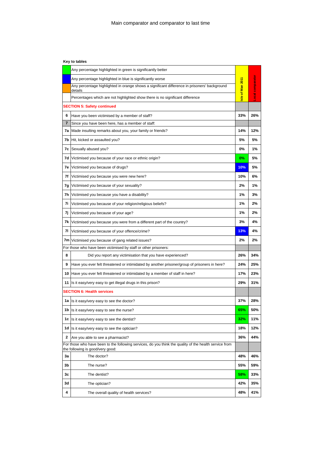| Key to tables |
|---------------|
|               |

|    | Any percentage highlighted in green is significantly better                                                                                |                 |                         |
|----|--------------------------------------------------------------------------------------------------------------------------------------------|-----------------|-------------------------|
|    | Any percentage highlighted in blue is significantly worse                                                                                  |                 |                         |
|    | Any percentage highlighted in orange shows a significant difference in prisoners' background<br>details                                    | sle of Man 2011 | <b>Local comparator</b> |
|    | Percentages which are not highlighted show there is no significant difference                                                              |                 |                         |
|    | <b>SECTION 5: Safety continued</b>                                                                                                         |                 |                         |
| 6  | Have you been victimised by a member of staff?                                                                                             | 33%             | 26%                     |
| 7  | Since you have been here, has a member of staff:                                                                                           |                 |                         |
|    | <b>7a</b> Made insulting remarks about you, your family or friends?                                                                        | 14%             | 12%                     |
|    | <b>7b</b> Hit, kicked or assaulted you?                                                                                                    | 5%              | 5%                      |
| 7с | Sexually abused you?                                                                                                                       | 0%              | 1%                      |
| 7d | Victimised you because of your race or ethnic origin?                                                                                      | 0%              | 5%                      |
| 7е | Victimised you because of drugs?                                                                                                           | 10%             | 5%                      |
| 7f | Victimised you because you were new here?                                                                                                  | 10%             | 6%                      |
| 7g | Victimised you because of your sexuality?                                                                                                  | 2%              | 1%                      |
| 7h | Victimised you because you have a disability?                                                                                              | 1%              | 3%                      |
| 7i | Victimised you because of your religion/religious beliefs?                                                                                 | 1%              | 2%                      |
| 7j | Victimised you because of your age?                                                                                                        | 1%              | 2%                      |
| 7k | Victimised you because you were from a different part of the country?                                                                      | 3%              | 4%                      |
| 71 | Victimised you because of your offence/crime?                                                                                              | 13%             | 4%                      |
|    | 7m Victimised you because of gang related issues?                                                                                          | 2%              | 2%                      |
|    | For those who have been victimised by staff or other prisoners:                                                                            |                 |                         |
| 8  | Did you report any victimisation that you have experienced?                                                                                | 26%             | 34%                     |
| 9  | Have you ever felt threatened or intimidated by another prisoner/group of prisoners in here?                                               | 24%             | 25%                     |
|    | 10 Have you ever felt threatened or intimidated by a member of staff in here?                                                              | 17%             | 23%                     |
| 11 | Is it easy/very easy to get illegal drugs in this prison?                                                                                  | 29%             | 31%                     |
|    | <b>SECTION 6: Health services</b>                                                                                                          |                 |                         |
| 1a | Is it easy/very easy to see the doctor?                                                                                                    | 37%             | 28%                     |
|    | 1b Is it easy/very easy to see the nurse?                                                                                                  | 65%             | 50%                     |
|    | 1c Is it easy/very easy to see the dentist?                                                                                                | 32%             | 11%                     |
|    | 1d Is it easy/very easy to see the optician?                                                                                               | 18%             | 12%                     |
| 2  | Are you able to see a pharmacist?                                                                                                          | 36%             | 44%                     |
|    | For those who have been to the following services, do you think the quality of the health service from<br>the following is good/very good: |                 |                         |
| Зa | The doctor?                                                                                                                                | 48%             | 46%                     |
| 3b | The nurse?                                                                                                                                 | 55%             | 59%                     |
| Зc | The dentist?                                                                                                                               | 58%             | 33%                     |
| 3d | The optician?                                                                                                                              | 42%             | 35%                     |
| 4  | The overall quality of health services?                                                                                                    | 48%             | 41%                     |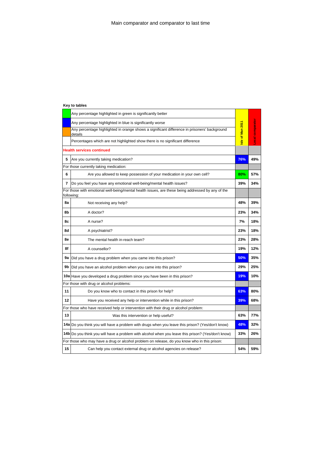|    | Any percentage highlighted in green is significantly better                                                     |                 |                         |
|----|-----------------------------------------------------------------------------------------------------------------|-----------------|-------------------------|
|    | Any percentage highlighted in blue is significantly worse                                                       |                 |                         |
|    | Any percentage highlighted in orange shows a significant difference in prisoners' background<br>details         | sle of Man 2011 | <b>Local comparator</b> |
|    | Percentages which are not highlighted show there is no significant difference                                   |                 |                         |
|    | <b>Health services continued</b>                                                                                |                 |                         |
| 5  | Are you currently taking medication?                                                                            | 76%             | 49%                     |
|    | For those currently taking medication:                                                                          |                 |                         |
| 6  | Are you allowed to keep possession of your medication in your own cell?                                         | 80%             | 57%                     |
| 7  | Do you feel you have any emotional well-being/mental health issues?                                             | 39%             | 34%                     |
|    | For those with emotional well-being/mental health issues, are these being addressed by any of the<br>following: |                 |                         |
| 8a | Not receiving any help?                                                                                         | 48%             | 39%                     |
| 8b | A doctor?                                                                                                       | 23%             | 34%                     |
| 8с | A nurse?                                                                                                        | 7%              | 18%                     |
| 8d | A psychiatrist?                                                                                                 | 23%             | 18%                     |
| 8e | The mental health in-reach team?                                                                                | 23%             | 28%                     |
| 8f | A counsellor?                                                                                                   | 19%             | 12%                     |
| 9а | Did you have a drug problem when you came into this prison?                                                     | 50%             | 35%                     |
| 9b | Did you have an alcohol problem when you came into this prison?                                                 | 29%             | 25%                     |
|    | 10a Have you developed a drug problem since you have been in this prison?                                       | 19%             | 10%                     |
|    | For those with drug or alcohol problems:                                                                        |                 |                         |
| 11 | Do you know who to contact in this prison for help?                                                             | 63%             | 80%                     |
| 12 | Have you received any help or intervention while in this prison?                                                | 39%             | 68%                     |
|    | For those who have received help or intervention with their drug or alcohol problem:                            |                 |                         |
| 13 | Was this intervention or help useful?                                                                           | 63%             | 77%                     |
|    | 14a Do you think you will have a problem with drugs when you leave this prison? (Yes/don't know)                | 48%             | 32%                     |
|    | 14b Do you think you will have a problem with alcohol when you leave this prison? (Yes/don't know)              | 33%             | 26%                     |
|    | For those who may have a drug or alcohol problem on release, do you know who in this prison:                    |                 |                         |
| 15 | Can help you contact external drug or alcohol agencies on release?                                              | 54%             | 59%                     |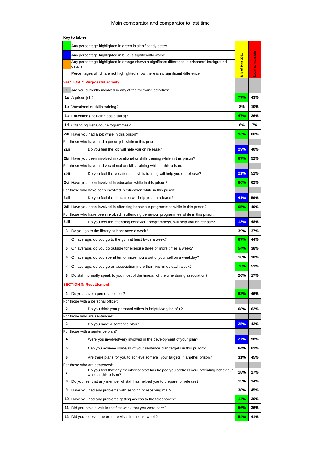|             | Any percentage highlighted in green is significantly better                                                   |                 |                         |
|-------------|---------------------------------------------------------------------------------------------------------------|-----------------|-------------------------|
|             | Any percentage highlighted in blue is significantly worse                                                     |                 |                         |
|             | Any percentage highlighted in orange shows a significant difference in prisoners' background                  |                 |                         |
|             | details<br>Percentages which are not highlighted show there is no significant difference                      | sle of Man 2011 | <b>Local comparator</b> |
|             | <b>SECTION 7: Purposeful activity</b>                                                                         |                 |                         |
| $\mathbf 1$ | Are you currently involved in any of the following activities:                                                |                 |                         |
|             | 1a A prison job?                                                                                              | 77%             | 43%                     |
|             | 1b   Vocational or skills training?                                                                           | 8%              | 10%                     |
|             | 1c Education (including basic skills)?                                                                        | 47%             | 26%                     |
| 1d          | Offending Behaviour Programmes?                                                                               | 6%              | 7%                      |
|             | 2ai Have you had a job while in this prison?                                                                  | 93%             | 66%                     |
|             | For those who have had a prison job while in this prison:                                                     |                 |                         |
| 2aii        | Do you feel the job will help you on release?                                                                 | 29%             | 40%                     |
|             | 2bi Have you been involved in vocational or skills training while in this prison?                             | 67%             | 52%                     |
|             | For those who have had vocational or skills training while in this prison:                                    |                 |                         |
| 2biil       | Do you feel the vocational or skills training will help you on release?                                       | 21%             | 51%                     |
|             | 2ci Have you been involved in education while in this prison?                                                 | 86%             | 62%                     |
|             | For those who have been involved in education while in this prison:                                           |                 |                         |
| 2cii        | Do you feel the education will help you on release?                                                           | 41%             | 59%                     |
|             | 2di Have you been involved in offending behaviour programmes while in this prison?                            | 65%             | 49%                     |
|             | For those who have been involved in offending behaviour programmes while in this prison:                      |                 |                         |
| 2dii        | Do you feel the offending behaviour programme(s) will help you on release?                                    | 18%             | 48%                     |
| 3           | Do you go to the library at least once a week?                                                                | 39%             | 37%                     |
| 4           | On average, do you go to the gym at least twice a week?                                                       | 67%             | 44%                     |
| 5           | On average, do you go outside for exercise three or more times a week?                                        | 54%             | 38%                     |
| 6           | On average, do you spend ten or more hours out of your cell on a weekday?                                     | 16%             | 10%                     |
| 7           | On average, do you go on association more than five times each week?                                          | 70%             | 51%                     |
| 8           | Do staff normally speak to you most of the time/all of the time during association?                           | 26%             | 17%                     |
|             | <b>SECTION 8: Resettlement</b>                                                                                |                 |                         |
| 1           | Do you have a personal officer?                                                                               | 92%             | 46%                     |
|             | For those with a personal officer:                                                                            |                 |                         |
| 2           | Do you think your personal officer is helpful/very helpful?                                                   | 68%             | 62%                     |
|             | For those who are sentenced:                                                                                  |                 |                         |
| 3           | Do you have a sentence plan?                                                                                  | 25%             | 42%                     |
|             | For those with a sentence plan?                                                                               |                 |                         |
| 4           | Were you involved/very involved in the development of your plan?                                              | 27%             | 58%                     |
| 5           | Can you achieve some/all of your sentence plan targets in this prison?                                        | 64%             | 62%                     |
| 6           | Are there plans for you to achieve some/all your targets in another prison?                                   | 31%             | 45%                     |
|             | For those who are sentenced:                                                                                  |                 |                         |
| 7           | Do you feel that any member of staff has helped you address your offending behaviour<br>while at this prison? | 18%             | 27%                     |
| 8           | Do you feel that any member of staff has helped you to prepare for release?                                   | 15%             | 14%                     |
| 9           | Have you had any problems with sending or receiving mail?                                                     | 38%             | 45%                     |
| 10          | Have you had any problems getting access to the telephones?                                                   | 14%             | 30%                     |
| 11          | Did you have a visit in the first week that you were here?                                                    | 56%             | 36%                     |
|             | 12   Did you receive one or more visits in the last week?                                                     | 54%             | 41%                     |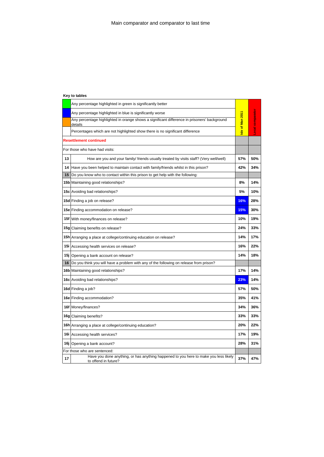|    | Any percentage highlighted in green is significantly better                                                  |                 |                  |
|----|--------------------------------------------------------------------------------------------------------------|-----------------|------------------|
|    | Any percentage highlighted in blue is significantly worse                                                    |                 |                  |
|    | Any percentage highlighted in orange shows a significant difference in prisoners' background<br>details      | sle of Man 2011 | Local comparator |
|    | Percentages which are not highlighted show there is no significant difference                                |                 |                  |
|    | <b>Resettlement continued</b>                                                                                |                 |                  |
|    | For those who have had visits:                                                                               |                 |                  |
| 13 | How are you and your family/ friends usually treated by visits staff? (Very well/well)                       | 57%             | 50%              |
| 14 | Have you been helped to maintain contact with family/friends whilst in this prison?                          | 42%             | 34%              |
| 15 | Do you know who to contact within this prison to get help with the following:                                |                 |                  |
|    | 15b Maintaining good relationships?                                                                          | 8%              | 14%              |
|    | <b>15c</b> Avoiding bad relationships?                                                                       | 5%              | 10%              |
|    | 15d Finding a job on release?                                                                                | 16%             | 28%              |
|    | 15e Finding accommodation on release?                                                                        | 15%             | 30%              |
|    | 15f With money/finances on release?                                                                          | 10%             | 19%              |
|    | 15g Claiming benefits on release?                                                                            | 24%             | 33%              |
|    | 15h Arranging a place at college/continuing education on release?                                            | 14%             | 17%              |
|    | 15i Accessing health services on release?                                                                    | 16%             | 22%              |
|    | 15j Opening a bank account on release?                                                                       | 14%             | 18%              |
| 16 | Do you think you will have a problem with any of the following on release from prison?                       |                 |                  |
|    | 16b Maintaining good relationships?                                                                          | 17%             | 14%              |
|    | <b>16c</b> Avoiding bad relationships?                                                                       | 23%             | 14%              |
|    | 16d Finding a job?                                                                                           | 57%             | 50%              |
|    | 16e Finding accommodation?                                                                                   | 35%             | 41%              |
|    | 16f Money/finances?                                                                                          | 34%             | 36%              |
|    | 16g Claiming benefits?                                                                                       | 33%             | 33%              |
|    | 16h Arranging a place at college/continuing education?                                                       | 20%             | 22%              |
|    | 16i Accessing health services?                                                                               | 17%             | 19%              |
|    | 16j Opening a bank account?                                                                                  | 28%             | 31%              |
|    | For those who are sentenced:                                                                                 |                 |                  |
| 17 | Have you done anything, or has anything happened to you here to make you less likely<br>to offend in future? | 37%             | 47%              |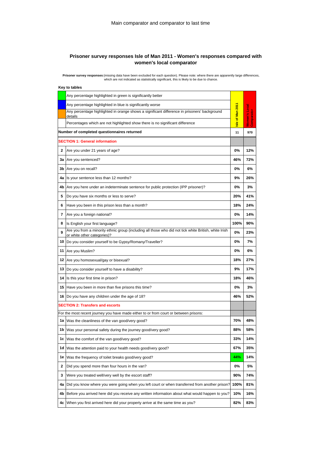### **Prisoner survey responses Isle of Man 2011 - Women's responses compared with women's local comparator**

Prisoner survey responses (missing data have been excluded for each question). Please note: where there are apparently large differences,<br>which are not indicated as statistically significant, this is likely to be due to ch

|    | Key to tables                                                                                                                        |                  |                             |
|----|--------------------------------------------------------------------------------------------------------------------------------------|------------------|-----------------------------|
|    | Any percentage highlighted in green is significantly better                                                                          |                  |                             |
|    | Any percentage highlighted in blue is significantly worse                                                                            |                  |                             |
|    | Any percentage highlighted in orange shows a significant difference in prisoners' background<br>details                              | Isle of Man 2011 | Women's Local<br>Comparator |
|    | Percentages which are not highlighted show there is no significant difference                                                        |                  |                             |
|    | Number of completed questionnaires returned                                                                                          | 11               | 970                         |
|    | <b>SECTION 1: General information</b>                                                                                                |                  |                             |
| 2  | Are you under 21 years of age?                                                                                                       | 0%               | 12%                         |
| 3a | Are you sentenced?                                                                                                                   | 46%              | 72%                         |
| 3b | Are you on recall?                                                                                                                   | 0%               | 6%                          |
| 4a | Is your sentence less than 12 months?                                                                                                | 9%               | 26%                         |
| 4b | Are you here under an indeterminate sentence for public protection (IPP prisoner)?                                                   | 0%               | 3%                          |
| 5  | Do you have six months or less to serve?                                                                                             | 20%              | 41%                         |
| 6  | Have you been in this prison less than a month?                                                                                      | 18%              | 24%                         |
| 7  | Are you a foreign national?                                                                                                          | 0%               | 14%                         |
| 8  | Is English your first language?                                                                                                      | 100%             | 90%                         |
| 9  | Are you from a minority ethnic group (including all those who did not tick white British, white Irish<br>or white other categories)? | 0%               | 23%                         |
| 10 | Do you consider yourself to be Gypsy/Romany/Traveller?                                                                               | 0%               | 7%                          |
| 11 | Are you Muslim?                                                                                                                      | 0%               | 6%                          |
| 12 | Are you homosexual/gay or bisexual?                                                                                                  | 18%              | 27%                         |
| 13 | Do you consider yourself to have a disability?                                                                                       | 9%               | 17%                         |
| 14 | Is this your first time in prison?                                                                                                   | 18%              | 46%                         |
| 15 | Have you been in more than five prisons this time?                                                                                   | 0%               | 3%                          |
| 16 | Do you have any children under the age of 18?                                                                                        | 46%              | 52%                         |
|    | <b>SECTION 2: Transfers and escorts</b>                                                                                              |                  |                             |
|    | For the most recent journey you have made either to or from court or between prisons:                                                |                  |                             |
| 1a | Was the cleanliness of the van good/very good?                                                                                       | 70%              | 48%                         |
| 1b | Was your personal safety during the journey good/very good?                                                                          | 88%              | 58%                         |
| 1c | Was the comfort of the van good/very good?                                                                                           | 33%              | 14%                         |
| 1d | Was the attention paid to your health needs good/very good?                                                                          | 67%              | 35%                         |
| 1e | Was the frequency of toilet breaks good/very good?                                                                                   | 44%              | 14%                         |
| 2  | Did you spend more than four hours in the van?                                                                                       | 0%               | 5%                          |
| 3  | Were you treated well/very well by the escort staff?                                                                                 | 90%              | 74%                         |
| 4a | Did you know where you were going when you left court or when transferred from another prison?                                       | 100%             | 81%                         |
| 4b | Before you arrived here did you receive any written information about what would happen to you?                                      | 10%              | 16%                         |
| 4c | When you first arrived here did your property arrive at the same time as you?                                                        | 82%              | 83%                         |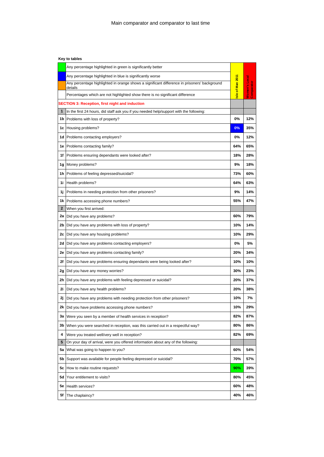|              | Any percentage highlighted in green is significantly better                                             |                 |                             |
|--------------|---------------------------------------------------------------------------------------------------------|-----------------|-----------------------------|
|              | Any percentage highlighted in blue is significantly worse                                               |                 |                             |
|              | Any percentage highlighted in orange shows a significant difference in prisoners' background<br>details | sle of Man 2011 | Women's Local<br>Comparator |
|              | Percentages which are not highlighted show there is no significant difference                           |                 |                             |
|              | <b>SECTION 3: Reception, first night and induction</b>                                                  |                 |                             |
| $\mathbf{1}$ | In the first 24 hours, did staff ask you if you needed help/support with the following:                 |                 |                             |
| 1b.          | Problems with loss of property?                                                                         | 0%              | 12%                         |
|              | 1c Housing problems?                                                                                    | 0%              | 35%                         |
| 1d           | Problems contacting employers?                                                                          | 0%              | 12%                         |
|              | <b>1e</b> Problems contacting family?                                                                   | 64%             | 65%                         |
| 1f           | Problems ensuring dependants were looked after?                                                         | 18%             | 28%                         |
| 1g           | Money problems?                                                                                         | 9%              | 18%                         |
|              | 1h Problems of feeling depressed/suicidal?                                                              | 73%             | 60%                         |
| 1i           | Health problems?                                                                                        | 64%             | 63%                         |
| 1j.          | Problems in needing protection from other prisoners?                                                    | 9%              | 14%                         |
| 1k           | Problems accessing phone numbers?                                                                       | 55%             | 47%                         |
| $\mathbf{2}$ | When you first arrived:                                                                                 |                 |                             |
|              | 2a   Did you have any problems?                                                                         | 60%             | 79%                         |
|              | 2b   Did you have any problems with loss of property?                                                   | 10%             | 14%                         |
| 2c           | Did you have any housing problems?                                                                      | 10%             | 29%                         |
| 2d           | Did you have any problems contacting employers?                                                         | 0%              | 5%                          |
| 2е           | Did you have any problems contacting family?                                                            | 20%             | 34%                         |
| 2f           | Did you have any problems ensuring dependants were being looked after?                                  | 10%             | 10%                         |
|              | 2g   Did you have any money worries?                                                                    | 30%             | 23%                         |
| 2h           | Did you have any problems with feeling depressed or suicidal?                                           | 20%             | 37%                         |
| 2i           | Did you have any health problems?                                                                       | 20%             | 38%                         |
| 2ј           | Did you have any problems with needing protection from other prisoners?                                 | 10%             | 7%                          |
| 2k           | Did you have problems accessing phone numbers?                                                          | 10%             | 29%                         |
|              | 3a Were you seen by a member of health services in reception?                                           | 82%             | 87%                         |
|              | 3b When you were searched in reception, was this carried out in a respectful way?                       | 80%             | 86%                         |
| 4            | Were you treated well/very well in reception?                                                           | 82%             | 69%                         |
| 5            | On your day of arrival, were you offered information about any of the following:                        |                 |                             |
| 5a           | What was going to happen to you?                                                                        | 60%             | 54%                         |
| 5b           | Support was available for people feeling depressed or suicidal?                                         | 70%             | 57%                         |
|              | <b>5c</b> How to make routine requests?                                                                 | 90%             | 39%                         |
| 5d           | Your entitlement to visits?                                                                             | 80%             | 45%                         |
| 5e           | Health services?                                                                                        | 60%             | 48%                         |
| 5f           | The chaplaincy?                                                                                         | 40%             | 46%                         |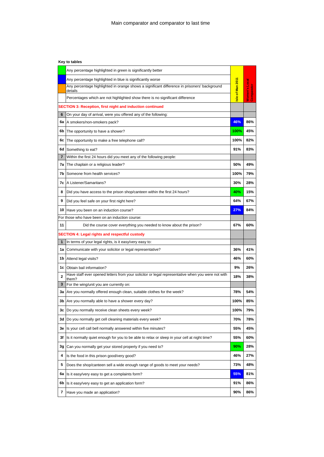|    | Any percentage highlighted in green is significantly better                                                |                 |                             |
|----|------------------------------------------------------------------------------------------------------------|-----------------|-----------------------------|
|    | Any percentage highlighted in blue is significantly worse                                                  |                 |                             |
|    | Any percentage highlighted in orange shows a significant difference in prisoners' background<br>details    | sle of Man 2011 | Women's Local<br>Comparator |
|    | Percentages which are not highlighted show there is no significant difference                              |                 |                             |
|    | SECTION 3: Reception, first night and induction continued                                                  |                 |                             |
| 6  | On your day of arrival, were you offered any of the following:                                             |                 |                             |
| 6a | A smokers/non-smokers pack?                                                                                | 46%             | 86%                         |
| 6b | The opportunity to have a shower?                                                                          | 100%            | 45%                         |
| 6с | The opportunity to make a free telephone call?                                                             | 100%            | 82%                         |
| 6d | Something to eat?                                                                                          | 91%             | 83%                         |
| 7  | Within the first 24 hours did you meet any of the following people:                                        |                 |                             |
| 7a | The chaplain or a religious leader?                                                                        | 50%             | 49%                         |
| 7b | Someone from health services?                                                                              | 100%            | 79%                         |
|    | 7c   A Listener/Samaritans?                                                                                | 30%             | 28%                         |
| 8  | Did you have access to the prison shop/canteen within the first 24 hours?                                  | 40%             | 15%                         |
| 9  | Did you feel safe on your first night here?                                                                | 64%             | 67%                         |
|    | 10 Have you been on an induction course?                                                                   | 27%             | 84%                         |
|    | For those who have been on an induction course:                                                            |                 |                             |
| 11 | Did the course cover everything you needed to know about the prison?                                       | 67%             | 60%                         |
|    | SECTION 4: Legal rights and respectful custody                                                             |                 |                             |
| 1  | In terms of your legal rights, is it easy/very easy to:                                                    |                 |                             |
| 1a | Communicate with your solicitor or legal representative?                                                   | 36%             | 41%                         |
|    | 1b Attend legal visits?                                                                                    | 46%             | 60%                         |
|    | 1c Obtain bail information?                                                                                | 9%              | 26%                         |
| 2  | Have staff ever opened letters from your solicitor or legal representative when you were not with<br>them? | 18%             | 38%                         |
| 3  | For the wing/unit you are currently on:                                                                    |                 |                             |
|    | 3a   Are you normally offered enough clean, suitable clothes for the week?                                 | 78%             | 54%                         |
| 3b | Are you normally able to have a shower every day?                                                          | 100%            | 85%                         |
| 3c | Do you normally receive clean sheets every week?                                                           | 100%            | 79%                         |
|    | 3d Do you normally get cell cleaning materials every week?                                                 | 70%             | 78%                         |
|    | 3e Is your cell call bell normally answered within five minutes?                                           | 55%             | 45%                         |
| 3f | Is it normally quiet enough for you to be able to relax or sleep in your cell at night time?               | 55%             | 60%                         |
| 3g | Can you normally get your stored property if you need to?                                                  | 90%             | 28%                         |
| 4  | Is the food in this prison good/very good?                                                                 | 46%             | 27%                         |
| 5  | Does the shop/canteen sell a wide enough range of goods to meet your needs?                                | 73%             | 48%                         |
| 6a | Is it easy/very easy to get a complaints form?                                                             | 55%             | 81%                         |
|    | 6b Is it easy/very easy to get an application form?                                                        | 91%             | 86%                         |
| 7  | Have you made an application?                                                                              | 90%             | 86%                         |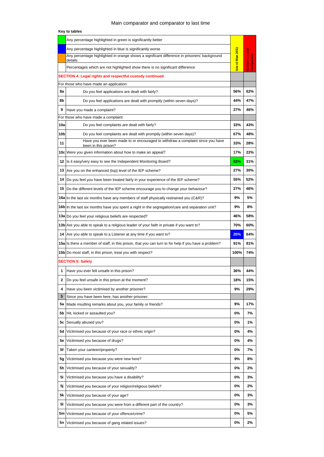## Main comparator and comparator to last time

|     | Any percentage highlighted in green is significantly better                                                  |                 |                             |
|-----|--------------------------------------------------------------------------------------------------------------|-----------------|-----------------------------|
|     | Any percentage highlighted in blue is significantly worse                                                    |                 |                             |
|     | Any percentage highlighted in orange shows a significant difference in prisoners' background<br>details      | sle of Man 2011 |                             |
|     | Percentages which are not highlighted show there is no significant difference                                |                 | Women's Local<br>Comparator |
|     | <b>SECTION 4: Legal rights and respectful custody continued</b>                                              |                 |                             |
|     | For those who have made an application:                                                                      |                 |                             |
| 8a  | Do you feel applications are dealt with fairly?                                                              | 56%             | 62%                         |
| 8b  | Do you feel applications are dealt with promptly (within seven days)?                                        | 44%             | 47%                         |
| 9   | Have you made a complaint?                                                                                   | 27%             | 46%                         |
|     | For those who have made a complaint:                                                                         |                 |                             |
| 10a | Do you feel complaints are dealt with fairly?                                                                | 33%             | 43%                         |
| 10b | Do you feel complaints are dealt with promptly (within seven days)?                                          | 67%             | 48%                         |
| 11  | Have you ever been made to or encouraged to withdraw a complaint since you have<br>been in this prison?      | 33%             | 28%                         |
|     | 10c Were you given information about how to make an appeal?                                                  | 17%             | 22%                         |
| 12  | Is it easy/very easy to see the Independent Monitoring Board?                                                | 82%             | 31%                         |
| 13  | Are you on the enhanced (top) level of the IEP scheme?                                                       | 27%             | 30%                         |
| 14  | Do you feel you have been treated fairly in your experience of the IEP scheme?                               | 55%             | 52%                         |
| 15  | Do the different levels of the IEP scheme encourage you to change your behaviour?                            | 27%             | 46%                         |
|     | 16a In the last six months have any members of staff physically restrained you (C&R)?                        | 9%              | 5%                          |
|     | 16b In the last six months have you spent a night in the segregation/care and separation unit?               | 9%              | 8%                          |
|     | 13a Do you feel your religious beliefs are respected?                                                        | 46%             | 58%                         |
|     | 13b Are you able to speak to a religious leader of your faith in private if you want to?                     | 70%             | 60%                         |
| 14  | Are you able to speak to a Listener at any time if you want to?                                              | 20%             | 64%                         |
|     | <b>15a</b> Ils there a member of staff, in this prison, that you can turn to for help if you have a problem? | 91%             | 81%                         |
|     | 15b Do most staff, in this prison, treat you with respect?                                                   | 100%            | 74%                         |
|     | <b>SECTION 5: Safety</b>                                                                                     |                 |                             |
| 1   | Have you ever felt unsafe in this prison?                                                                    | 36%             | 44%                         |
| 2   | Do you feel unsafe in this prison at the moment?                                                             | 18%             | 15%                         |
| 4   | Have you been victimised by another prisoner?                                                                | 9%              | 29%                         |
| 5   | Since you have been here, has another prisoner:                                                              |                 |                             |
| 5а  | Made insulting remarks about you, your family or friends?                                                    | 9%              | 17%                         |
| 5b  | Hit, kicked or assaulted you?                                                                                | 0%              | 7%                          |
| 5с  | Sexually abused you?                                                                                         | 0%              | 1%                          |
| 5d  | Victimised you because of your race or ethnic origin?                                                        | 0%              | 4%                          |
| 5е  | Victimised you because of drugs?                                                                             | 0%              | 4%                          |
| 5f  | Taken your canteen/property?                                                                                 | 0%              | 7%                          |
| 5g  | Victimised you because you were new here?                                                                    | 9%              | 8%                          |
| 5h  | Victimised you because of your sexuality?                                                                    | 0%              | 2%                          |
| 5i  | Victimised you because you have a disability?                                                                | 0%              | 3%                          |
| 5j  | Victimised you because of your religion/religious beliefs?                                                   | 0%              | 2%                          |
| 5k  | Victimised you because of your age?                                                                          | 0%              | 3%                          |
| 51  | Victimised you because you were from a different part of the country?                                        | 0%              | 3%                          |
| 5m  | Victimised you because of your offence/crime?                                                                | 0%              | 5%                          |
| 5n  | Victimised you because of gang related issues?                                                               | 0%              | 2%                          |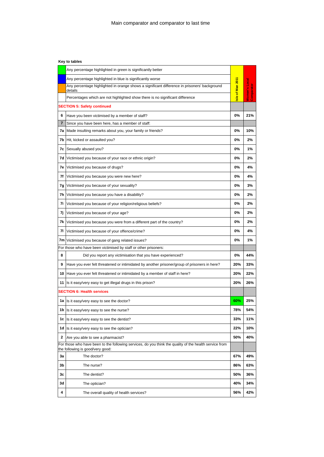|    | Any percentage highlighted in green is significantly better                                                                                |                  |                                 |
|----|--------------------------------------------------------------------------------------------------------------------------------------------|------------------|---------------------------------|
|    | Any percentage highlighted in blue is significantly worse                                                                                  |                  |                                 |
|    | Any percentage highlighted in orange shows a significant difference in prisoners' background<br>details                                    | Isle of Man 2011 | <b>B</b><br>Docal<br>Comparator |
|    | Percentages which are not highlighted show there is no significant difference                                                              |                  | Women's                         |
|    | <b>SECTION 5: Safety continued</b>                                                                                                         |                  |                                 |
| 6  | Have you been victimised by a member of staff?                                                                                             | 0%               | 21%                             |
| 7  | Since you have been here, has a member of staff:                                                                                           |                  |                                 |
| 7a | Made insulting remarks about you, your family or friends?                                                                                  | 0%               | 10%                             |
| 7b | Hit, kicked or assaulted you?                                                                                                              | 0%               | 2%                              |
| 7с | Sexually abused you?                                                                                                                       | 0%               | 1%                              |
| 7d | Victimised you because of your race or ethnic origin?                                                                                      | 0%               | 2%                              |
| 7e | Victimised you because of drugs?                                                                                                           | 0%               | 4%                              |
| 7f | Victimised you because you were new here?                                                                                                  | 0%               | 4%                              |
| 7g | Victimised you because of your sexuality?                                                                                                  | 0%               | 3%                              |
| 7h | Victimised you because you have a disability?                                                                                              | 0%               | 2%                              |
| 7i | Victimised you because of your religion/religious beliefs?                                                                                 | 0%               | 2%                              |
| 7j | Victimised you because of your age?                                                                                                        | 0%               | 2%                              |
| 7k | Victimised you because you were from a different part of the country?                                                                      | 0%               | 2%                              |
| 71 | Victimised you because of your offence/crime?                                                                                              | 0%               | 4%                              |
| 7m | Victimised you because of gang related issues?                                                                                             | 0%               | 1%                              |
|    | For those who have been victimised by staff or other prisoners:                                                                            |                  |                                 |
| 8  | Did you report any victimisation that you have experienced?                                                                                | 0%               | 44%                             |
| 9  | Have you ever felt threatened or intimidated by another prisoner/group of prisoners in here?                                               | 20%              | 33%                             |
| 10 | Have you ever felt threatened or intimidated by a member of staff in here?                                                                 | 20%              | 22%                             |
| 11 | Is it easy/very easy to get illegal drugs in this prison?                                                                                  | 20%              | 26%                             |
|    | <b>SECTION 6: Health services</b>                                                                                                          |                  |                                 |
| 1a | Is it easy/very easy to see the doctor?                                                                                                    | 60%              | 25%                             |
|    | 1b Is it easy/very easy to see the nurse?                                                                                                  | 78%              | 54%                             |
|    | 1c Is it easy/very easy to see the dentist?                                                                                                | 33%              | 11%                             |
|    | 1d Is it easy/very easy to see the optician?                                                                                               | 22%              | 10%                             |
| 2  | Are you able to see a pharmacist?                                                                                                          | 50%              | 40%                             |
|    | For those who have been to the following services, do you think the quality of the health service from<br>the following is good/very good: |                  |                                 |
| 3a | The doctor?                                                                                                                                | 67%              | 49%                             |
| 3b | The nurse?                                                                                                                                 | 86%              | 63%                             |
| 3c | The dentist?                                                                                                                               | 50%              | 36%                             |
| 3d | The optician?                                                                                                                              | 40%              | 34%                             |
| 4  | The overall quality of health services?                                                                                                    | 56%              | 42%                             |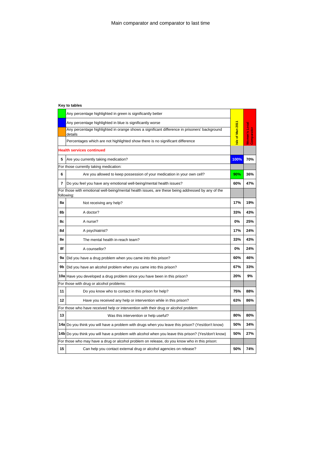|    | Any percentage highlighted in green is significantly better                                                     |                 |                             |
|----|-----------------------------------------------------------------------------------------------------------------|-----------------|-----------------------------|
|    | Any percentage highlighted in blue is significantly worse                                                       |                 |                             |
|    | Any percentage highlighted in orange shows a significant difference in prisoners' background<br>details         | sle of Man 2011 | Women's Local<br>Comparator |
|    | Percentages which are not highlighted show there is no significant difference                                   |                 |                             |
|    | <b>Health services continued</b>                                                                                |                 |                             |
| 5  | Are you currently taking medication?                                                                            | 100%            | 70%                         |
|    | For those currently taking medication:                                                                          |                 |                             |
| 6  | Are you allowed to keep possession of your medication in your own cell?                                         | 90%             | 36%                         |
| 7  | Do you feel you have any emotional well-being/mental health issues?                                             | 60%             | 47%                         |
|    | For those with emotional well-being/mental health issues, are these being addressed by any of the<br>following: |                 |                             |
| 8a | Not receiving any help?                                                                                         | 17%             | 19%                         |
| 8b | A doctor?                                                                                                       | 33%             | 43%                         |
| 8с | A nurse?                                                                                                        | 0%              | 25%                         |
| 8d | A psychiatrist?                                                                                                 | 17%             | 24%                         |
| 8e | The mental health in-reach team?                                                                                | 33%             | 43%                         |
| 8f | A counsellor?                                                                                                   | 0%              | 24%                         |
| 9а | Did you have a drug problem when you came into this prison?                                                     | 60%             | 46%                         |
| 9b | Did you have an alcohol problem when you came into this prison?                                                 | 67%             | 33%                         |
|    | 10a Have you developed a drug problem since you have been in this prison?                                       | 20%             | 9%                          |
|    | For those with drug or alcohol problems:                                                                        |                 |                             |
| 11 | Do you know who to contact in this prison for help?                                                             | 75%             | 88%                         |
| 12 | Have you received any help or intervention while in this prison?                                                | 63%             | 86%                         |
|    | For those who have received help or intervention with their drug or alcohol problem:                            |                 |                             |
| 13 | Was this intervention or help useful?                                                                           | 80%             | 80%                         |
|    | 14a Do you think you will have a problem with drugs when you leave this prison? (Yes/don't know)                | 50%             | 34%                         |
|    | 14b Do you think you will have a problem with alcohol when you leave this prison? (Yes/don't know)              | 50%             | 27%                         |
|    | For those who may have a drug or alcohol problem on release, do you know who in this prison:                    |                 |                             |
| 15 | Can help you contact external drug or alcohol agencies on release?                                              | 50%             | 74%                         |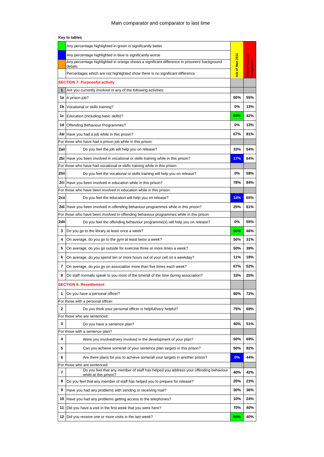|                                | Any percentage highlighted in green is significantly better                                                          |                 |                      |
|--------------------------------|----------------------------------------------------------------------------------------------------------------------|-----------------|----------------------|
|                                | Any percentage highlighted in blue is significantly worse                                                            |                 |                      |
|                                | Any percentage highlighted in orange shows a significant difference in prisoners' background<br>details              | sle of Man 2011 | <b>Women's Local</b> |
|                                | Percentages which are not highlighted show there is no significant difference                                        |                 | Comparator           |
|                                | <b>SECTION 7: Purposeful activity</b>                                                                                |                 |                      |
| 1                              | Are you currently involved in any of the following activities:                                                       |                 |                      |
| 1a                             | A prison job?                                                                                                        | 60%             | 55%                  |
| 1b                             | Vocational or skills training?                                                                                       | 0%              | 13%                  |
| 1c                             | Education (including basic skills)?                                                                                  | 80%             | 42%                  |
| 1d                             | Offending Behaviour Programmes?                                                                                      | 0%              | 13%                  |
| 2ai                            | Have you had a job while in this prison?                                                                             | 67%             | 81%                  |
|                                | For those who have had a prison job while in this prison:                                                            |                 |                      |
| 2aii                           | Do you feel the job will help you on release?                                                                        | 33%             | 54%                  |
|                                | 2bi Have you been involved in vocational or skills training while in this prison?                                    | 17%             | 64%                  |
|                                | For those who have had vocational or skills training while in this prison:                                           |                 |                      |
| 2bii                           | Do you feel the vocational or skills training will help you on release?                                              | 0%              | 58%                  |
|                                | 2ci Have you been involved in education while in this prison?                                                        | 78%             | 84%                  |
|                                | For those who have been involved in education while in this prison:                                                  |                 |                      |
| 2cii                           | Do you feel the education will help you on release?                                                                  | 14%             | 65%                  |
|                                | 2di Have you been involved in offending behaviour programmes while in this prison?                                   | 25%             | 61%                  |
|                                | For those who have been involved in offending behaviour programmes while in this prison:                             |                 |                      |
| 2dii                           | Do you feel the offending behaviour programme(s) will help you on release?                                           | 0%              | 55%                  |
| 3                              | Do you go to the library at least once a week?                                                                       | 90%             | 46%                  |
| 4                              | On average, do you go to the gym at least twice a week?                                                              | 50%             | 31%                  |
| 5                              | On average, do you go outside for exercise three or more times a week?                                               | 50%             | 39%                  |
| 6                              | On average, do you spend ten or more hours out of your cell on a weekday?                                            | 11%             | 18%                  |
| 7                              | On average, do you go on association more than five times each week?                                                 | 67%             | 52%                  |
| 8                              | Do staff normally speak to you most of the time/all of the time during association?                                  | 33%             | 25%                  |
| <b>SECTION 8: Resettlement</b> |                                                                                                                      |                 |                      |
| 1                              | Do you have a personal officer?                                                                                      | 80%             | 72%                  |
|                                | For those with a personal officer:                                                                                   |                 |                      |
| 2                              | Do you think your personal officer is helpful/very helpful?                                                          | 75%             | 69%                  |
|                                | For those who are sentenced:                                                                                         |                 |                      |
| 3                              | Do you have a sentence plan?                                                                                         | 40%             | 51%                  |
|                                | For those with a sentence plan?                                                                                      |                 |                      |
| 4                              | Were you involved/very involved in the development of your plan?                                                     | 50%             | 69%                  |
| 5                              | Can you achieve some/all of your sentence plan targets in this prison?                                               | 50%             | 82%                  |
| 6                              | Are there plans for you to achieve some/all your targets in another prison?                                          | $0\%$           | 44%                  |
|                                | For those who are sentenced:<br>Do you feel that any member of staff has helped you address your offending behaviour |                 |                      |
| 7                              | while at this prison?                                                                                                | 40%             | 42%                  |
| 8                              | Do you feel that any member of staff has helped you to prepare for release?                                          | 20%             | 23%                  |
| 9                              | Have you had any problems with sending or receiving mail?                                                            | 30%             | 36%                  |
| 10                             | Have you had any problems getting access to the telephones?                                                          | 10%             | 24%                  |
| 11                             | Did you have a visit in the first week that you were here?                                                           | 70%             | 40%                  |
| 12 <sub>1</sub>                | Did you receive one or more visits in the last week?                                                                 | 80%             | 40%                  |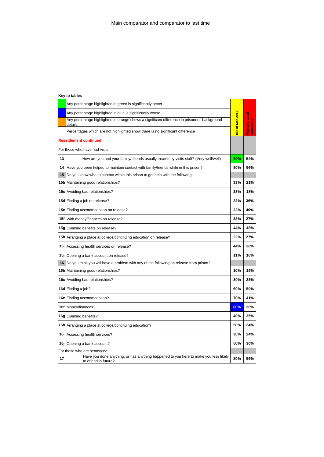|                                | Any percentage highlighted in green is significantly better                                                  |                 |                                    |  |
|--------------------------------|--------------------------------------------------------------------------------------------------------------|-----------------|------------------------------------|--|
|                                | Any percentage highlighted in blue is significantly worse                                                    |                 |                                    |  |
|                                | Any percentage highlighted in orange shows a significant difference in prisoners' background<br>details      | sle of Man 2011 | <b>Women's Local</b><br>Comparator |  |
|                                | Percentages which are not highlighted show there is no significant difference                                |                 |                                    |  |
|                                | <b>Resettlement continued</b>                                                                                |                 |                                    |  |
| For those who have had visits: |                                                                                                              |                 |                                    |  |
| 13                             | How are you and your family/ friends usually treated by visits staff? (Very well/well)                       | 89%             | 54%                                |  |
| 14                             | Have you been helped to maintain contact with family/friends while in this prison?                           | 80%             | 56%                                |  |
| 15                             | Do you know who to contact within this prison to get help with the following:                                |                 |                                    |  |
|                                | 15b Maintaining good relationships?                                                                          | 33%             | 21%                                |  |
|                                | 15c Avoiding bad relationships?                                                                              | 33%             | 18%                                |  |
|                                | 15d Finding a job on release?                                                                                | 22%             | 36%                                |  |
|                                | 15e Finding accommodation on release?                                                                        | 22%             | 46%                                |  |
|                                | 15f With money/finances on release?                                                                          | 33%             | 27%                                |  |
|                                | 15g Claiming benefits on release?                                                                            | 44%             | 48%                                |  |
|                                | 15h Arranging a place at college/continuing education on release?                                            | 22%             | 27%                                |  |
|                                | 15i Accessing health services on release?                                                                    | 44%             | 28%                                |  |
|                                | 15j Opening a bank account on release?                                                                       | 11%             | 16%                                |  |
| 16                             | Do you think you will have a problem with any of the following on release from prison?                       |                 |                                    |  |
|                                | 16b Maintaining good relationships?                                                                          | 10%             | 18%                                |  |
|                                | 16c Avoiding bad relationships?                                                                              | 30%             | 23%                                |  |
|                                | 16d Finding a job?                                                                                           | 60%             | 50%                                |  |
|                                | 16e Finding accommodation?                                                                                   | 70%             | 41%                                |  |
|                                | 16f Money/finances?                                                                                          | 80%             | 30%                                |  |
|                                | 16g Claiming benefits?                                                                                       | 40%             | 35%                                |  |
|                                | 16h Arranging a place at college/continuing education?                                                       | 50%             | 24%                                |  |
|                                | 16i Accessing health services?                                                                               | 30%             | 24%                                |  |
|                                | 16j Opening a bank account?                                                                                  | 50%             | 30%                                |  |
| For those who are sentenced:   |                                                                                                              |                 |                                    |  |
| 17                             | Have you done anything, or has anything happened to you here to make you less likely<br>to offend in future? | 80%             | 56%                                |  |